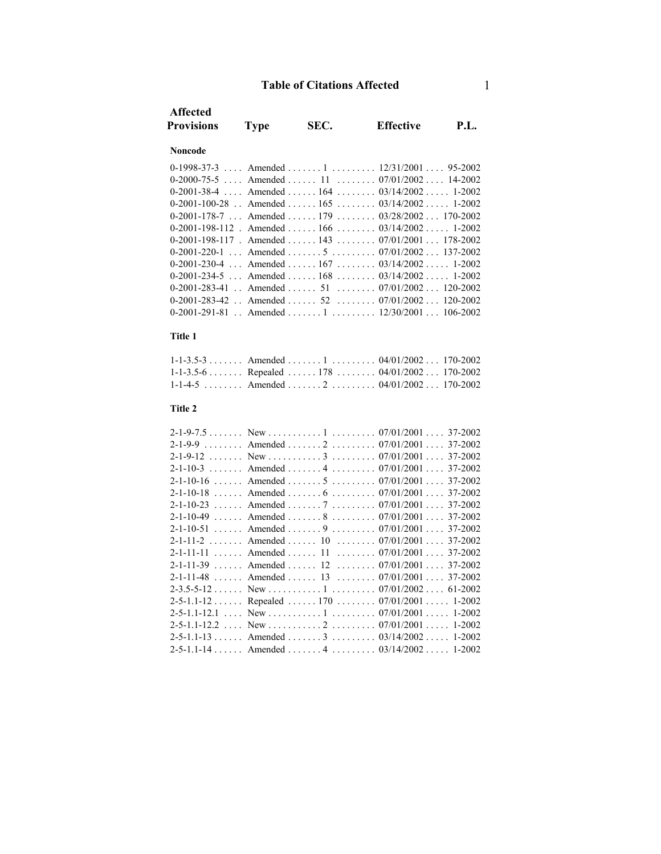| <b>Affected</b>                                |                                     |      |                                                     |      |
|------------------------------------------------|-------------------------------------|------|-----------------------------------------------------|------|
| <b>Provisions</b>                              | <b>Type</b>                         | SEC. | <b>Effective</b>                                    | P.L. |
|                                                |                                     |      |                                                     |      |
| Noncode                                        |                                     |      |                                                     |      |
| $0-1998-37-3$                                  |                                     |      | Amended  1 $12/31/2001$ 95-2002                     |      |
| $0 - 2000 - 75 - 5$                            |                                     |      | Amended  11  07/01/2002 14-2002                     |      |
| $0 - 2001 - 38 - 4$                            | $\ldots$ Amended $\ldots$ 164       |      | $\ldots \ldots \ldots 03/14/2002 \ldots 1-2002$     |      |
| $0-2001-100-28$ .                              | Amended $\dots \dots 165$           |      | $\ldots \ldots \ldots 03/14/2002 \ldots 1-2002$     |      |
| $0-2001-178-7$ Amended  179                    |                                     |      | $\ldots \ldots 03/28/2002 \ldots 170-2002$          |      |
| $0-2001-198-112$ . Amended  166                |                                     |      | $\ldots \ldots 03/14/2002 \ldots 1-2002$            |      |
|                                                |                                     |      | 0-2001-198-117 . Amended  143  07/01/2001  178-2002 |      |
| $0 - 2001 - 220 - 1$                           |                                     |      | Amended $5$ $07/01/2002$ 137-2002                   |      |
| 0-2001-230-4                                   |                                     |      | Amended  167 $03/14/2002$ 1-2002                    |      |
| 0-2001-234-5                                   |                                     |      | Amended $168$ $03/14/2002$ 1-2002                   |      |
| $0-2001-283-41$                                | $\ldots$ Amended $\ldots \ldots$ 51 |      | $\ldots \ldots \ldots 07/01/2002 \ldots 120-2002$   |      |
| $0-2001-283-42$                                | $\ldots$ Amended $\ldots \ldots$ 52 |      | $\ldots \ldots \ldots 07/01/2002 \ldots 120-2002$   |      |
|                                                |                                     |      | $0-2001-291-81$ . Amended 1 12/30/2001 106-2002     |      |
| Title 1                                        |                                     |      |                                                     |      |
|                                                |                                     |      |                                                     |      |
| $1 - 1 - 3.5 - 3$                              |                                     |      | Amended  1  04/01/2002  170-2002                    |      |
|                                                |                                     |      | 1-1-3.5-6 Repealed 178 04/01/2002 170-2002          |      |
|                                                |                                     |      | $1-1-4-5$ Amended $2$ $04/01/2002$ 170-2002         |      |
| Title 2                                        |                                     |      |                                                     |      |
|                                                |                                     |      |                                                     |      |
|                                                |                                     |      |                                                     |      |
|                                                |                                     |      | 2-1-9-9 Amended 2 07/01/2001 37-2002                |      |
|                                                |                                     |      |                                                     |      |
| $2 - 1 - 10 - 3$                               |                                     |      | Amended  4  07/01/2001  37-2002                     |      |
| $2 - 1 - 10 - 16$                              |                                     |      | Amended  5  07/01/2001  37-2002                     |      |
|                                                |                                     |      | $2-1-10-18$ Amended  6  07/01/2001  37-2002         |      |
|                                                |                                     |      | 2-1-10-23  Amended  7  07/01/2001  37-2002          |      |
| $2 - 1 - 10 - 49$<br>$\cdot \cdot \cdot \cdot$ | Amended  8                          |      | $\ldots \ldots \ldots 07/01/2001 \ldots 37-2002$    |      |
| $2 - 1 - 10 - 51$                              | $\ldots$ Amended $\ldots$ .         |      | $\ldots \ldots \ldots 07/01/2001 \ldots 37-2002$    |      |
| $2 - 1 - 11 - 2$ . Amended                     |                                     | 10   | $\ldots \ldots \ldots 07/01/2001 \ldots 37-2002$    |      |
| $2 - 1 - 11 - 11$                              | $\ldots$ Amended $\ldots$           | 11   | $\ldots \ldots \ldots 07/01/2001 \ldots 37-2002$    |      |
| $2 - 1 - 11 - 39$                              | $\ldots$ Amended $\ldots$ 12        |      | $\ldots \ldots \ldots 07/01/2001 \ldots 37-2002$    |      |
| $2 - 1 - 11 - 48$<br>$\overline{1}$            | Amended $\ldots$ 13                 |      | $\ldots \ldots \ldots 07/01/2001 \ldots 37-2002$    |      |
| $2 - 3.5 - 5 - 12$                             |                                     |      |                                                     |      |
|                                                |                                     |      | 2-5-1.1-12 Repealed 170 07/01/2001 1-2002           |      |
| $2 - 5 - 1.1 - 12.1$                           | $New \dots \dots \dots 1$           |      | $\ldots \ldots \ldots 07/01/2001 \ldots 1-2002$     |      |
| $2 - 5 - 1.1 - 12.2$<br>$\ldots$               |                                     |      |                                                     |      |
|                                                |                                     |      | $2-5-1.1-13$ Amended  3  03/14/2002  1-2002         |      |
|                                                |                                     |      |                                                     |      |
|                                                |                                     |      |                                                     |      |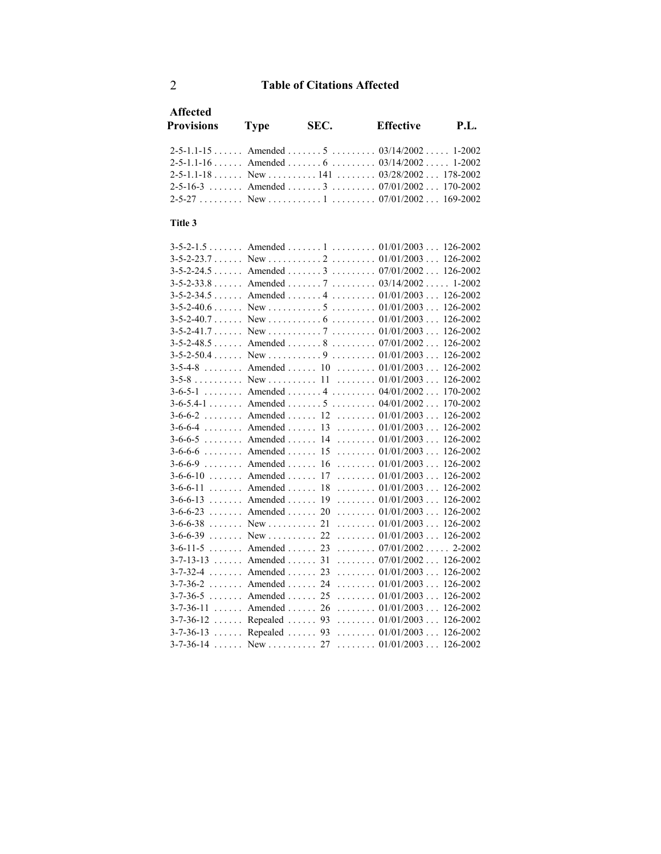| <b>Affected</b><br><b>Provisions</b> Type | SEC. | Effective                                       | P.I. |
|-------------------------------------------|------|-------------------------------------------------|------|
|                                           |      | 2-5-1.1-15  Amended  5  03/14/2002  1-2002      |      |
|                                           |      |                                                 |      |
|                                           |      | $2-5-1.1-18$ New $$ $141$ $03/28/2002$ 178-2002 |      |
|                                           |      | 2-5-16-3 Amended 3 07/01/2002 170-2002          |      |
|                                           |      |                                                 |      |

### **Title 3**

| $3-5-2-1.5$ Amended  1  01/01/2003 126-2002   |                                                   |
|-----------------------------------------------|---------------------------------------------------|
|                                               |                                                   |
| $3-5-2-24.5$ Amended  3  07/01/2002 126-2002  |                                                   |
| $3-5-2-33.8$ Amended  7  03/14/2002  1-2002   |                                                   |
| $3-5-2-34.5$ Amended  4  01/01/2003  126-2002 |                                                   |
|                                               | 126-2002                                          |
|                                               | 126-2002                                          |
|                                               |                                                   |
| $3-5-2-48.5$ Amended  8  07/01/2002 126-2002  |                                                   |
|                                               |                                                   |
| 3-5-4-8 Amended 10 01/01/2003 126-2002        |                                                   |
|                                               |                                                   |
| 3-6-5-1 Amended 4 04/01/2002 170-2002         |                                                   |
| $3-6-5.4-1$ Amended $5$ $04/01/2002$ 170-2002 |                                                   |
| 3-6-6-2  Amended  12  01/01/2003  126-2002    |                                                   |
| $3-6-6-4$ Amended  13  01/01/2003             | 126-2002                                          |
| $3-6-6-5$ Amended  14  01/01/2003             | 126-2002                                          |
| $3-6-6-6$ Amended  15  01/01/2003  126-2002   |                                                   |
| $3-6-6-9$ Amended  16  01/01/2003 126-2002    |                                                   |
| $3-6-6-10$ Amended  17  01/01/2003 126-2002   |                                                   |
| 3-6-6-11  Amended  18  01/01/2003  126-2002   |                                                   |
| $3-6-6-13$ Amended  19  01/01/2003 126-2002   |                                                   |
| $3-6-6-23$ Amended  20  01/01/2003 126-2002   |                                                   |
|                                               |                                                   |
|                                               |                                                   |
| $3-6-11-5$ Amended  23  07/01/2002            | 2-2002                                            |
| $3-7-13-13$ Amended  31  07/01/2002  126-2002 |                                                   |
| $3-7-32-4$ Amended  23  01/01/2003 126-2002   |                                                   |
| $3-7-36-2$ Amended  24  01/01/2003  126-2002  |                                                   |
| $3-7-36-5$ Amended  25  01/01/2003  126-2002  |                                                   |
| $3-7-36-11$ Amended  26  01/01/2003  126-2002 |                                                   |
| 3-7-36-12  Repealed  93  01/01/2003  126-2002 |                                                   |
| 3-7-36-13  Repealed  93  01/01/2003  126-2002 |                                                   |
|                                               | $\ldots \ldots \ldots 01/01/2003 \ldots 126-2002$ |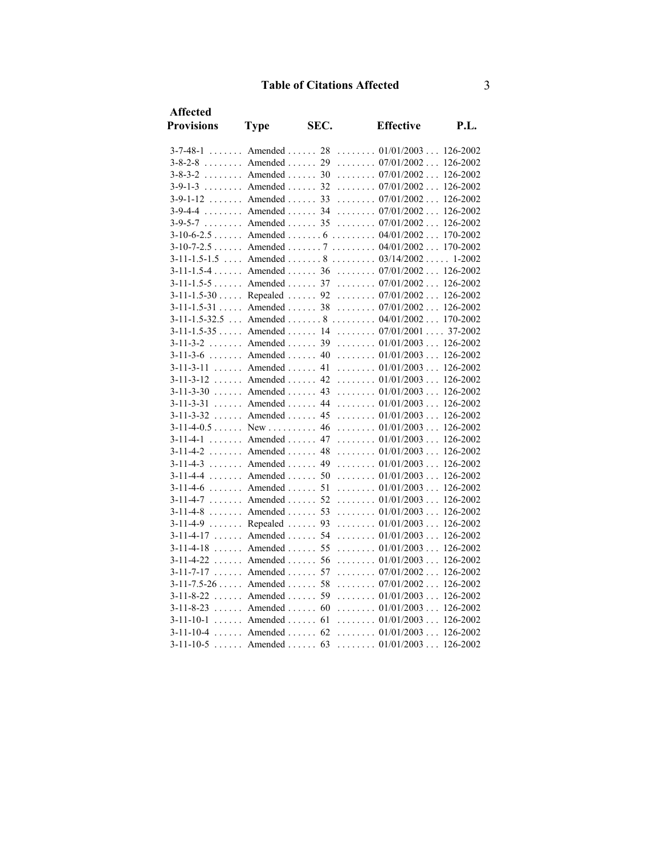| <b>Affected</b>           |                              |      |                                                   |             |
|---------------------------|------------------------------|------|---------------------------------------------------|-------------|
| <b>Provisions</b>         | <b>Type</b>                  | SEC. | <b>Effective</b>                                  | <b>P.L.</b> |
|                           |                              |      | $3-7-48-1$ Amended  28  01/01/2003 126-2002       |             |
| $3-8-2-8$ Amended  29     |                              |      | $\ldots \ldots \ldots 07/01/2002 \ldots 126-2002$ |             |
| $3-8-3-2$ Amended  30     |                              |      | $\ldots \ldots \ldots 07/01/2002 \ldots 126-2002$ |             |
| $3-9-1-3$ Amended  32     |                              |      | $\ldots \ldots \ldots 07/01/2002 \ldots 126-2002$ |             |
| $3-9-1-12$ Amended  33    |                              |      | $\ldots \ldots 07/01/2002 \ldots$                 | 126-2002    |
| $3 - 9 - 4 - 4$           |                              |      | Amended  34 $07/01/2002$ 126-2002                 |             |
| $3-9-5-7$ Amended  35     |                              |      | $\ldots \ldots \ldots 07/01/2002 \ldots 126-2002$ |             |
|                           |                              |      | $3-10-6-2.5$ Amended  6  04/01/2002  170-2002     |             |
|                           |                              |      | 3-10-7-2.5 Amended 7 04/01/2002 170-2002          |             |
|                           |                              |      | $3-11-1.5-1.5$ Amended  8  03/14/2002 1-2002      |             |
|                           |                              |      | $3-11-1.5-4$ Amended  36  07/01/2002  126-2002    |             |
|                           |                              |      | 3-11-1.5-5  Amended  37  07/01/2002  126-2002     |             |
|                           |                              |      | 3-11-1.5-30  Repealed  92  07/01/2002  126-2002   |             |
| $3-11-1.5-31$ Amended  38 |                              |      | $\ldots \ldots \ldots 07/01/2002 \ldots 126-2002$ |             |
|                           |                              |      | $3-11-1.5-32.5$ Amended  8  04/01/2002 170-2002   |             |
|                           |                              |      | $3-11-1.5-35$ Amended  14  07/01/2001 37-2002     |             |
| $3 - 11 - 3 - 2$          | $\ldots$ Amended $\ldots$ 39 |      | $\ldots \ldots \ldots 01/01/2003 \ldots 126-2002$ |             |
|                           |                              |      | $3-11-3-6$ Amended  40  01/01/2003  126-2002      |             |
| $3-11-3-11$ Amended  41   |                              |      | $\ldots \ldots \ldots 01/01/2003 \ldots 126-2002$ |             |
| $3-11-3-12$ Amended  42   |                              |      | $\ldots \ldots \ldots 01/01/2003 \ldots 126-2002$ |             |
| $3-11-3-30$ Amended  43   |                              |      | $\ldots \ldots 01/01/2003 \ldots$                 | 126-2002    |
| $3-11-3-31$ Amended  44   |                              |      | $\ldots \ldots \ldots 01/01/2003 \ldots 126-2002$ |             |
| $3-11-3-32$ Amended  45   |                              |      | $\ldots \ldots \ldots 01/01/2003 \ldots$          | 126-2002    |
| $3-11-4-0.5$ New  46      |                              |      | $\ldots \ldots \ldots 01/01/2003 \ldots 126-2002$ |             |
| $3-11-4-1$ Amended  47    |                              |      | $\ldots \ldots \ldots 01/01/2003 \ldots 126-2002$ |             |
| $3-11-4-2$ Amended  48    |                              |      | $\ldots \ldots \ldots 01/01/2003 \ldots 126-2002$ |             |
| $3-11-4-3$ Amended  49    |                              |      | $\ldots \ldots \ldots 01/01/2003 \ldots 126-2002$ |             |
| $3-11-4-4$ Amended  50    |                              |      | $\ldots \ldots \ldots 01/01/2003 \ldots 126-2002$ |             |
| $3 - 11 - 4 - 6$          | $\ldots$ Amended  51         |      | $\ldots \ldots \ldots 01/01/2003 \ldots 126-2002$ |             |
| $3-11-4-7$ Amended  52    |                              |      | $\ldots \ldots \ldots 01/01/2003 \ldots 126-2002$ |             |
| $3 - 11 - 4 - 8$          | $\ldots$ Amended $\ldots$ 53 |      | $\ldots \ldots \ldots 01/01/2003 \ldots 126-2002$ |             |
| $3-11-4-9$ Repealed       |                              | 93   | $\ldots \ldots \ldots 01/01/2003 \ldots 126-2002$ |             |
| $3-11-4-17$ Amended       |                              | 54   | $\ldots \ldots 01/01/2003 \ldots$                 | 126-2002    |
| $3-11-4-18$ Amended  55   |                              |      | $\ldots \ldots \ldots 01/01/2003 \ldots$          | 126-2002    |
| $3 - 11 - 4 - 22$         | $\ldots$ Amended $\ldots$ 56 |      | $\ldots \ldots \ldots 01/01/2003 \ldots 126-2002$ |             |
| $3-11-7-17$ Amended  57   |                              |      | $\ldots \ldots 07/01/2002 \ldots 126-2002$        |             |
| $3-11-7.5-26$ Amended  58 |                              |      | $\ldots \ldots \ldots 07/01/2002 \ldots 126-2002$ |             |
| $3-11-8-22$ Amended  59   |                              |      | $\ldots \ldots \ldots 01/01/2003 \ldots 126-2002$ |             |
| $3-11-8-23$ Amended  60   |                              |      | $\ldots \ldots \ldots 01/01/2003 \ldots 126-2002$ |             |
| $3-11-10-1$ Amended  61   |                              |      | $\ldots \ldots 01/01/2003 \ldots$                 | 126-2002    |
| $3-11-10-4$ Amended  62   |                              |      | $\ldots \ldots \ldots 01/01/2003 \ldots 126-2002$ |             |
| $3-11-10-5$ Amended       |                              | 63   | $\ldots \ldots \ldots 01/01/2003 \ldots 126-2002$ |             |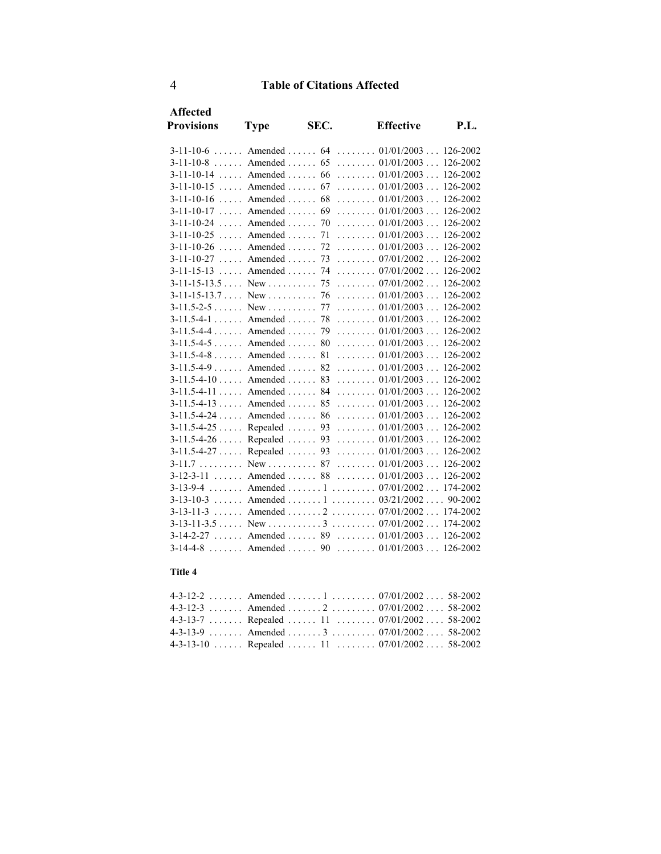| <b>Affected</b>        |             |      |                                                      |          |
|------------------------|-------------|------|------------------------------------------------------|----------|
| <b>Provisions</b>      | <b>Type</b> | SEC. | <b>Effective</b>                                     | P.I.     |
|                        |             |      | $3-11-10-6$ Amended  64  01/01/2003                  | 126-2002 |
| $3-11-10-8$            |             |      | Amended $65$ $01/01/2003$                            | 126-2002 |
| $3-11-10-14$           |             |      | Amended  66 $01/01/2003$                             | 126-2002 |
| $3 - 11 - 10 - 15$     |             |      | Amended $67$ $01/01/2003$                            | 126-2002 |
|                        |             |      | $3-11-10-16$ Amended  68  01/01/2003                 | 126-2002 |
|                        |             |      | $3-11-10-17$ Amended  69  01/01/2003                 | 126-2002 |
|                        |             |      | $3-11-10-24$ Amended  70  01/01/2003                 | 126-2002 |
|                        |             |      | $3-11-10-25$ , Amended , $71$ , $01/01/2003$         | 126-2002 |
|                        |             |      | $3-11-10-26$ Amended  72  01/01/2003                 | 126-2002 |
|                        |             |      | $3-11-10-27$ Amended  73  07/01/2002                 | 126-2002 |
|                        |             |      | $3-11-15-13$ , Amended , 74 , 07/01/2002             | 126-2002 |
|                        |             |      |                                                      | 126-2002 |
|                        |             |      | $3-11-15-13.7$ New $\dots$ $76$ $\dots$ $01/01/2003$ | 126-2002 |
|                        |             |      |                                                      | 126-2002 |
|                        |             |      | $3-11.5-4-1$ Amended  78  01/01/2003                 | 126-2002 |
|                        |             |      | $3-11.5-4-4$ Amended  79  01/01/2003                 | 126-2002 |
|                        |             |      |                                                      | 126-2002 |
|                        |             |      | $3-11.5-4-8$ Amended 81  01/01/2003                  | 126-2002 |
|                        |             |      | $3-11.5-4-9$ Amended  82  01/01/2003                 | 126-2002 |
|                        |             |      | $3-11.5-4-10$ Amended 83  01/01/2003                 | 126-2002 |
|                        |             |      | $3-11.5-4-11$ Amended  84  01/01/2003                | 126-2002 |
|                        |             |      | $3-11.5-4-13$ Amended  85  01/01/2003                | 126-2002 |
|                        |             |      | $3-11.5-4-24$ Amended 86  01/01/2003                 | 126-2002 |
|                        |             |      | $3-11.5-4-25$ Repealed  93  01/01/2003               | 126-2002 |
|                        |             |      | 3-11.5-4-26  Repealed  93  01/01/2003  126-2002      |          |
|                        |             |      | $3-11.5-4-27$ Repealed  93  01/01/2003               | 126-2002 |
|                        |             |      |                                                      |          |
|                        |             |      | $3-12-3-11$ Amended  88  01/01/2003  126-2002        |          |
|                        |             |      | 3-13-9-4 Amended 1 07/01/2002 174-2002               |          |
|                        |             |      | $3-13-10-3$ Amended  1  03/21/2002 90-2002           |          |
|                        |             |      | $3-13-11-3$ Amended  2  07/01/2002 174-2002          |          |
|                        |             |      |                                                      |          |
|                        |             |      | $3-14-2-27$ Amended  89  01/01/2003  126-2002        |          |
| $3-14-4-8$ Amended  90 |             |      | $\ldots \ldots \ldots 01/01/2003 \ldots 126-2002$    |          |

### **Title 4**

| 4-3-12-2  Amended  1  07/01/2002  58-2002    |  |  |
|----------------------------------------------|--|--|
| 4-3-12-3 Amended 2 07/01/2002 58-2002        |  |  |
| 4-3-13-7  Repealed  11  07/01/2002 58-2002   |  |  |
| 4-3-13-9 Amended 3 07/01/2002 58-2002        |  |  |
| $4-3-13-10$ Repealed  11  07/01/2002 58-2002 |  |  |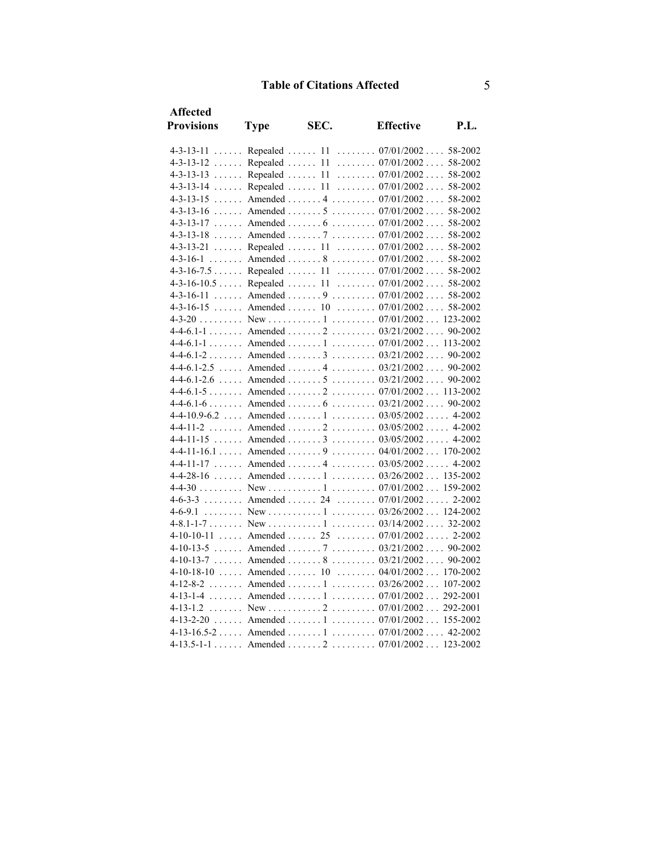| <b>Affected</b>            |             |      |                                              |          |
|----------------------------|-------------|------|----------------------------------------------|----------|
| <b>Provisions</b>          | <b>Type</b> | SEC. | <b>Effective</b>                             | P.I.     |
| $4 - 3 - 13 - 11$          |             |      | Repealed  11  07/01/2002  58-2002            |          |
| $4 - 3 - 13 - 12$          |             |      | Repealed  11  07/01/2002 58-2002             |          |
| $4 - 3 - 13 - 13$          |             |      | Repealed  11  07/01/2002 58-2002             |          |
| $4 - 3 - 13 - 14$          |             |      | Repealed  11  07/01/2002  58-2002            |          |
| $4 - 3 - 13 - 15$          |             |      | Amended  4  07/01/2002  58-2002              |          |
| $4 - 3 - 13 - 16$          |             |      | Amended 5 07/01/2002 58-2002                 |          |
| $4 - 3 - 13 - 17$          |             |      | Amended  6  07/01/2002 58-2002               |          |
| $4 - 3 - 13 - 18$          |             |      | Amended 7 07/01/2002 58-2002                 |          |
| $4 - 3 - 13 - 21$          |             |      | Repealed  11  07/01/2002  58-2002            |          |
| $4 - 3 - 16 - 1$           |             |      | Amended  8  07/01/2002  58-2002              |          |
|                            |             |      | 4-3-16-7.5 Repealed 11 07/01/2002 58-2002    |          |
| $4 - 3 - 16 - 10.5 \ldots$ |             |      | Repealed  11  07/01/2002  58-2002            |          |
| $4 - 3 - 16 - 11$          |             |      | Amended  9  07/01/2002  58-2002              |          |
| $4-3-16-15$                |             |      | Amended  10 $07/01/2002$ 58-2002             |          |
|                            |             |      |                                              |          |
| $4-4-6.1-1$                |             |      | Amended 2 03/21/2002 90-2002                 |          |
|                            |             |      | 4-4-6.1-1 Amended 1 07/01/2002 113-2002      |          |
|                            |             |      | $4-4-6.1-2$ Amended  3  03/21/2002 90-2002   |          |
| $4-4-6.1-2.5$              |             |      | Amended 4 03/21/2002                         | 90-2002  |
| $4-4-6.1-2.6$              |             |      | Amended  5 $03/21/2002$                      | 90-2002  |
|                            |             |      | $4-4-6.1-5$ Amended  2  07/01/2002 113-2002  |          |
|                            |             |      |                                              |          |
|                            |             |      | 4-4-10.9-6.2  Amended  1  03/05/2002  4-2002 |          |
|                            |             |      | 4-4-11-2 Amended 2 03/05/2002 4-2002         |          |
|                            |             |      | 4-4-11-15  Amended  3  03/05/2002 4-2002     |          |
| $4-4-11-16.1$              |             |      | Amended 9 04/01/2002 170-2002                |          |
| $4-4-11-17$                |             |      | Amended 4 03/05/2002 4-2002                  |          |
|                            |             |      | $4-4-28-16$ Amended  1 $03/26/2002$ 135-2002 |          |
|                            |             |      |                                              |          |
|                            |             |      | 4-6-3-3 Amended 24 07/01/2002 2-2002         |          |
| $4 - 6 - 9.1$              |             |      |                                              |          |
| $4 - 8.1 - 1 - 7$          |             |      |                                              |          |
| $4-10-10-11$               |             |      | Amended  25  07/01/2002  2-2002              |          |
| $4-10-13-5$                |             |      | Amended 7 03/21/2002 90-2002                 |          |
| $4-10-13-7$                |             |      | Amended  8 $03/21/2002$                      | 90-2002  |
| $4-10-18-10$               |             |      | Amended  10  04/01/2002  170-2002            |          |
|                            |             |      | 4-12-8-2 Amended 1 03/26/2002 107-2002       |          |
|                            |             |      | 4-13-1-4  Amended  1  07/01/2002  292-2001   |          |
|                            |             |      |                                              | 292-2001 |
|                            |             |      | 4-13-2-20 Amended 1 07/01/2002 155-2002      |          |
|                            |             |      | $4-13-16.5-2$ Amended  1  07/01/2002 42-2002 |          |
|                            |             |      | $4-13.5-1-1$ Amended  2  07/01/2002 123-2002 |          |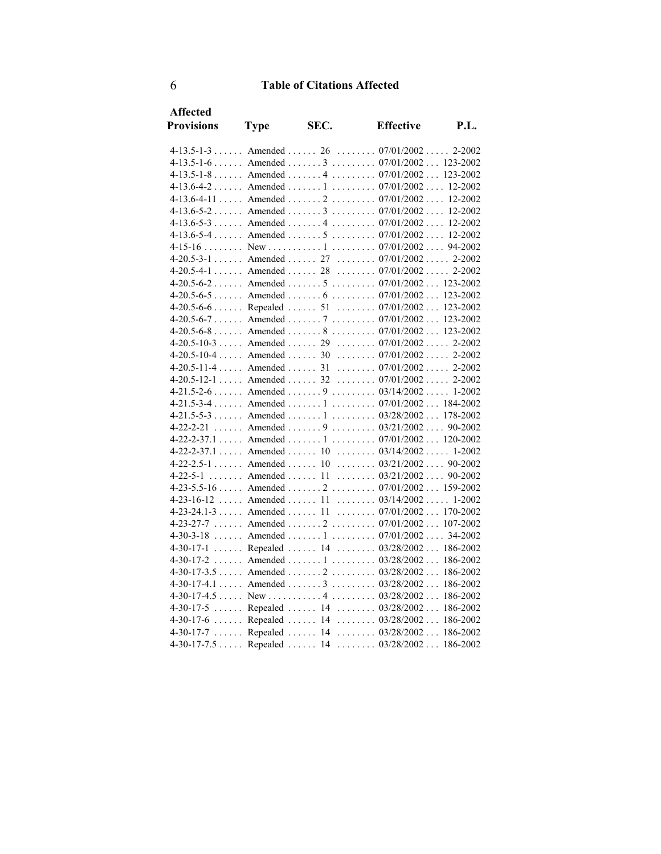| <b>Affected</b>   |             |      |                                                |          |
|-------------------|-------------|------|------------------------------------------------|----------|
| <b>Provisions</b> | <b>Type</b> | SEC. | <b>Effective</b>                               | P.I.     |
|                   |             |      | $4-13.5-1-3$ Amended  26  07/01/2002 2-2002    |          |
|                   |             |      | $4-13.5-1-6$ Amended  3  07/01/2002 123-2002   |          |
|                   |             |      | 4-13.5-1-8 Amended 4 07/01/2002 123-2002       |          |
|                   |             |      | $4-13.6-4-2$ Amended  1  07/01/2002 12-2002    |          |
|                   |             |      | $4-13.6-4-11$ Amended  2  07/01/2002 12-2002   |          |
|                   |             |      | $4-13.6-5-2$ Amended  3  07/01/2002 12-2002    |          |
|                   |             |      | $4-13.6-5-3$ Amended  4  07/01/2002 12-2002    |          |
|                   |             |      | $4-13.6-5-4$ Amended  5  07/01/2002 12-2002    |          |
|                   |             |      |                                                |          |
|                   |             |      | $4-20.5-3-1$ Amended  27  07/01/2002 2-2002    |          |
|                   |             |      | 4-20.5-4-1  Amended  28  07/01/2002  2-2002    |          |
|                   |             |      | $4-20.5-6-2$ Amended  5  07/01/2002 123-2002   |          |
|                   |             |      | $4-20.5-6-5$ Amended  6  07/01/2002 123-2002   |          |
|                   |             |      | $4-20.5-6-6$ Repealed  51  07/01/2002 123-2002 |          |
|                   |             |      | $4-20.5-6-7$ Amended  7  07/01/2002  123-2002  |          |
|                   |             |      | $4-20.5-6-8$ Amended  8  07/01/2002  123-2002  |          |
|                   |             |      | $4-20.5-10-3$ Amended  29  07/01/2002  2-2002  |          |
|                   |             |      | $4-20.5-10-4$ Amended  30  07/01/2002 2-2002   |          |
|                   |             |      | $4-20.5-11-4$ Amended  31  07/01/2002 2-2002   |          |
|                   |             |      | 4-20.5-12-1  Amended  32  07/01/2002  2-2002   |          |
|                   |             |      | $4-21.5-2-6$ Amended  9  03/14/2002 1-2002     |          |
|                   |             |      | $4-21.5-3-4$ Amended  1  07/01/2002  184-2002  |          |
|                   |             |      | $4-21.5-5-3$ Amended  1  03/28/2002  178-2002  |          |
|                   |             |      | 4-22-2-21 Amended 9 03/21/2002 90-2002         |          |
|                   |             |      | 4-22-2-37.1 Amended 1 07/01/2002 120-2002      |          |
|                   |             |      | 4-22-2-37.1 Amended 10 03/14/2002 1-2002       |          |
|                   |             |      | $4-22-2.5-1$ Amended  10  03/21/2002 90-2002   |          |
|                   |             |      | 4-22-5-1 Amended 11 03/21/2002 90-2002         |          |
|                   |             |      | $4-23-5.5-16$ Amended  2  07/01/2002  159-2002 |          |
|                   |             |      | $4-23-16-12$ Amended  11  03/14/2002 1-2002    |          |
|                   |             |      | 4-23-24.1-3  Amended  11  07/01/2002  170-2002 |          |
|                   |             |      | 4-23-27-7 Amended 2 07/01/2002 107-2002        |          |
|                   |             |      | 4-30-3-18  Amended  1  07/01/2002  34-2002     |          |
|                   |             |      | 4-30-17-1  Repealed  14  03/28/2002  186-2002  |          |
|                   |             |      | $4-30-17-2$ Amended  1  03/28/2002             | 186-2002 |
|                   |             |      | $4-30-17-3.5$ Amended $2$ $03/28/2002$         | 186-2002 |
|                   |             |      | 4-30-17-4.1  Amended  3  03/28/2002  186-2002  |          |
|                   |             |      |                                                | 186-2002 |
|                   |             |      | 4-30-17-5  Repealed  14  03/28/2002            | 186-2002 |
|                   |             |      | 4-30-17-6  Repealed  14  03/28/2002  186-2002  |          |
|                   |             |      | 4-30-17-7  Repealed  14 $03/28/2002$ 186-2002  |          |
|                   |             |      | 4-30-17-7.5 Repealed 14 03/28/2002 186-2002    |          |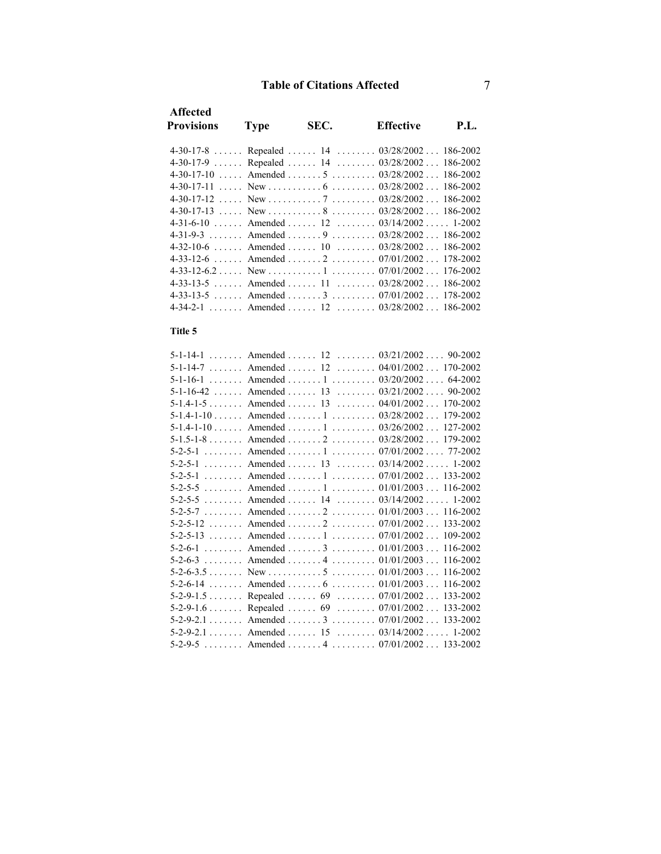| <b>Type</b> | SEC. | <b>Effective</b> | <b>P.L.</b>                                                                                                                                                                                                                                                                                                                                                                                                                                                                                                                               |
|-------------|------|------------------|-------------------------------------------------------------------------------------------------------------------------------------------------------------------------------------------------------------------------------------------------------------------------------------------------------------------------------------------------------------------------------------------------------------------------------------------------------------------------------------------------------------------------------------------|
|             |      |                  |                                                                                                                                                                                                                                                                                                                                                                                                                                                                                                                                           |
|             |      |                  |                                                                                                                                                                                                                                                                                                                                                                                                                                                                                                                                           |
|             |      |                  |                                                                                                                                                                                                                                                                                                                                                                                                                                                                                                                                           |
|             |      |                  |                                                                                                                                                                                                                                                                                                                                                                                                                                                                                                                                           |
|             |      |                  |                                                                                                                                                                                                                                                                                                                                                                                                                                                                                                                                           |
|             |      |                  |                                                                                                                                                                                                                                                                                                                                                                                                                                                                                                                                           |
|             |      |                  |                                                                                                                                                                                                                                                                                                                                                                                                                                                                                                                                           |
|             |      |                  |                                                                                                                                                                                                                                                                                                                                                                                                                                                                                                                                           |
|             |      |                  |                                                                                                                                                                                                                                                                                                                                                                                                                                                                                                                                           |
|             |      |                  |                                                                                                                                                                                                                                                                                                                                                                                                                                                                                                                                           |
|             |      |                  |                                                                                                                                                                                                                                                                                                                                                                                                                                                                                                                                           |
|             |      |                  |                                                                                                                                                                                                                                                                                                                                                                                                                                                                                                                                           |
|             |      |                  |                                                                                                                                                                                                                                                                                                                                                                                                                                                                                                                                           |
|             |      |                  |                                                                                                                                                                                                                                                                                                                                                                                                                                                                                                                                           |
|             |      |                  | 4-30-17-8  Repealed  14  03/28/2002  186-2002<br>4-30-17-9  Repealed  14  03/28/2002 186-2002<br>$4-30-17-10$ Amended  5  03/28/2002 186-2002<br>$4-30-17-13$ , New , , 8 , , 03/28/2002 186-2002<br>$4-31-6-10$ Amended  12 $03/14/2002$ 1-2002<br>4-31-9-3 Amended 9 03/28/2002 186-2002<br>$4-32-10-6$ Amended  10 $03/28/2002$ 186-2002<br>4-33-12-6  Amended  2  07/01/2002 178-2002<br>4-33-13-5 Amended 11 03/28/2002 186-2002<br>$4-33-13-5$ Amended  3 $07/01/2002$ 178-2002<br>$4-34-2-1$ , Amended , 12 , 03/28/2002  186-2002 |

### **Title 5**

| 5-1-14-1 Amended 12 03/21/2002 90-2002   |            |
|------------------------------------------|------------|
| 5-1-14-7 Amended 12 04/01/2002           | 170-2002   |
| 5-1-16-1  Amended  1 $03/20/2002$        | 64-2002    |
| 5-1-16-42  Amended  13 $03/21/2002$      | 90-2002    |
| 5-1.4-1-5 Amended 13 04/01/2002 170-2002 |            |
| 5-1.4-1-10 Amended 1 03/28/2002          | 179-2002   |
| 5-1.4-1-10 Amended 1 03/26/2002          | 127-2002   |
| 5-1.5-1-8 Amended 2 03/28/2002           | 179-2002   |
| 5-2-5-1 Amended 1 07/01/2002 77-2002     |            |
| 5-2-5-1 Amended 13 03/14/2002            | $1 - 2002$ |
| 5-2-5-1 Amended 1 07/01/2002 133-2002    |            |
| 5-2-5-5 Amended 1 01/01/2003             | 116-2002   |
| 5-2-5-5 Amended 14 03/14/2002 1-2002     |            |
| 5-2-5-7 Amended 2 01/01/2003 116-2002    |            |
| 5-2-5-12  Amended  2  07/01/2002         | 133-2002   |
| 5-2-5-13  Amended  1  07/01/2002         | 109-2002   |
| 5-2-6-1 Amended 3 01/01/2003             | 116-2002   |
| 5-2-6-3 Amended 4 01/01/2003             | 116-2002   |
|                                          |            |
| 5-2-6-14  Amended  6  01/01/2003         | 116-2002   |
| 5-2-9-1.5 Repealed 69 07/01/2002         | 133-2002   |
| 5-2-9-1.6 Repealed 69 07/01/2002         | 133-2002   |
| 5-2-9-2.1 Amended 3 07/01/2002 133-2002  |            |
| 5-2-9-2.1 Amended 15 03/14/2002          | $1 - 2002$ |
| 5-2-9-5 Amended 4 07/01/2002 133-2002    |            |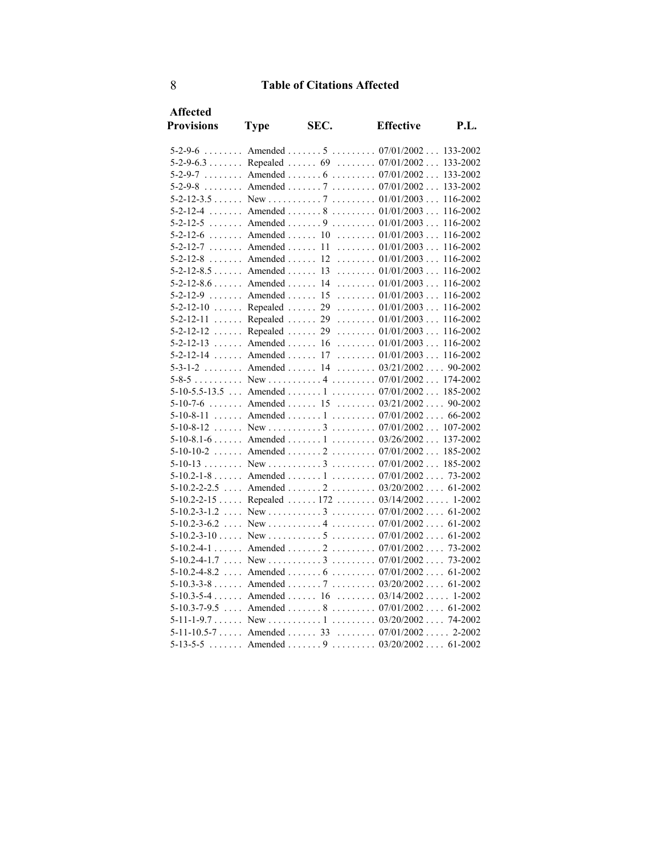| <b>Affected</b>          |                    |      |                                                   |             |
|--------------------------|--------------------|------|---------------------------------------------------|-------------|
| <b>Provisions</b>        | <b>Type</b>        | SEC. | <b>Effective</b>                                  | <b>P.L.</b> |
|                          |                    |      | 5-2-9-6 Amended 5 07/01/2002 133-2002             |             |
|                          |                    |      | 5-2-9-6.3 Repealed 69 07/01/2002 133-2002         |             |
| $5 - 2 - 9 - 7$          |                    |      | Amended 6 07/01/2002 133-2002                     |             |
|                          |                    |      | 5-2-9-8  Amended  7  07/01/2002  133-2002         |             |
|                          |                    |      |                                                   | 116-2002    |
| $5 - 2 - 12 - 4$         |                    |      | Amended 8 01/01/2003 116-2002                     |             |
| $5 - 2 - 12 - 5$         |                    |      | Amended  9 $01/01/2003$                           | 116-2002    |
|                          |                    |      | 5-2-12-6 Amended 10 01/01/2003                    | 116-2002    |
| $5 - 2 - 12 - 7$         |                    |      | Amended 11 01/01/2003 116-2002                    |             |
| $5 - 2 - 12 - 8$         | Amended $\dots$ 12 |      | $\ldots \ldots \ldots 01/01/2003 \ldots 116-2002$ |             |
| $5-2-12-8.5$ Amended  13 |                    |      | $\ldots \ldots \ldots 01/01/2003 \ldots 116-2002$ |             |
|                          |                    |      | 5-2-12-8.6 Amended 14 01/01/2003 116-2002         |             |
| $5 - 2 - 12 - 9$         | Amended  15        |      | $\ldots \ldots \ldots 01/01/2003 \ldots 116-2002$ |             |
| $5-2-12-10$              | Repealed  29       |      | $\ldots \ldots 01/01/2003 \ldots$                 | 116-2002    |
| $5 - 2 - 12 - 11$        | Repealed           |      | $29$ 01/01/2003 116-2002                          |             |
| $5 - 2 - 12 - 12$        | Repealed           | 29   | $\ldots \ldots \ldots 01/01/2003 \ldots 116-2002$ |             |
| $5 - 2 - 12 - 13$        | Amended  16        |      | $\ldots \ldots \ldots 01/01/2003 \ldots 116-2002$ |             |
|                          |                    |      | 5-2-12-14  Amended  17  01/01/2003  116-2002      |             |
| $5 - 3 - 1 - 2$          |                    |      | Amended  14  03/21/2002 90-2002                   |             |
|                          |                    |      |                                                   |             |
|                          |                    |      | 5-10-5.5-13.5  Amended  1  07/01/2002 185-2002    |             |
|                          |                    |      | 5-10-7-6 Amended 15 03/21/2002 90-2002            |             |
|                          |                    |      | 5-10-8-11  Amended  1  07/01/2002  66-2002        |             |
|                          |                    |      |                                                   |             |
|                          |                    |      | $5-10-8.1-6$ Amended 1  03/26/2002 137-2002       |             |
|                          |                    |      | 5-10-10-2  Amended  2  07/01/2002  185-2002       |             |
|                          |                    |      | 5-10-13 New 07/01/2002 185-2002                   |             |
|                          |                    |      | $5-10.2-1-8$ Amended 1  07/01/2002 73-2002        |             |
|                          |                    |      | 5-10.2-2-2.5  Amended  2  03/20/2002 61-2002      |             |
| $5-10.2-2-15$            |                    |      | Repealed  172  03/14/2002  1-2002                 |             |
|                          |                    |      |                                                   |             |
| $5-10.2-3-6.2$           |                    |      |                                                   |             |
| $5-10.2-3-10$            |                    |      |                                                   |             |
|                          |                    |      | 5-10.2-4-1 Amended 2 07/01/2002 73-2002           |             |
|                          |                    |      |                                                   |             |
|                          |                    |      | 5-10.2-4-8.2  Amended  6  07/01/2002  61-2002     |             |
|                          |                    |      | 5-10.3-3-8 Amended 7 03/20/2002 61-2002           |             |
|                          |                    |      | 5-10.3-5-4  Amended  16  03/14/2002  1-2002       |             |
|                          |                    |      | 5-10.3-7-9.5  Amended  8  07/01/2002  61-2002     |             |
|                          |                    |      |                                                   |             |
|                          |                    |      | 5-11-10.5-7  Amended  33  07/01/2002  2-2002      |             |
| $5 - 13 - 5 - 5$         |                    |      | Amended  9  03/20/2002 61-2002                    |             |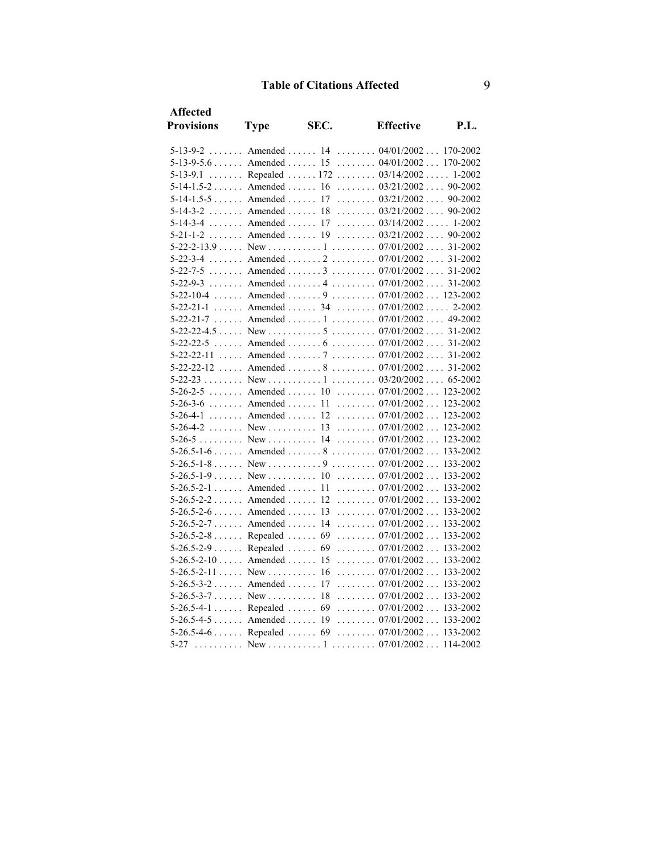| <b>Affected</b>   |                              |      |                                                   |          |
|-------------------|------------------------------|------|---------------------------------------------------|----------|
| <b>Provisions</b> | <b>Type</b>                  | SEC. | <b>Effective</b>                                  | P.L.     |
|                   |                              |      | 5-13-9-2  Amended  14  04/01/2002  170-2002       |          |
|                   |                              |      | 5-13-9-5.6 Amended 15 04/01/2002 170-2002         |          |
| $5 - 13 - 9.1$    |                              |      | Repealed  172 $03/14/2002$ 1-2002                 |          |
|                   |                              |      | 5-14-1.5-2  Amended  16  03/21/2002  90-2002      |          |
|                   |                              |      | 5-14-1.5-5 Amended 17 03/21/2002 90-2002          |          |
|                   |                              |      | 5-14-3-2  Amended  18  03/21/2002 90-2002         |          |
| $5 - 14 - 3 - 4$  | $\ldots$ Amended $\ldots$ 17 |      | $\ldots \ldots 03/14/2002 \ldots 1-2002$          |          |
|                   | $5-21-1-2$ Amended  19       |      | $\ldots \ldots \ldots 03/21/2002 \ldots 90-2002$  |          |
|                   |                              |      |                                                   |          |
|                   |                              |      | 5-22-3-4 Amended 2 07/01/2002 31-2002             |          |
|                   |                              |      | 5-22-7-5 Amended 3 07/01/2002 31-2002             |          |
|                   |                              |      | 5-22-9-3  Amended  4  07/01/2002  31-2002         |          |
|                   |                              |      | 5-22-10-4  Amended  9  07/01/2002  123-2002       |          |
|                   |                              |      | 5-22-21-1 Amended 34 07/01/2002 2-2002            |          |
|                   |                              |      | 5-22-21-7  Amended  1  07/01/2002  49-2002        |          |
|                   |                              |      |                                                   |          |
|                   |                              |      | 5-22-22-5  Amended  6  07/01/2002  31-2002        |          |
|                   |                              |      | 5-22-22-11  Amended  7  07/01/2002  31-2002       |          |
|                   |                              |      | 5-22-22-12  Amended  8  07/01/2002  31-2002       |          |
|                   |                              |      |                                                   |          |
|                   |                              |      | 5-26-2-5 Amended 10 07/01/2002 123-2002           |          |
|                   |                              |      | 5-26-3-6  Amended  11  07/01/2002  123-2002       |          |
| $5 - 26 - 4 - 1$  |                              |      | Amended  12  07/01/2002 123-2002                  |          |
|                   |                              |      |                                                   |          |
|                   |                              |      |                                                   |          |
|                   |                              |      | 5-26.5-1-6  Amended  8  07/01/2002  133-2002      |          |
|                   |                              |      |                                                   |          |
|                   |                              |      |                                                   |          |
|                   |                              |      | 5-26.5-2-1 Amended 11 07/01/2002 133-2002         |          |
|                   |                              |      | $5-26.5-2-2$ Amended  12  07/01/2002 133-2002     |          |
|                   | $5-26.5-2-6$ Amended 13      |      | $\ldots \ldots \ldots 07/01/2002 \ldots 133-2002$ |          |
| $5-26.5-2-7$      | Amended  14                  |      | $\ldots \ldots \ldots 07/01/2002 \ldots 133-2002$ |          |
|                   | $5-26.5-2-8$ Repealed        | 69   | $\ldots \ldots 07/01/2002 \ldots$                 | 133-2002 |
|                   | $5-26.5-2-9$ Repealed        | 69   | $\ldots \ldots \ldots 07/01/2002 \ldots 133-2002$ |          |
| $5-26.5-2-10$     | Amended                      | 15   | $\ldots \ldots 07/01/2002 \ldots 133-2002$        |          |
| $5-26.5-2-11$     | $New$                        | 16   | $\ldots \ldots 07/01/2002 \ldots 133-2002$        |          |
|                   | 5-26.5-3-2 Amended 17        |      | $\ldots \ldots \ldots 07/01/2002 \ldots 133-2002$ |          |
|                   | $5-26.5-3-7$ New             | 18   | $\ldots \ldots \ldots 07/01/2002 \ldots 133-2002$ |          |
|                   | 5-26.5-4-1 Repealed 69       |      | $\ldots \ldots \ldots 07/01/2002 \ldots 133-2002$ |          |
|                   | $5-26.5-4-5$ Amended 19      |      | $\ldots \ldots 07/01/2002 \ldots 133-2002$        |          |
|                   |                              |      | $5-26.5-4-6$ Repealed  69  07/01/2002 133-2002    |          |
| $5 - 27$          |                              |      |                                                   |          |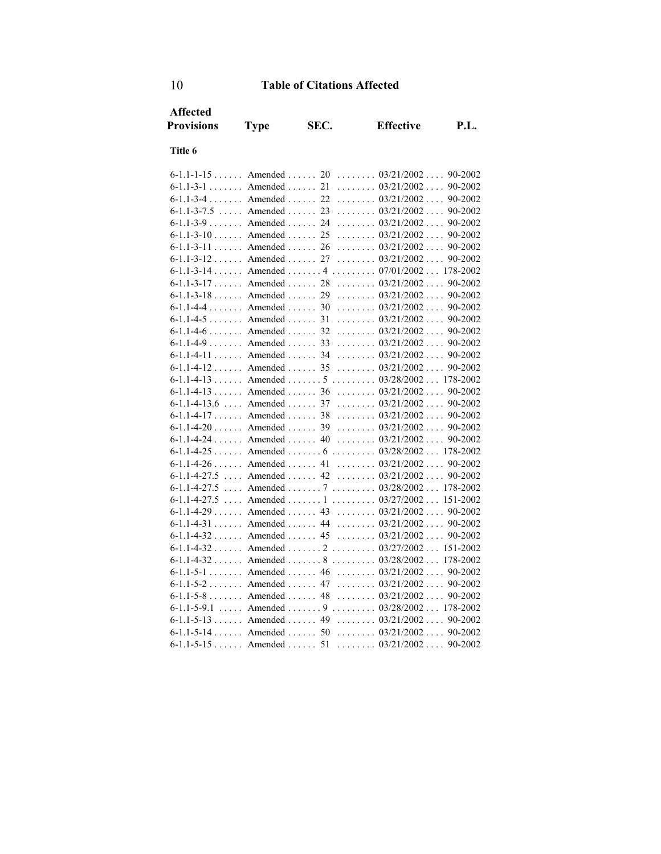| <b>Affected</b><br><b>Provisions</b> | <b>Type</b>               | SEC.           | <b>Effective</b>                                              | <b>P.L.</b> |
|--------------------------------------|---------------------------|----------------|---------------------------------------------------------------|-------------|
| Title 6                              |                           |                |                                                               |             |
| $6 - 1.1 - 1 - 15$                   | Amended $\ldots$          | 20             | $\ldots \ldots \ldots 03/21/2002 \ldots 90-2002$              |             |
| $6 - 1.1 - 3 - 1$                    | Amended                   | 21             | $\ldots \ldots 03/21/2002 \ldots$                             | 90-2002     |
| $6 - 1.1 - 3 - 4$                    | Amended                   | 22<br>.        | 03/21/2002                                                    | 90-2002     |
| $6 - 1.1 - 3 - 7.5$<br>$\cdots$      | Amended $\ldots$          | 23<br>.        | 03/21/2002                                                    | 90-2002     |
| $6-1.1-3-9$ Amended                  |                           | 24             | $\ldots \ldots 03/21/2002 \ldots$                             | 90-2002     |
| $6-1.1-3-10$ Amended                 |                           | 25<br>.        | 03/21/2002                                                    | 90-2002     |
| a a a a an<br>$6 - 1.1 - 3 - 11$     | Amended.                  | 26<br>.        | $\ldots \ldots 03/21/2002$<br>sta si                          | 90-2002     |
| $6 - 1.1 - 3 - 12$                   | Amended                   | 27             | $\ldots \ldots 03/21/2002 \ldots$                             | 90-2002     |
| $6 - 1.1 - 3 - 14$                   |                           |                | Amended 4 07/01/2002                                          | 178-2002    |
| $6-1.1-3-17$ Amended                 |                           | 28             | $\ldots \ldots 03/21/2002 \ldots$                             | 90-2002     |
| $6 - 1.1 - 3 - 18$                   | Amended $\ldots$          | 29             | $\ldots \ldots 03/21/2002 \ldots$                             | 90-2002     |
| $6 - 1.1 - 4 - 4$                    | Amended                   | 30             | $\ldots \ldots 03/21/2002 \ldots$                             | 90-2002     |
| $6-1.1-4-5$ . The Amended . The same |                           | 31             | 03/21/2002                                                    | 90-2002     |
| $6 - 1.1 - 4 - 6$                    | Amended $\ldots$          | 32<br>.        | 03/21/2002                                                    | 90-2002     |
| $6-1.1-4-9$ Amended                  |                           | 33             | $\ldots \ldots 03/21/2002 \ldots$                             | 90-2002     |
| $6-1.1-4-11$ Amended                 |                           | 34<br>$\cdots$ | $\ldots \ldots 03/21/2002 \ldots$                             | 90-2002     |
| $6-1.1-4-12$ Amended $35$            |                           | .              | 03/21/2002                                                    | 90-2002     |
|                                      |                           |                | $6-1.1-4-13$ Amended  5  03/28/2002 178-2002                  |             |
| $6 - 1.1 - 4 - 13$                   | Amended $\ldots$          | 36             | $\ldots \ldots \ldots 03/21/2002 \ldots$                      | 90-2002     |
| $6-1.1-4-13.6$                       | $\ldots$ Amended $\ldots$ | 37             | $\ldots \ldots 03/21/2002 \ldots$                             | 90-2002     |
| $6-1.1-4-17$ Amended                 |                           | 38             | $\ldots \ldots 03/21/2002 \ldots$                             | 90-2002     |
| $6-1.1-4-20$                         | Amended                   | 39<br>.        | 03/21/2002                                                    | 90-2002     |
| $\cdots$<br>$6 - 1.1 - 4 - 24$       | Amended                   | 40             | $\ldots \ldots 03/21/2002 \ldots$                             | 90-2002     |
| $6-1.1-4-25$                         | Amended $\dots \dots 6$   |                | $\ldots \ldots \ldots 03/28/2002 \ldots$                      | 178-2002    |
| $6 - 1.1 - 4 - 26$                   | Amended                   | 41             | $\ldots \ldots 03/21/2002 \ldots$                             | 90-2002     |
| $6 - 1.1 - 4 - 27.5$                 | $\ldots$ Amended $\ldots$ | 42             | $\ldots \ldots \ldots 03/21/2002 \ldots$                      | 90-2002     |
| $6 - 1.1 - 4 - 27.5$                 | $\cdots$                  |                | Amended 7 03/28/2002                                          | 178-2002    |
| $6 - 1.1 - 4 - 27.5$                 | Amended 1<br>$\ldots$     |                | $\ldots \ldots 03/27/2002 \ldots$                             | 151-2002    |
| $6-1.1-4-29$ Amended                 |                           | 43             | $\ldots \ldots 03/21/2002 \ldots$                             | 90-2002     |
| $6 - 1.1 - 4 - 31$                   | Amended                   | 44             | $\ldots \ldots \ldots 03/21/2002 \ldots$                      | 90-2002     |
| $6-1.1-4-32$                         | Amended                   | 45             | $\ldots \ldots 03/21/2002 \ldots$                             | 90-2002     |
| $6 - 1.1 - 4 - 32$ Amended  2        |                           |                | $\ldots \ldots \ldots 03/27/2002 \ldots$                      | 151-2002    |
| $6-1.1-4-32$ Amended  8              |                           |                | $\ldots \ldots \ldots 03/28/2002 \ldots$                      | 178-2002    |
| $6-1.1-5-1$ . Amended 46             |                           |                | 03/21/2002                                                    | 90-2002     |
| $6 - 1.1 - 5 - 2$                    | Amended                   | 47             | $\ldots \ldots 03/21/2002 \ldots$                             | 90-2002     |
| $6-1.1-5-8$ Amended                  |                           | 48             | $\ldots \ldots 03/21/2002 \ldots$                             | 90-2002     |
| $6 - 1.1 - 5 - 9.1$                  |                           |                | $\ldots$ Amended $\ldots$ , 9 $\ldots$ , 03/28/2002  178-2002 |             |
| $6-1.1-5-13$ Amended 49              |                           |                | $\ldots \ldots 03/21/2002 \ldots$                             | 90-2002     |
| $6 - 1.1 - 5 - 14$                   | $\ldots$ . Amended        | 50             | $\ldots \ldots 03/21/2002 \ldots 90-2002$                     |             |
| $6-1.1-5-15$ Amended  51             |                           |                | $\ldots \ldots \ldots 03/21/2002 \ldots$                      | 90-2002     |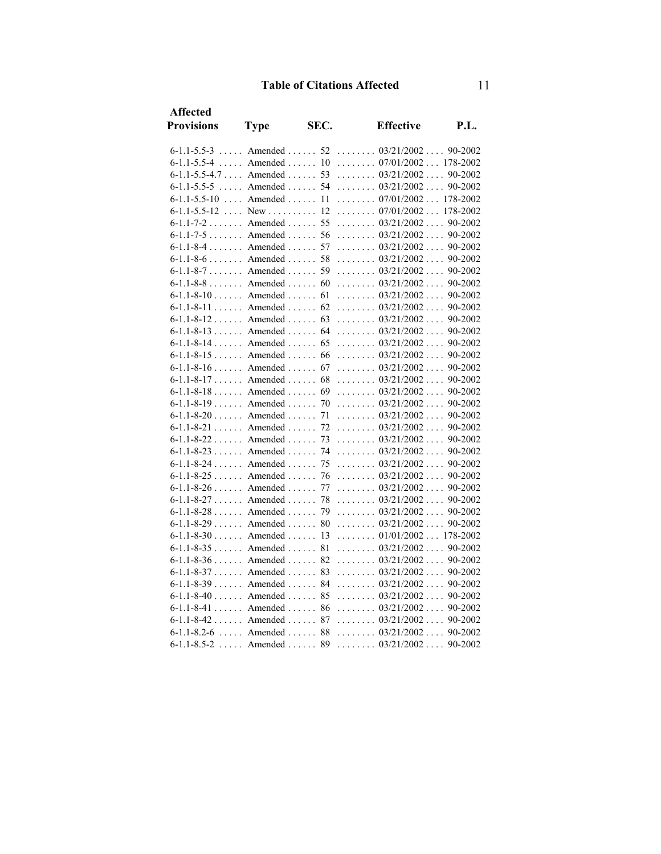| <b>Affected</b>      |                                 |      |                                                   |          |
|----------------------|---------------------------------|------|---------------------------------------------------|----------|
| <b>Provisions</b>    | <b>Type</b>                     | SEC. | <b>Effective</b>                                  | P.L.     |
| $6 - 1.1 - 5.5 - 3$  | $\ldots$ Amended $\ldots$       | 52   | $\ldots \ldots 03/21/2002 \ldots 90-2002$         |          |
| $6 - 1.1 - 5.5 - 4$  | Amended<br>$\mathbb{R}^2$       | 10   | $\ldots \ldots 07/01/2002 \ldots 178-2002$        |          |
| $6-1.1-5.5-4.7$      | Amended                         | 53   | $\ldots \ldots 03/21/2002 \ldots$                 | 90-2002  |
| $6 - 1.1 - 5.5 - 5$  | Amended<br>$\mathbb{R}$         | 54   | $\ldots \ldots \ldots 03/21/2002 \ldots$          | 90-2002  |
| $6-1.1-5.5-10$       | $\ldots$ Amended $\ldots$<br>l. | 11   | $\ldots \ldots 07/01/2002 \ldots$                 | 178-2002 |
| $6 - 1.1 - 5.5 - 12$ | New                             | 12   | $\ldots \ldots 07/01/2002 \ldots$                 | 178-2002 |
| $6 - 1.1 - 7 - 2$    | Amended $\ldots$                | 55   | $\ldots \ldots \ldots 03/21/2002 \ldots$          | 90-2002  |
|                      | $6-1.1-7-5$ Amended             | 56   | $\ldots \ldots \ldots 03/21/2002 \ldots$          | 90-2002  |
|                      | $6-1.1-8-4$ Amended             | 57   | $\ldots \ldots \ldots 03/21/2002 \ldots$          | 90-2002  |
| $6 - 1.1 - 8 - 6$    | Amended                         | 58   | $\ldots \ldots \ldots 03/21/2002 \ldots$          | 90-2002  |
|                      | $6-1.1-8-7$ Amended             | 59   | $\ldots \ldots 03/21/2002 \ldots$                 | 90-2002  |
|                      | $6-1.1-8-8$ Amended             | 60   | $\ldots \ldots \ldots 03/21/2002 \ldots$          | 90-2002  |
|                      | $6-1.1-8-10$ Amended            | 61   | $\ldots \ldots 03/21/2002 \ldots$                 | 90-2002  |
|                      | $6 - 1.1 - 8 - 11$ Amended      | 62   | $\ldots \ldots 03/21/2002 \ldots$                 | 90-2002  |
|                      | $6 - 1.1 - 8 - 12$ Amended      | 63   | $\ldots \ldots \ldots 03/21/2002 \ldots$          | 90-2002  |
|                      | $6-1.1-8-13$ Amended            | 64   | $\ldots \ldots 03/21/2002 \ldots$                 | 90-2002  |
|                      | $6-1.1-8-14$ Amended            | 65   | $\ldots \ldots 03/21/2002 \ldots$                 | 90-2002  |
|                      | $6-1.1-8-15$ Amended            | 66   | $\ldots \ldots \ldots 03/21/2002 \ldots$          | 90-2002  |
| $6-1.1-8-16$         | Amended $\ldots$                | 67   | $\ldots \ldots 03/21/2002 \ldots$                 | 90-2002  |
|                      | $6-1.1-8-17$ Amended            | 68   | $\ldots \ldots \ldots 03/21/2002 \ldots$          | 90-2002  |
|                      | $6-1.1-8-18$ Amended            | 69   | $\ldots \ldots 03/21/2002 \ldots$                 | 90-2002  |
|                      | $6-1.1-8-19$ Amended            | 70   | $\ldots \ldots 03/21/2002 \ldots$                 | 90-2002  |
|                      | $6-1.1-8-20$ Amended            | 71   | $\ldots \ldots \ldots 03/21/2002 \ldots$          | 90-2002  |
| $6 - 1.1 - 8 - 21$   | Amended                         | 72   | $\ldots \ldots 03/21/2002 \ldots 90-2002$         |          |
|                      | $6-1.1-8-22$ Amended            | 73   | $\ldots \ldots \ldots 03/21/2002 \ldots$          | 90-2002  |
| $6 - 1.1 - 8 - 23$   | Amended                         | 74   | $\ldots \ldots 03/21/2002 \ldots$                 | 90-2002  |
|                      | $6-1.1-8-24$ Amended            | 75   | $\ldots \ldots \ldots 03/21/2002 \ldots 90-2002$  |          |
|                      | $6-1.1-8-25$ Amended            | 76   | $\ldots \ldots \ldots 03/21/2002 \ldots$          | 90-2002  |
|                      | $6-1.1-8-26$ Amended            | 77   | $\ldots \ldots 03/21/2002 \ldots$                 | 90-2002  |
| $6 - 1.1 - 8 - 27$   | Amended                         | 78   | $\ldots \ldots \ldots 03/21/2002 \ldots$          | 90-2002  |
| $6 - 1.1 - 8 - 28$   | Amended                         | 79   | $\ldots \ldots \ldots 03/21/2002 \ldots$          | 90-2002  |
| $6-1.1-8-29$         | Amended $\ldots$                | 80   | $\ldots \ldots \ldots 03/21/2002 \ldots$          | 90-2002  |
| $6-1.1-8-30$         | Amended $\ldots$                | 13   | $\ldots \ldots \ldots 01/01/2002 \ldots 178-2002$ |          |
|                      | $6-1.1-8-35$ Amended            | 81   | $\ldots \ldots 03/21/2002 \ldots$                 | 90-2002  |
| $6 - 1.1 - 8 - 36$   | Amended $\ldots$                | 82   | $\ldots \ldots \ldots 03/21/2002 \ldots$          | 90-2002  |
| $6 - 1.1 - 8 - 37$   | Amended $\ldots$                | 83   | $\ldots \ldots 03/21/2002 \ldots$                 | 90-2002  |
|                      | $6-1.1-8-39$ Amended            | 84   | $\ldots \ldots \ldots 03/21/2002 \ldots$          | 90-2002  |
|                      | $6-1.1-8-40$ Amended            | 85   | $\ldots \ldots \ldots 03/21/2002 \ldots$          | 90-2002  |
|                      | $6-1.1-8-41$ Amended            | 86   | $\ldots \ldots \ldots 03/21/2002 \ldots$          | 90-2002  |
|                      | $6-1.1-8-42$ Amended            | 87   | $\ldots \ldots 03/21/2002 \ldots$                 | 90-2002  |
|                      | $6-1.1-8.2-6$ Amended           | 88   | $\ldots \ldots 03/21/2002 \ldots$                 | 90-2002  |
| $6 - 1.1 - 8.5 - 2$  | $\ldots$ . Amended $\ldots$     | 89   | $\ldots \ldots \ldots 03/21/2002 \ldots$          | 90-2002  |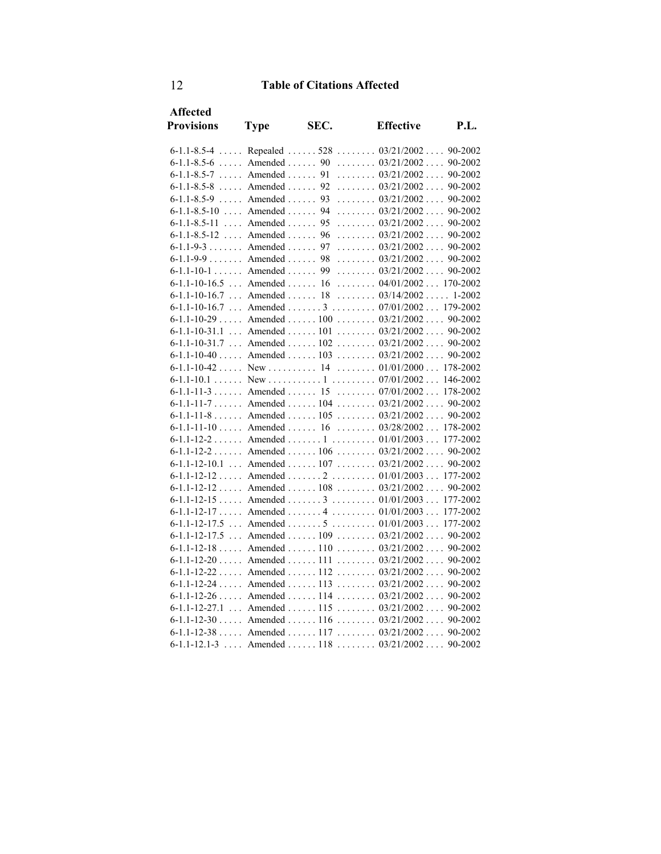| <b>Affected</b><br><b>Provisions</b> |                                | SEC. |                                                   | <b>P.L.</b> |
|--------------------------------------|--------------------------------|------|---------------------------------------------------|-------------|
|                                      | <b>Type</b>                    |      | <b>Effective</b>                                  |             |
|                                      |                                |      | 6-1.1-8.5-4  Repealed  528  03/21/2002  90-2002   |             |
|                                      |                                |      | $6-1.1-8.5-6$ Amended  90  03/21/2002 90-2002     |             |
| $6-1.1-8.5-7$ Amended                |                                |      | 91 03/21/2002 90-2002                             |             |
| $6-1.1-8.5-8$ , Amended , 92         |                                |      | $\ldots \ldots 03/21/2002 \ldots 90-2002$         |             |
| $6-1.1-8.5-9$                        | $\ldots$ Amended $\ldots$      | 93   | $\ldots \ldots 03/21/2002 \ldots 90-2002$         |             |
| $6-1.1-8.5-10$ Amended               |                                | 94   | $\ldots \ldots \ldots 03/21/2002 \ldots 90-2002$  |             |
| $6-1.1-8.5-11$                       | $\ldots$ Amended $\ldots$ . 95 |      | $\ldots \ldots 03/21/2002 \ldots 90-2002$         |             |
| $6-1.1-8.5-12$ Amended               |                                | 96   | $\ldots \ldots 03/21/2002 \ldots 90-2002$         |             |
| $6-1.1-9-3$ Amended                  |                                | 97   | $\ldots \ldots 03/21/2002 \ldots 90-2002$         |             |
| $6-1.1-9-9$ Amended 98               |                                |      | $\ldots \ldots 03/21/2002 \ldots 90-2002$         |             |
| $6-1.1-10-1$ Amended                 |                                | 99   | $\ldots \ldots 03/21/2002 \ldots 90-2002$         |             |
| $6-1.1-10-16.5$ Amended  16          |                                |      | $\ldots \ldots \ldots 04/01/2002 \ldots 170-2002$ |             |
| $6-1.1-10-16.7$ Amended  18          |                                |      | $\ldots \ldots 03/14/2002 \ldots 1-2002$          |             |
|                                      |                                |      | 6-1.1-10-16.7  Amended  3  07/01/2002  179-2002   |             |
|                                      |                                |      | $6-1.1-10-29$ Amended  100  03/21/2002  90-2002   |             |
| $6 - 1.1 - 10 - 31.1$                |                                |      | Amended  101 $03/21/2002$ 90-2002                 |             |
|                                      |                                |      | 6-1.1-10-31.7  Amended  102  03/21/2002  90-2002  |             |
|                                      |                                |      | $6-1.1-10-40$ Amended  103  03/21/2002 90-2002    |             |
|                                      |                                |      | 6-1.1-10-42  New  14  01/01/2000 178-2002         |             |
|                                      |                                |      |                                                   |             |
|                                      |                                |      | 6-1.1-11-3  Amended  15  07/01/2002  178-2002     |             |
|                                      |                                |      | 6-1.1-11-7  Amended  104  03/21/2002  90-2002     |             |
|                                      |                                |      | 6-1.1-11-8 Amended 105 03/21/2002 90-2002         |             |
|                                      |                                |      | 6-1.1-11-10 Amended 16 03/28/2002 178-2002        |             |
|                                      |                                |      | 6-1.1-12-2  Amended  1  01/01/2003  177-2002      |             |
|                                      |                                |      | 6-1.1-12-2 Amended 106 03/21/2002 90-2002         |             |
|                                      |                                |      | 6-1.1-12-10.1  Amended  107  03/21/2002  90-2002  |             |
|                                      |                                |      | 6-1.1-12-12  Amended  2  01/01/2003  177-2002     |             |
|                                      |                                |      | $6-1.1-12-12$ Amended  108  03/21/2002 90-2002    |             |
|                                      |                                |      | $6-1.1-12-15$ Amended  3  01/01/2003 177-2002     |             |
|                                      |                                |      | 6-1.1-12-17  Amended  4  01/01/2003  177-2002     |             |
|                                      |                                |      | 6-1.1-12-17.5  Amended  5  01/01/2003             | 177-2002    |
|                                      |                                |      | 6-1.1-12-17.5  Amended  109  03/21/2002  90-2002  |             |
|                                      |                                |      | $6-1.1-12-18$ Amended  110  03/21/2002  90-2002   |             |
|                                      |                                |      | $6-1.1-12-20$ Amended  111  03/21/2002 90-2002    |             |
|                                      |                                |      | 6-1.1-12-22  Amended  112  03/21/2002  90-2002    |             |
|                                      |                                |      | $6-1.1-12-24$ Amended  113  03/21/2002  90-2002   |             |
|                                      |                                |      | $6-1.1-12-26$ Amended  114  03/21/2002 90-2002    |             |
|                                      |                                |      | 6-1.1-12-27.1  Amended  115  03/21/2002  90-2002  |             |
|                                      |                                |      | $6-1.1-12-30$ Amended 116  03/21/2002  90-2002    |             |
|                                      |                                |      | $6-1.1-12-38$ Amended  117  03/21/2002  90-2002   |             |
| $6 - 1.1 - 12.1 - 3$                 |                                |      | Amended  118 $03/21/2002$ 90-2002                 |             |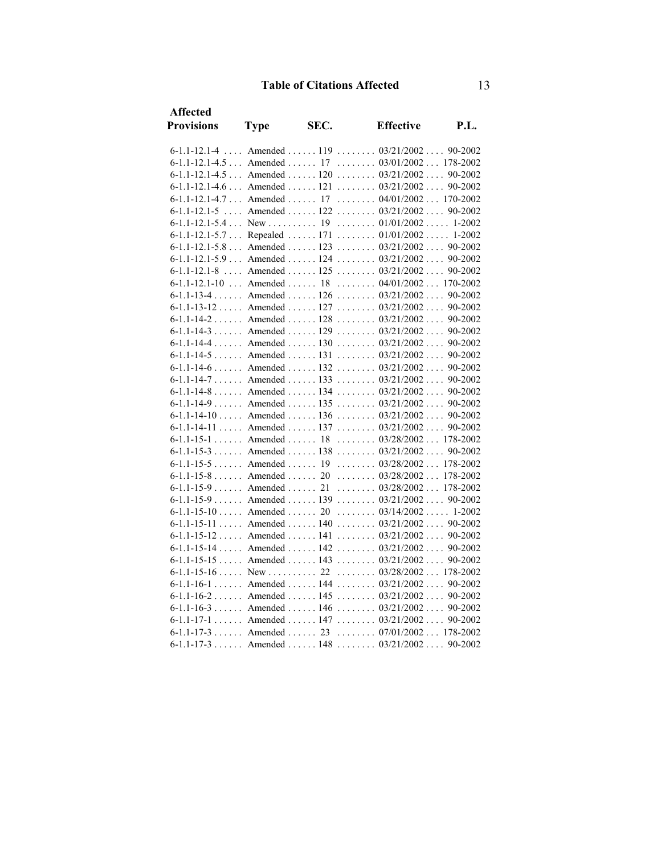| Affected                        |             |      |                                                   |            |
|---------------------------------|-------------|------|---------------------------------------------------|------------|
| <b>Provisions</b>               | <b>Type</b> | SEC. | <b>Effective</b>                                  | P.L.       |
| $6-1.1-12.1-4$                  |             |      | Amended  119 $03/21/2002$ 90-2002                 |            |
|                                 |             |      | 6-1.1-12.1-4.5  Amended  17  03/01/2002  178-2002 |            |
|                                 |             |      | 6-1.1-12.1-4.5  Amended  120  03/21/2002  90-2002 |            |
|                                 |             |      | $6-1.1-12.1-4.6$ Amended  121  03/21/2002 90-2002 |            |
| 6-1.1-12.1-4.7 Amended 17       |             |      | $\ldots \ldots 04/01/2002 \ldots 170-2002$        |            |
|                                 |             |      | 6-1.1-12.1-5  Amended  122 $03/21/2002$ 90-2002   |            |
| $6-1.1-12.1-5.4$ New  19        |             |      | $\ldots \ldots \ldots 01/01/2002 \ldots 1-2002$   |            |
|                                 |             |      | 6-1.1-12.1-5.7 Repealed 171 01/01/2002            | $1 - 2002$ |
|                                 |             |      | 6-1.1-12.1-5.8  Amended  123  03/21/2002  90-2002 |            |
| $6-1.1-12.1-5.9$ Amended  124   |             |      | $\ldots \ldots 03/21/2002 \ldots 90-2002$         |            |
| $6 - 1.1 - 12.1 - 8$            |             |      | Amended $125$ $03/21/2002$                        | 90-2002    |
|                                 |             |      | 6-1.1-12.1-10  Amended  18  04/01/2002  170-2002  |            |
|                                 |             |      | 6-1.1-13-4 Amended 126 03/21/2002 90-2002         |            |
|                                 |             |      | $6-1.1-13-12$ Amended  127  03/21/2002 90-2002    |            |
|                                 |             |      | 6-1.1-14-2 Amended 128 03/21/2002                 | 90-2002    |
|                                 |             |      | 6-1.1-14-3 Amended 129 03/21/2002 90-2002         |            |
|                                 |             |      | 6-1.1-14-4  Amended  130  03/21/2002  90-2002     |            |
|                                 |             |      | 6-1.1-14-5 Amended 131 03/21/2002 90-2002         |            |
|                                 |             |      | 6-1.1-14-6 Amended 132 03/21/2002 90-2002         |            |
| $6-1.1-14-7$ Amended  133       |             |      | $\ldots \ldots 03/21/2002 \ldots 90-2002$         |            |
|                                 |             |      | $6-1.1-14-8$ Amended  134  03/21/2002 90-2002     |            |
| $6 - 1.1 - 14 - 9$ Amended  135 |             |      | $\ldots \ldots 03/21/2002 \ldots 90-2002$         |            |
| $6 - 1.1 - 14 - 10$ Amended 136 |             |      | $\ldots \ldots 03/21/2002 \ldots 90-2002$         |            |
|                                 |             |      | 6-1.1-14-11  Amended  137  03/21/2002  90-2002    |            |
| $6-1.1-15-1$ Amended 18         |             |      | $\ldots \ldots \ldots 03/28/2002 \ldots 178-2002$ |            |
|                                 |             |      | $6-1.1-15-3$ Amended  138  03/21/2002             | 90-2002    |
|                                 |             |      | 6-1.1-15-5  Amended  19  03/28/2002  178-2002     |            |
|                                 |             |      | $6-1.1-15-8$ Amended  20  03/28/2002 178-2002     |            |
| $6-1.1-15-9$ Amended  21        |             |      | $\ldots \ldots 03/28/2002 \ldots 178-2002$        |            |
| $6-1.1-15-9$ Amended139         |             |      | $\ldots \ldots 03/21/2002 \ldots 90-2002$         |            |
| $6 - 1.1 - 15 - 10$ Amended  20 |             |      | $\ldots \ldots \ldots 03/14/2002 \ldots 1-2002$   |            |
| $6-1.1-15-11$ Amended  140      |             |      | $\ldots \ldots 03/21/2002 \ldots 90-2002$         |            |
|                                 |             |      | $6-1.1-15-12$ Amended  141  03/21/2002 90-2002    |            |
|                                 |             |      | $6-1.1-15-14$ Amended  142  03/21/2002 90-2002    |            |
|                                 |             |      | $6-1.1-15-15$ Amended  143  03/21/2002            | 90-2002    |
|                                 |             |      |                                                   |            |
|                                 |             |      | 6-1.1-16-1 Amended 144 03/21/2002 90-2002         |            |
|                                 |             |      | $6-1.1-16-2$ Amended  145  03/21/2002 90-2002     |            |
|                                 |             |      | 6-1.1-16-3 Amended 146 03/21/2002 90-2002         |            |
|                                 |             |      | 6-1.1-17-1  Amended  147  03/21/2002  90-2002     |            |
|                                 |             |      | $6-1.1-17-3$ Amended  23  07/01/2002 178-2002     |            |
|                                 |             |      | $6-1.1-17-3$ Amended  148  03/21/2002 90-2002     |            |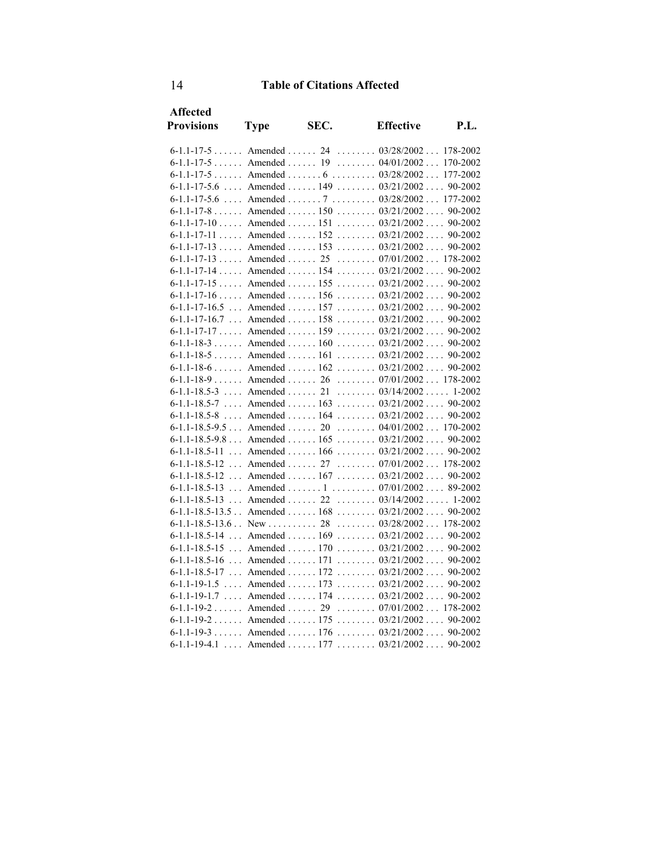| Affected                         |                                      |      |                                                    |             |
|----------------------------------|--------------------------------------|------|----------------------------------------------------|-------------|
| <b>Provisions</b>                | <b>Type</b>                          | SEC. | <b>Effective</b>                                   | <b>P.L.</b> |
| $6-1.1-17-5$ Amended  24         |                                      |      | $\ldots \ldots \ldots 03/28/2002 \ldots 178-2002$  |             |
| $6 - 1.1 - 17 - 5$ Amended 19    |                                      |      | $\ldots \ldots \ldots 04/01/2002 \ldots$           | 170-2002    |
|                                  |                                      |      | $6-1.1-17-5$ Amended  6  03/28/2002                | 177-2002    |
| $6 - 1.1 - 17 - 5.6$             |                                      |      | Amended  149 $03/21/2002$ 90-2002                  |             |
| $6-1.1-17-5.6$                   |                                      |      | Amended  7  03/28/2002 177-2002                    |             |
|                                  |                                      |      | $6-1.1-17-8$ Amended  150  03/21/2002 90-2002      |             |
| $6-1.1-17-10$ Amended151         |                                      |      | $\ldots \ldots 03/21/2002 \ldots 90-2002$          |             |
|                                  |                                      |      | 6-1.1-17-11  Amended  152  03/21/2002  90-2002     |             |
|                                  |                                      |      | 6-1.1-17-13  Amended  153  03/21/2002  90-2002     |             |
| $6-1.1-17-13$ Amended  25        |                                      |      | $\ldots \ldots \ldots 07/01/2002 \ldots 178-2002$  |             |
| $6 - 1.1 - 17 - 14$ Amended  154 |                                      |      | $\ldots \ldots 03/21/2002 \ldots 90-2002$          |             |
|                                  |                                      |      | $6-1.1-17-15$ Amended  155  03/21/2002  90-2002    |             |
|                                  |                                      |      | $6-1.1-17-16$ Amended  156  03/21/2002 90-2002     |             |
| $6 - 1.1 - 17 - 16.5$            |                                      |      | Amended  157 $03/21/2002$ 90-2002                  |             |
|                                  |                                      |      | 6-1.1-17-16.7  Amended  158  03/21/2002  90-2002   |             |
|                                  |                                      |      | $6-1.1-17-17$ Amended  159  03/21/2002 90-2002     |             |
| $6-1.1-18-3$ Amended  160        |                                      |      | $\ldots \ldots 03/21/2002 \ldots 90-2002$          |             |
|                                  |                                      |      | 6-1.1-18-5 Amended 161 03/21/2002 90-2002          |             |
|                                  |                                      |      | $6-1.1-18-6$ Amended  162  03/21/2002 90-2002      |             |
|                                  |                                      |      | $6-1.1-18-9$ Amended  26  07/01/2002 178-2002      |             |
|                                  |                                      |      | 6-1.1-18.5-3  Amended  21  03/14/2002  1-2002      |             |
| $6-1.1-18.5-7$                   |                                      |      | Amended  163 $03/21/2002$ 90-2002                  |             |
| $6-1.1-18.5-8$                   | $\ldots$ Amended $\ldots$ 164        |      | $\ldots \ldots 03/21/2002 \ldots 90-2002$          |             |
|                                  |                                      |      | 6-1.1-18.5-9.5  Amended  20  04/01/2002  170-2002  |             |
|                                  |                                      |      | $6-1.1-18.5-9.8$ Amended  165  03/21/2002 90-2002  |             |
| $6 - 1.1 - 18.5 - 11$            |                                      |      | Amended  166 $03/21/2002$                          | 90-2002     |
| $6 - 1.1 - 18.5 - 12$            |                                      |      | Amended  27  07/01/2002  178-2002                  |             |
| $6 - 1.1 - 18.5 - 12$            | $\ldots$ Amended $\ldots \ldots 167$ |      | $\ldots \ldots 03/21/2002 \ldots 90-2002$          |             |
| $6 - 1.1 - 18.5 - 13$            |                                      |      | Amended  1  07/01/2002 89-2002                     |             |
| $6-1.1-18.5-13$                  | $\ldots$ Amended $\ldots$ 22         |      | $\ldots \ldots \ldots 03/14/2002 \ldots 1-2002$    |             |
|                                  |                                      |      | $6-1.1-18.5-13.5$ Amended  168  03/21/2002 90-2002 |             |
| $6-1.1-18.5-13.6$ New  28        |                                      |      | $\ldots \ldots \ldots 03/28/2002 \ldots 178-2002$  |             |
| $6 - 1.1 - 18.5 - 14$            |                                      |      | Amended  169 $03/21/2002$ 90-2002                  |             |
| $6-1.1-18.5-15$                  |                                      |      | Amended  170 $03/21/2002$ 90-2002                  |             |
| $6-1.1-18.5-16$                  | $\ldots$ Amended $\ldots \ldots$ 171 |      | $\ldots \ldots 03/21/2002 \ldots 90-2002$          |             |
|                                  |                                      |      | 6-1.1-18.5-17  Amended  172  03/21/2002  90-2002   |             |
|                                  |                                      |      | 6-1.1-19-1.5  Amended  173  03/21/2002  90-2002    |             |
| $6-1.1-19-1.7$                   | $\ldots$ Amended $\ldots$ 174        |      | $\ldots \ldots \ldots 03/21/2002 \ldots$           | 90-2002     |
| $6-1.1-19-2$ Amended 29          |                                      |      | $\ldots \ldots 07/01/2002 \ldots 178-2002$         |             |
|                                  |                                      |      | 6-1.1-19-2  Amended  175  03/21/2002  90-2002      |             |
|                                  |                                      |      | 6-1.1-19-3  Amended  176  03/21/2002  90-2002      |             |
| $6-1.1-19-4.1$                   | $\ldots$ Amended $\ldots$ 177        |      | $\ldots \ldots \ldots 03/21/2002 \ldots 90-2002$   |             |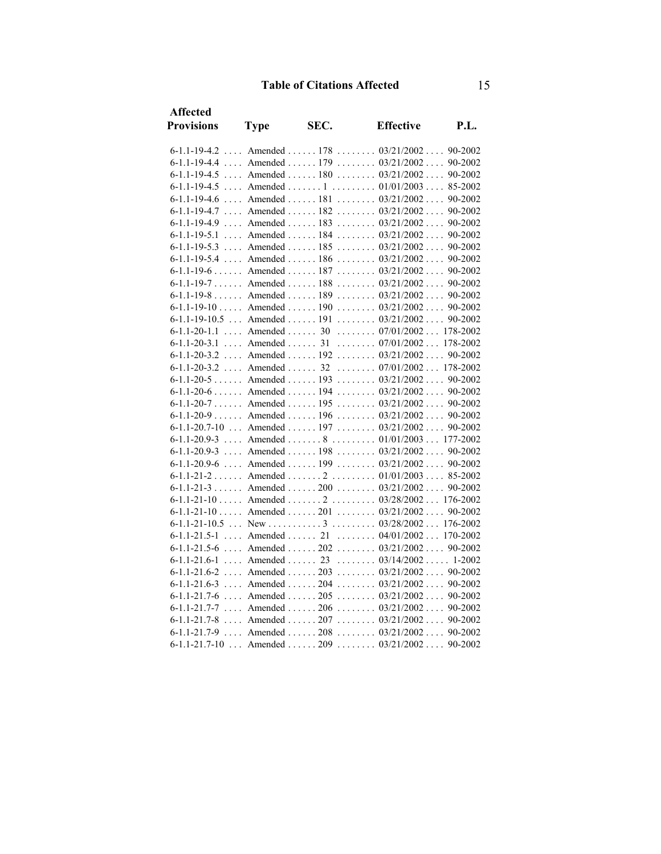| Affected             |                              |      |                                                   |      |
|----------------------|------------------------------|------|---------------------------------------------------|------|
| <b>Provisions</b>    | <b>Type</b>                  | SEC. | <b>Effective</b>                                  | P.L. |
|                      |                              |      | 6-1.1-19-4.2  Amended  178  03/21/2002  90-2002   |      |
|                      |                              |      | 6-1.1-19-4.4  Amended  179 $03/21/2002$ 90-2002   |      |
|                      |                              |      | 6-1.1-19-4.5  Amended  180  03/21/2002  90-2002   |      |
|                      |                              |      | 6-1.1-19-4.5  Amended  1  01/01/2003  85-2002     |      |
|                      |                              |      | 6-1.1-19-4.6  Amended   181   03/21/2002  90-2002 |      |
|                      |                              |      | 6-1.1-19-4.7  Amended  182  03/21/2002  90-2002   |      |
|                      |                              |      | 6-1.1-19-4.9  Amended  183  03/21/2002  90-2002   |      |
| $6-1.1-19-5.1$       |                              |      | Amended  184 $03/21/2002$ 90-2002                 |      |
|                      |                              |      | 6-1.1-19-5.3  Amended  185  03/21/2002 90-2002    |      |
|                      |                              |      | 6-1.1-19-5.4  Amended   186   03/21/2002  90-2002 |      |
|                      |                              |      | $6-1.1-19-6$ Amended  187  03/21/2002 90-2002     |      |
|                      |                              |      | 6-1.1-19-7 Amended 188 03/21/2002 90-2002         |      |
|                      |                              |      | 6-1.1-19-8 Amended 189 03/21/2002 90-2002         |      |
|                      |                              |      | $6-1.1-19-10$ Amended  190  03/21/2002 90-2002    |      |
|                      |                              |      | 6-1.1-19-10.5  Amended  191  03/21/2002  90-2002  |      |
| $6-1.1-20-1.1$       |                              |      | Amended  30  07/01/2002 178-2002                  |      |
| $6 - 1.1 - 20 - 3.1$ |                              |      | Amended  31 $07/01/2002$ 178-2002                 |      |
| $6-1.1-20-3.2$       |                              |      | Amended  192 $03/21/2002$ 90-2002                 |      |
| $6 - 1.1 - 20 - 3.2$ |                              |      | Amended  32 $07/01/2002$ 178-2002                 |      |
|                      |                              |      | $6-1.1-20-5$ Amended  193  03/21/2002 90-2002     |      |
|                      |                              |      | $6-1.1-20-6$ Amended  194  03/21/2002 90-2002     |      |
|                      |                              |      | 6-1.1-20-7 Amended 195 03/21/2002 90-2002         |      |
|                      |                              |      | $6-1.1-20-9$ Amended  196  03/21/2002 90-2002     |      |
|                      |                              |      | 6-1.1-20.7-10  Amended  197  03/21/2002  90-2002  |      |
|                      |                              |      | $6-1.1-20.9-3$ Amended  8  01/01/2003 177-2002    |      |
| $6-1.1-20.9-3$       |                              |      | Amended  198 $03/21/2002$ 90-2002                 |      |
|                      |                              |      | 6-1.1-20.9-6  Amended  199  03/21/2002  90-2002   |      |
|                      |                              |      | 6-1.1-21-2  Amended  2  01/01/2003  85-2002       |      |
|                      |                              |      | $6-1.1-21-3$ Amended  200  03/21/2002  90-2002    |      |
|                      |                              |      | $6-1.1-21-10$ Amended  2  03/28/2002 176-2002     |      |
|                      |                              |      | $6-1.1-21-10$ Amended  201  03/21/2002  90-2002   |      |
|                      |                              |      |                                                   |      |
| $6-1.1-21.5-1$       | $\ldots$ Amended $\ldots$ 21 |      | $\ldots \ldots \ldots 04/01/2002 \ldots 170-2002$ |      |
| $6 - 1.1 - 21.5 - 6$ |                              |      | Amended  202 $03/21/2002$ 90-2002                 |      |
| $6 - 1.1 - 21.6 - 1$ |                              |      | Amended  23 $03/14/2002$ 1-2002                   |      |
| $6-1.1-21.6-2$       |                              |      | Amended  203  03/21/2002  90-2002                 |      |
|                      |                              |      | $6-1.1-21.6-3$ Amended  204  03/21/2002 90-2002   |      |
|                      |                              |      | $6-1.1-21.7-6$ Amended  205  03/21/2002 90-2002   |      |
| $6 - 1.1 - 21.7 - 7$ |                              |      | Amended  206 $03/21/2002$ 90-2002                 |      |
|                      |                              |      | $6-1.1-21.7-8$ Amended  207  03/21/2002 90-2002   |      |
|                      |                              |      | 6-1.1-21.7-9  Amended  208  03/21/2002  90-2002   |      |
|                      |                              |      | 6-1.1-21.7-10  Amended  209  03/21/2002  90-2002  |      |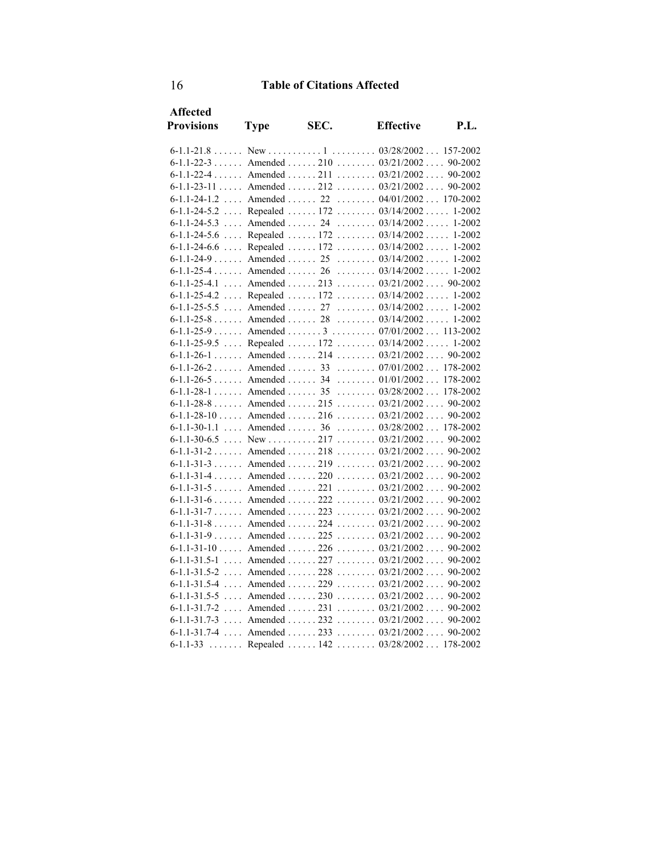| <b>Affected</b>   |             |      |                                                     |             |
|-------------------|-------------|------|-----------------------------------------------------|-------------|
| <b>Provisions</b> | <b>Type</b> | SEC. | <b>Effective</b>                                    | <b>P.L.</b> |
|                   |             |      |                                                     |             |
|                   |             |      | $6-1.1-22-3$ Amended  210  03/21/2002 90-2002       |             |
|                   |             |      | $6-1.1-22-4$ Amended  211  03/21/2002 90-2002       |             |
|                   |             |      | $6-1.1-23-11$ Amended  212  03/21/2002 90-2002      |             |
|                   |             |      | 6-1.1-24-1.2  Amended  22  04/01/2002  170-2002     |             |
|                   |             |      | 6-1.1-24-5.2  Repealed  172  03/14/2002  1-2002     |             |
|                   |             |      | 6-1.1-24-5.3  Amended  24  03/14/2002  1-2002       |             |
|                   |             |      | 6-1.1-24-5.6  Repealed  172 $03/14/2002$ 1-2002     |             |
| $6-1.1-24-6.6$    |             |      | Repealed  172  03/14/2002  1-2002                   |             |
|                   |             |      | 6-1.1-24-9  Amended  25  03/14/2002  1-2002         |             |
|                   |             |      | 6-1.1-25-4 Amended 26 03/14/2002 1-2002             |             |
|                   |             |      | $6-1.1-25-4.1$ Amended  213  03/21/2002 90-2002     |             |
|                   |             |      | 6-1.1-25-4.2  Repealed  172 $03/14/2002$ 1-2002     |             |
|                   |             |      | 6-1.1-25-5.5  Amended  27  03/14/2002  1-2002       |             |
|                   |             |      | $6-1.1-25-8$ Amended  28  03/14/2002 1-2002         |             |
|                   |             |      | $6-1.1-25-9$ Amended  3  07/01/2002 113-2002        |             |
|                   |             |      | 6-1.1-25-9.5  Repealed  172  03/14/2002  1-2002     |             |
|                   |             |      | 6-1.1-26-1 Amended 214 03/21/2002 90-2002           |             |
|                   |             |      | $6-1.1-26-2$ Amended  33  07/01/2002 178-2002       |             |
|                   |             |      | $6-1.1-26-5$ Amended  34  01/01/2002  178-2002      |             |
|                   |             |      | 6-1.1-28-1  Amended  35  03/28/2002  178-2002       |             |
|                   |             |      |                                                     |             |
|                   |             |      | $6-1.1-28-10$ Amended 216  03/21/2002 90-2002       |             |
|                   |             |      | 6-1.1-30-1.1  Amended  36  03/28/2002  178-2002     |             |
|                   |             |      | 6-1.1-30-6.5  New $\ldots$ 217 $03/21/2002$ 90-2002 |             |
|                   |             |      | $6-1.1-31-2$ Amended  218  03/21/2002 90-2002       |             |
|                   |             |      | $6-1.1-31-3$ Amended 219  03/21/2002 90-2002        |             |
|                   |             |      | 6-1.1-31-4 Amended 220 03/21/2002 90-2002           |             |
|                   |             |      | 6-1.1-31-5 Amended 221 03/21/2002 90-2002           |             |
|                   |             |      | $6-1.1-31-6$ Amended  222  03/21/2002 90-2002       |             |
|                   |             |      | 6-1.1-31-7 Amended 223 03/21/2002 90-2002           |             |
|                   |             |      | $6-1.1-31-8$ Amended  224  03/21/2002               | 90-2002     |
|                   |             |      | $6-1.1-31-9$ Amended  225  03/21/2002  90-2002      |             |
|                   |             |      | $6-1.1-31-10$ Amended  226  03/21/2002  90-2002     |             |
|                   |             |      | 6-1.1-31.5-1  Amended  227 $03/21/2002$             | 90-2002     |
|                   |             |      | 6-1.1-31.5-2  Amended  228 $03/21/2002$ 90-2002     |             |
|                   |             |      | $6-1.1-31.5-4$ Amended  229  03/21/2002 90-2002     |             |
|                   |             |      | $6-1.1-31.5-5$ Amended  230  03/21/2002             | 90-2002     |
|                   |             |      | $6-1.1-31.7-2$ Amended  231  03/21/2002 90-2002     |             |
|                   |             |      | $6-1.1-31.7-3$ Amended 232  03/21/2002 90-2002      |             |
|                   |             |      | 6-1.1-31.7-4  Amended  233  03/21/2002  90-2002     |             |
| $6 - 1.1 - 33$    |             |      | Repealed  142 $03/28/2002178-2002$                  |             |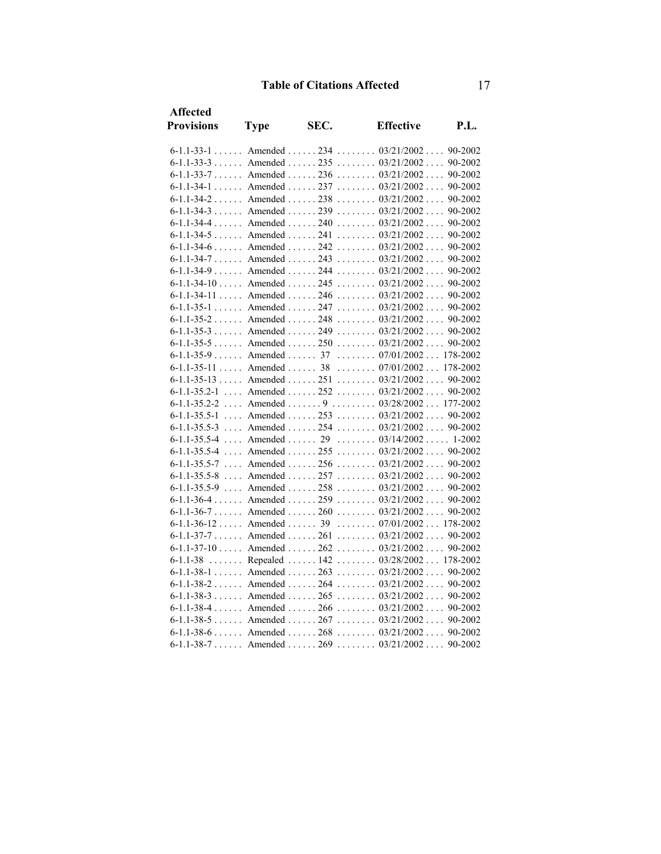| <b>Affected</b>   |                           |      |                                                   |         |
|-------------------|---------------------------|------|---------------------------------------------------|---------|
| <b>Provisions</b> | <b>Type</b>               | SEC. | <b>Effective</b>                                  | P.L.    |
|                   |                           |      | 6-1.1-33-1 Amended 234 03/21/2002 90-2002         |         |
|                   |                           |      | $6-1.1-33-3$ Amended  235  03/21/2002             | 90-2002 |
|                   |                           |      | $6-1.1-33-7$ Amended  236  03/21/2002             | 90-2002 |
|                   |                           |      | 6-1.1-34-1 Amended 237 03/21/2002 90-2002         |         |
|                   |                           |      | $6-1.1-34-2$ Amended  238  03/21/2002             | 90-2002 |
|                   |                           |      | $6-1.1-34-3$ Amended  239  03/21/2002             | 90-2002 |
|                   |                           |      | 6-1.1-34-4  Amended  240  03/21/2002              | 90-2002 |
|                   |                           |      | $6-1.1-34-5$ Amended  241  03/21/2002             | 90-2002 |
|                   |                           |      | $6-1.1-34-6$ Amended  242  03/21/2002             | 90-2002 |
|                   |                           |      | $6-1.1-34-7$ Amended  243  03/21/2002  90-2002    |         |
|                   |                           |      | $6-1.1-34-9$ Amended  244  03/21/2002 90-2002     |         |
|                   |                           |      | $6-1.1-34-10$ Amended  245  03/21/2002 90-2002    |         |
|                   |                           |      | 6-1.1-34-11  Amended  246  03/21/2002  90-2002    |         |
|                   |                           |      | 6-1.1-35-1  Amended  247  03/21/2002  90-2002     |         |
|                   |                           |      | $6-1.1-35-2$ Amended  248  03/21/2002             | 90-2002 |
|                   |                           |      | $6-1.1-35-3$ Amended  249  03/21/2002  90-2002    |         |
|                   |                           |      | $6-1.1-35-5$ Amended  250  03/21/2002             | 90-2002 |
|                   |                           |      | 6-1.1-35-9  Amended  37  07/01/2002  178-2002     |         |
|                   | $6-1.1-35-11$ Amended  38 |      | $\ldots \ldots 07/01/2002 \ldots 178-2002$        |         |
|                   |                           |      | $6-1.1-35-13$ Amended $251$ $03/21/2002$ 90-2002  |         |
|                   |                           |      | 6-1.1-35.2-1  Amended  252  03/21/2002            | 90-2002 |
|                   |                           |      | 6-1.1-35.2-2  Amended  9  03/28/2002  177-2002    |         |
|                   |                           |      | 6-1.1-35.5-1  Amended   253   03/21/2002  90-2002 |         |
|                   |                           |      | $6-1.1-35.5-3$ Amended  254  03/21/2002 90-2002   |         |
|                   |                           |      | 6-1.1-35.5-4  Amended  29  03/14/2002  1-2002     |         |
|                   |                           |      | 6-1.1-35.5-4  Amended  255  03/21/2002  90-2002   |         |
|                   |                           |      | 6-1.1-35.5-7  Amended  256  03/21/2002  90-2002   |         |
|                   |                           |      | 6-1.1-35.5-8  Amended   257   03/21/2002  90-2002 |         |
|                   |                           |      | 6-1.1-35.5-9  Amended  258 $03/21/2002$ 90-2002   |         |
|                   |                           |      | $6-1.1-36-4$ Amended  259  03/21/2002 90-2002     |         |
|                   |                           |      | 6-1.1-36-7  Amended  260  03/21/2002              | 90-2002 |
|                   |                           |      | $6-1.1-36-12$ Amended  39  07/01/2002  178-2002   |         |
|                   |                           |      | 6-1.1-37-7 Amended 261 03/21/2002 90-2002         |         |
|                   |                           |      | $6-1.1-37-10$ Amended  262  03/21/2002            | 90-2002 |
| $6 - 1.1 - 38$    |                           |      | Repealed  142  03/28/2002 178-2002                |         |
|                   |                           |      | 6-1.1-38-1 Amended 263 03/21/2002 90-2002         |         |
|                   |                           |      | 6-1.1-38-2  Amended  264  03/21/2002  90-2002     |         |
|                   |                           |      | $6-1.1-38-3$ Amended  265  03/21/2002  90-2002    |         |
|                   |                           |      | 6-1.1-38-4 Amended 266 03/21/2002 90-2002         |         |
|                   |                           |      | 6-1.1-38-5 Amended 267 03/21/2002 90-2002         |         |
|                   |                           |      | $6-1.1-38-6$ Amended  268  03/21/2002 90-2002     |         |
|                   |                           |      | 6-1.1-38-7 Amended 269 03/21/2002 90-2002         |         |
|                   |                           |      |                                                   |         |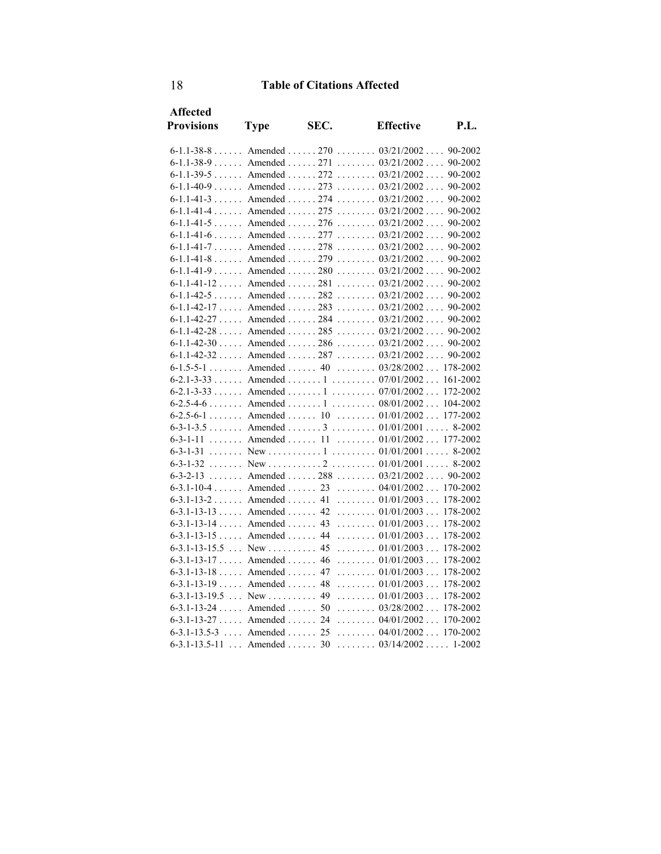| <b>Affected</b>           |                              |      |                                                                         |             |
|---------------------------|------------------------------|------|-------------------------------------------------------------------------|-------------|
| <b>Provisions</b>         | <b>Type</b>                  | SEC. | <b>Effective</b>                                                        | <b>P.L.</b> |
|                           |                              |      | 6-1.1-38-8 Amended 270 03/21/2002 90-2002                               |             |
|                           |                              |      | 6-1.1-38-9 Amended 271 03/21/2002 90-2002                               |             |
|                           |                              |      | 6-1.1-39-5  Amended  272  03/21/2002                                    | 90-2002     |
|                           |                              |      | 6-1.1-40-9 Amended 273 03/21/2002 90-2002                               |             |
|                           |                              |      | 6-1.1-41-3 Amended 274 03/21/2002 90-2002                               |             |
|                           |                              |      | 6-1.1-41-4  Amended  275 $03/21/2002$                                   | 90-2002     |
|                           |                              |      | 6-1.1-41-5 Amended 276 03/21/2002                                       | 90-2002     |
|                           |                              |      | 6-1.1-41-6 Amended 277 03/21/2002 90-2002                               |             |
|                           |                              |      | 6-1.1-41-7 Amended 278 03/21/2002                                       | 90-2002     |
|                           |                              |      | 6-1.1-41-8 Amended 279 03/21/2002 90-2002                               |             |
|                           |                              |      | $6-1.1-41-9$ Amended  280  03/21/2002 90-2002                           |             |
|                           |                              |      | $6-1.1-41-12$ Amended  281  03/21/2002 90-2002                          |             |
|                           |                              |      | $6-1.1-42-5$ Amended  282  03/21/2002 90-2002                           |             |
|                           |                              |      | $6-1.1-42-17$ Amended $\ldots$ 283 $\ldots$ 03/21/2002 $\ldots$ 90-2002 |             |
|                           |                              |      | $6-1.1-42-27$ Amended  284  03/21/2002                                  | 90-2002     |
|                           |                              |      | $6-1.1-42-28$ Amended  285  03/21/2002  90-2002                         |             |
|                           |                              |      | $6-1.1-42-30$ Amended  286  03/21/2002 90-2002                          |             |
|                           |                              |      | $6-1.1-42-32$ Amended  287  03/21/2002                                  | 90-2002     |
|                           |                              |      | $6-1.5-5-1$ Amended  40  03/28/2002 178-2002                            |             |
|                           |                              |      | $6-2.1-3-33$ Amended  1  07/01/2002                                     | 161-2002    |
|                           |                              |      | $6-2.1-3-33$ Amended  1  07/01/2002                                     | 172-2002    |
|                           |                              |      |                                                                         | 104-2002    |
|                           |                              |      | 6-2.5-6-1 Amended 10 01/01/2002                                         | 177-2002    |
|                           |                              |      | 6-3-1-3.5 Amended 3 01/01/2001 8-2002                                   |             |
| $6 - 3 - 1 - 11$          |                              |      | Amended  11  01/01/2002  177-2002                                       |             |
| $6 - 3 - 1 - 31$          |                              |      |                                                                         |             |
|                           |                              |      | 6-3-1-32 New 01/01/2001 8-2002                                          |             |
| $6 - 3 - 2 - 13$          |                              |      | Amended  288  03/21/2002  90-2002                                       |             |
|                           |                              |      | 6-3.1-10-4 Amended 23 04/01/2002 170-2002                               |             |
|                           |                              |      | 6-3.1-13-2 Amended 41 01/01/2003                                        | 178-2002    |
|                           |                              |      | $6-3.1-13-13$ Amended  42  01/01/2003                                   | 178-2002    |
| $6-3.1-13-14$ Amended 43  |                              |      | $\ldots \ldots 01/01/2003 \ldots$                                       | 178-2002    |
| $6-3.1-13-15$ Amended  44 |                              |      | $\ldots \ldots 01/01/2003 \ldots$                                       | 178-2002    |
| $6-3.1-13-15.5$ New  45   |                              |      | $\ldots \ldots \ldots 01/01/2003 \ldots$                                | 178-2002    |
| 6-3.1-13-17 Amended 46    |                              |      | $\ldots \ldots \ldots 01/01/2003 \ldots$                                | 178-2002    |
| $6-3.1-13-18$ Amended     |                              | 47   | $\ldots \ldots 01/01/2003 \ldots$                                       | 178-2002    |
| $6-3.1-13-19$ Amended  48 |                              |      | $\ldots \ldots 01/01/2003 \ldots$                                       | 178-2002    |
| $6-3.1-13-19.5$ New       |                              | 49   | $\ldots \ldots \ldots 01/01/2003 \ldots$                                | 178-2002    |
| 6-3.1-13-24 Amended 50    |                              |      | 03/28/2002                                                              | 178-2002    |
| $6-3.1-13-27$ Amended  24 |                              |      | $\ldots \ldots 04/01/2002 \ldots 170-2002$                              |             |
| $6 - 3.1 - 13.5 - 3$      | $\ldots$ Amended $\ldots$ 25 |      | $\ldots \ldots 04/01/2002 \ldots 170-2002$                              |             |
| $6 - 3.1 - 13.5 - 11$     | $\ldots$ Amended $\ldots$ 30 |      | $\ldots \ldots \ldots 03/14/2002 \ldots 1-2002$                         |             |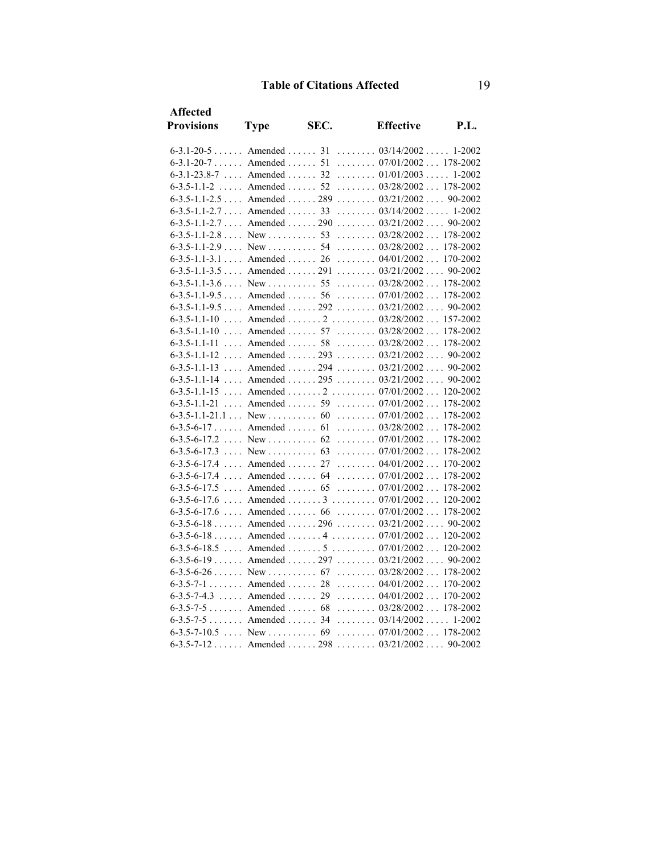| Affected                        |                                     |      |                                                   |          |
|---------------------------------|-------------------------------------|------|---------------------------------------------------|----------|
| <b>Provisions</b>               | <b>Type</b>                         | SEC. | <b>Effective</b>                                  | P.I.     |
|                                 |                                     |      | 6-3.1-20-5 Amended 31 03/14/2002 1-2002           |          |
| $6-3.1-20-7$ Amended  51        |                                     |      | $\ldots \ldots \ldots 07/01/2002 \ldots 178-2002$ |          |
|                                 |                                     |      | 6-3.1-23.8-7  Amended  32  01/01/2003             | 1-2002   |
| $6 - 3.5 - 1.1 - 2$             | $\ldots$ Amended $\ldots$ 52        |      | $\ldots \ldots 03/28/2002 \ldots 178-2002$        |          |
| $6-3.5-1.1-2.5$ Amended  289    |                                     |      | $\ldots \ldots \ldots 03/21/2002 \ldots 90-2002$  |          |
| $6-3.5-1.1-2.7$ Amended  33     |                                     |      | $\ldots \ldots 03/14/2002 \ldots 1-2002$          |          |
| 6-3.5-1.1-2.7 Amended 290       |                                     |      | $\ldots \ldots \ldots 03/21/2002 \ldots 90-2002$  |          |
| $6-3.5-1.1-2.8$ New  53         |                                     |      | $\ldots \ldots 03/28/2002 \ldots 178-2002$        |          |
|                                 |                                     |      |                                                   |          |
| 6-3.5-1.1-3.1 Amended 26        |                                     |      | $\ldots \ldots 04/01/2002 \ldots 170-2002$        |          |
| $6-3.5-1.1-3.5$ Amended  291    |                                     |      | $\ldots \ldots 03/21/2002 \ldots 90-2002$         |          |
| $6-3.5-1.1-3.6$ New  55         |                                     |      | $\ldots \ldots \ldots 03/28/2002 \ldots 178-2002$ |          |
| 6-3.5-1.1-9.5 Amended 56        |                                     |      | $\ldots \ldots \ldots 07/01/2002 \ldots 178-2002$ |          |
|                                 |                                     |      | $6-3.5-1.1-9.5$ Amended  292  03/21/2002  90-2002 |          |
| $6 - 3.5 - 1.1 - 10$            |                                     |      | Amended  2  03/28/2002                            | 157-2002 |
| $6 - 3.5 - 1.1 - 10$            | $\ldots$ Amended $\ldots$ 57        |      | $\ldots \ldots \ldots 03/28/2002 \ldots$          | 178-2002 |
| $6 - 3.5 - 1.1 - 11$            | $\ldots$ Amended $\ldots \ldots$ 58 |      | $\ldots \ldots 03/28/2002 \ldots 178-2002$        |          |
| $6 - 3.5 - 1.1 - 12$            |                                     |      | Amended  293 $03/21/2002$ 90-2002                 |          |
| $6 - 3.5 - 1.1 - 13$            | $\ldots$ Amended $\ldots$ . 294     |      | $\ldots \ldots \ldots 03/21/2002 \ldots$          | 90-2002  |
| $6 - 3.5 - 1.1 - 14$            | Amended  295                        |      | $\ldots \ldots \ldots 03/21/2002 \ldots$          | 90-2002  |
| $6 - 3.5 - 1.1 - 15$            |                                     |      | Amended  2  07/01/2002 120-2002                   |          |
| $6 - 3.5 - 1.1 - 21$            | $\ldots$ Amended $\ldots$ . 59      |      | $\ldots \ldots \ldots 07/01/2002 \ldots$          | 178-2002 |
| $6-3.5-1.1-21.1$ New  60        |                                     |      | $\ldots \ldots 07/01/2002 \ldots$                 | 178-2002 |
| $6-3.5-6-17$ Amended  61        |                                     |      | $\ldots \ldots 03/28/2002 \ldots$                 | 178-2002 |
| $6-3.5-6-17.2$ New  62          |                                     |      | $\ldots \ldots 07/01/2002 \ldots$                 | 178-2002 |
| $6-3.5-6-17.3$ New  63          |                                     |      | $\ldots \ldots \ldots 07/01/2002 \ldots$          | 178-2002 |
| $6 - 3.5 - 6 - 17.4$            | $\ldots$ Amended $\ldots$ 27        |      | $\ldots \ldots 04/01/2002 \ldots$                 | 170-2002 |
| $6 - 3.5 - 6 - 17.4$            | $\ldots$ Amended $\ldots$ 64        |      | $\ldots \ldots 07/01/2002 \ldots$                 | 178-2002 |
| $6 - 3.5 - 6 - 17.5$            | $\ldots$ Amended $\ldots$ . 65      |      | $\ldots \ldots \ldots 07/01/2002 \ldots 178-2002$ |          |
| $6 - 3.5 - 6 - 17.6$            |                                     |      | Amended  3 $07/01/2002$                           | 120-2002 |
| $6 - 3.5 - 6 - 17.6$            | $\ldots$ Amended $\ldots$ . 66      |      | $\ldots \ldots 07/01/2002 \ldots$                 | 178-2002 |
|                                 |                                     |      | $6-3.5-6-18$ Amended  296  03/21/2002             | 90-2002  |
|                                 |                                     |      | $6-3.5-6-18$ Amended $4$ $07/01/2002$ 120-2002    |          |
| $6 - 3.5 - 6 - 18.5$            |                                     |      | Amended  5  07/01/2002 120-2002                   |          |
|                                 |                                     |      | $6-3.5-6-19$ Amended  297  03/21/2002             | 90-2002  |
| $6-3.5-6-26$ New $\dots$ 0.1 67 |                                     |      | $\ldots \ldots \ldots 03/28/2002 \ldots$          | 178-2002 |
| 6-3.5-7-1 Amended 28            |                                     |      | $\ldots \ldots 04/01/2002 \ldots$                 | 170-2002 |
|                                 |                                     |      | $6-3.5-7-4.3$ Amended  29  04/01/2002 170-2002    |          |
| $6-3.5-7-5$ Amended 68          |                                     |      | $\ldots \ldots 03/28/2002 \ldots 178-2002$        |          |
| $6-3.5-7-5$ Amended  34         |                                     |      | $\ldots \ldots \ldots 03/14/2002 \ldots 1-2002$   |          |
|                                 |                                     |      |                                                   |          |
| $6 - 3.5 - 7 - 12$ Amended298   |                                     |      | $\ldots \ldots 03/21/2002 \ldots 90-2002$         |          |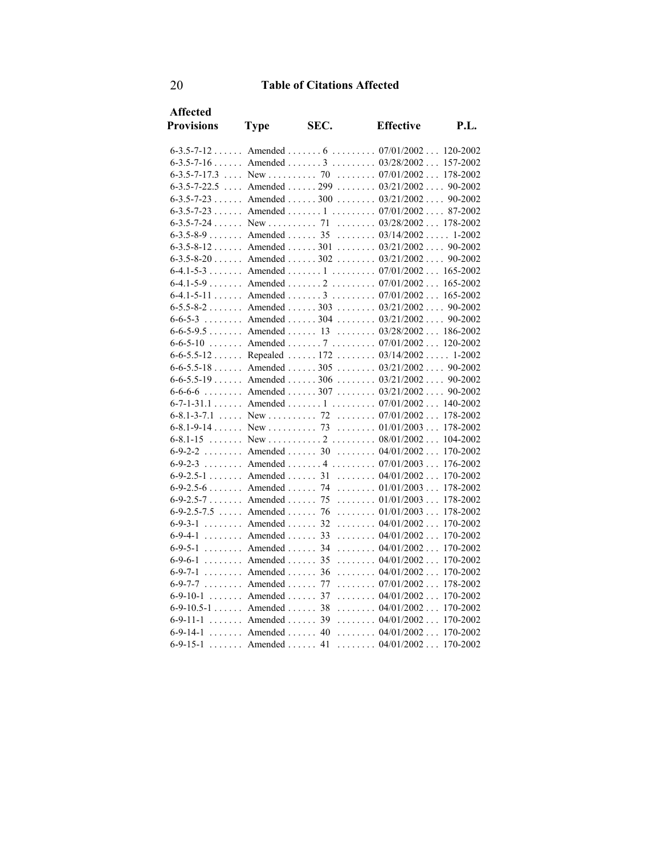| Affected          |                                  |      |                                                   |          |
|-------------------|----------------------------------|------|---------------------------------------------------|----------|
| <b>Provisions</b> | <b>Type</b>                      | SEC. | <b>Effective</b>                                  | P.I.     |
|                   |                                  |      | $6-3.5-7-12$ Amended $6$ $07/01/2002$ 120-2002    |          |
|                   |                                  |      | $6-3.5-7-16$ Amended  3  03/28/2002               | 157-2002 |
|                   |                                  |      |                                                   |          |
|                   |                                  |      | $6-3.5-7-22.5$ Amended  299  03/21/2002 90-2002   |          |
|                   |                                  |      | $6-3.5-7-23$ Amended  300  03/21/2002  90-2002    |          |
|                   |                                  |      | $6-3.5-7-23$ Amended  1  07/01/2002 87-2002       |          |
|                   |                                  |      | $\ldots \ldots \ldots 03/28/2002 \ldots 178-2002$ |          |
|                   | $6-3.5-8-9$ Amended  35          |      | $\ldots \ldots 03/14/2002 \ldots 1-2002$          |          |
|                   |                                  |      | $6-3.5-8-12$ Amended  301  03/21/2002 90-2002     |          |
|                   |                                  |      | $6-3.5-8-20$ Amended  302  03/21/2002 90-2002     |          |
|                   |                                  |      | $6-4.1-5-3$ Amended  1  07/01/2002 165-2002       |          |
|                   |                                  |      | $6-4.1-5-9$ Amended  2  07/01/2002 165-2002       |          |
|                   |                                  |      | $6-4.1-5-11$ Amended  3  07/01/2002 165-2002      |          |
|                   |                                  |      | $6-5.5-8-2$ Amended  303  03/21/2002  90-2002     |          |
|                   |                                  |      | 6-6-5-3  Amended  304  03/21/2002  90-2002        |          |
|                   |                                  |      | $6-6-5-9.5$ Amended  13  03/28/2002  186-2002     |          |
| $6 - 6 - 5 - 10$  |                                  |      | Amended  7  07/01/2002 120-2002                   |          |
|                   |                                  |      | 6-6-5.5-12  Repealed  172  03/14/2002  1-2002     |          |
|                   |                                  |      | 6-6-5.5-18 Amended 305 03/21/2002 90-2002         |          |
|                   |                                  |      | $6-6-5.5-19$ Amended  306  03/21/2002  90-2002    |          |
|                   |                                  |      | 6-6-6-6 Amended 307 03/21/2002 90-2002            |          |
|                   |                                  |      | $6-7-1-31.1$ Amended  1  07/01/2002 140-2002      |          |
|                   |                                  |      |                                                   | 178-2002 |
|                   |                                  |      |                                                   | 178-2002 |
|                   |                                  |      |                                                   | 104-2002 |
|                   |                                  |      | 6-9-2-2 Amended 30 04/01/2002                     | 170-2002 |
|                   |                                  |      | 6-9-2-3 Amended 4 07/01/2003                      | 176-2002 |
|                   |                                  |      | 6-9-2.5-1 Amended 31 04/01/2002                   | 170-2002 |
|                   | $6-9-2.5-6$ Amended 74           |      | $\ldots \ldots \ldots 01/01/2003 \ldots$          | 178-2002 |
|                   | 6-9-2.5-7 Amended 75             |      | $\ldots \ldots \ldots 01/01/2003 \ldots$          | 178-2002 |
|                   | 6-9-2.5-7.5 Amended 76           |      | $\ldots \ldots \ldots 01/01/2003 \ldots$          | 178-2002 |
| $6 - 9 - 3 - 1$   | $\ldots$ . Amended $\ldots$ 32   |      | $\ldots \ldots \ldots 04/01/2002 \ldots$          | 170-2002 |
|                   | $6-9-4-1$ Amended  33            |      | $\ldots \ldots 04/01/2002 \ldots$                 | 170-2002 |
|                   | 6-9-5-1 Amended 34               |      | $\ldots \ldots 04/01/2002 \ldots$                 | 170-2002 |
| $6 - 9 - 6 - 1$   | $\ldots$ . Amended $\ldots$ 35   |      | $\ldots \ldots 04/01/2002 \ldots$                 | 170-2002 |
| $6 - 9 - 7 - 1$   | $\ldots$ , Amended $\ldots$ , 36 |      | $\ldots \ldots 04/01/2002 \ldots$                 | 170-2002 |
|                   | $6-9-7-7$ Amended                | 77   | $\ldots \ldots 07/01/2002 \ldots$                 | 178-2002 |
|                   | $6-9-10-1$ Amended               | 37   | $\ldots \ldots \ldots 04/01/2002 \ldots$          | 170-2002 |
|                   | 6-9-10.5-1 Amended 38            |      | 04/01/2002                                        | 170-2002 |
| $6 - 9 - 11 - 1$  | $\ldots$ Amended $\ldots$ 39     |      | $\ldots \ldots 04/01/2002 \ldots 170-2002$        |          |
| $6 - 9 - 14 - 1$  | $\ldots$ Amended $\ldots$ 40     |      | $\ldots \ldots 04/01/2002 \ldots 170-2002$        |          |
| $6 - 9 - 15 - 1$  | $\ldots$ . Amended $\ldots$      | 41   | $\ldots \ldots \ldots 04/01/2002 \ldots 170-2002$ |          |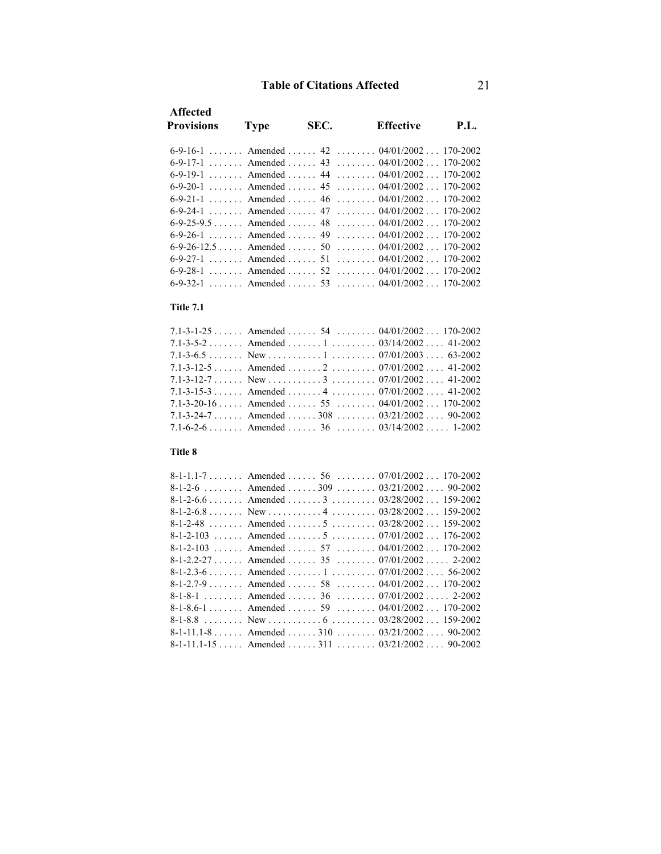| <b>Affected</b><br><b>Provisions</b> | <b>Type</b> | SEC. | <b>Effective</b>                                 | <b>P.L.</b> |
|--------------------------------------|-------------|------|--------------------------------------------------|-------------|
|                                      |             |      | 6-9-16-1 Amended 42 04/01/2002 170-2002          |             |
|                                      |             |      | 6-9-17-1 Amended 43 04/01/2002 170-2002          |             |
|                                      |             |      | 6-9-19-1 Amended 44 04/01/2002 170-2002          |             |
|                                      |             |      | 6-9-20-1 Amended 45 04/01/2002 170-2002          |             |
|                                      |             |      | 6-9-21-1 Amended 46 04/01/2002 170-2002          |             |
|                                      |             |      | 6-9-24-1 Amended 47 04/01/2002 170-2002          |             |
|                                      |             |      | 6-9-25-9.5 Amended 48 04/01/2002 170-2002        |             |
|                                      |             |      | 6-9-26-1 Amended 49 04/01/2002 170-2002          |             |
|                                      |             |      | 6-9-26-12.5  Amended   50   04/01/2002  170-2002 |             |
|                                      |             |      | 6-9-27-1 Amended $51$ (3.1.2002) 170-2002        |             |
|                                      |             |      | 6-9-28-1 Amended 52 04/01/2002 170-2002          |             |
|                                      |             |      | 6-9-32-1 Amended 53 04/01/2002 170-2002          |             |

#### **Title 7.1**

| 7.1-3-1-25 Amended 54 04/01/2002 170-2002    |  |
|----------------------------------------------|--|
| 7.1-3-5-2 Amended 1 03/14/2002 41-2002       |  |
|                                              |  |
| 7.1-3-12-5 Amended 2 07/01/2002 41-2002      |  |
|                                              |  |
| 7.1-3-15-3  Amended  4  07/01/2002  41-2002  |  |
| 7.1-3-20-16 Amended  55  04/01/2002 170-2002 |  |
| 7.1-3-24-7 Amended 308 03/21/2002 90-2002    |  |
| 7.1-6-2-6 Amended 36 03/14/2002 1-2002       |  |

### **Title 8**

|  |  | 8-1-1.1-7 Amended 56 07/01/2002 170-2002       |
|--|--|------------------------------------------------|
|  |  | 8-1-2-6 Amended 309 03/21/2002 90-2002         |
|  |  | 8-1-2-6.6 Amended 3 03/28/2002 159-2002        |
|  |  |                                                |
|  |  | 8-1-2-48  Amended  5 $03/28/2002$ 159-2002     |
|  |  | 8-1-2-103  Amended  5 $07/01/2002$ 176-2002    |
|  |  | 8-1-2-103 Amended 57 04/01/2002 170-2002       |
|  |  | 8-1-2.2-27 Amended 35 07/01/2002 2-2002        |
|  |  | 8-1-2.3-6 Amended 1 07/01/2002 56-2002         |
|  |  | 8-1-2.7-9 Amended 58 04/01/2002 170-2002       |
|  |  | 8-1-8-1 Amended 36 07/01/2002 2-2002           |
|  |  | 8-1-8.6-1 Amended 59 04/01/2002 170-2002       |
|  |  |                                                |
|  |  | 8-1-11.1-8 Amended 310 03/21/2002 90-2002      |
|  |  | 8-1-11.1-15  Amended  311 $03/21/2002$ 90-2002 |
|  |  |                                                |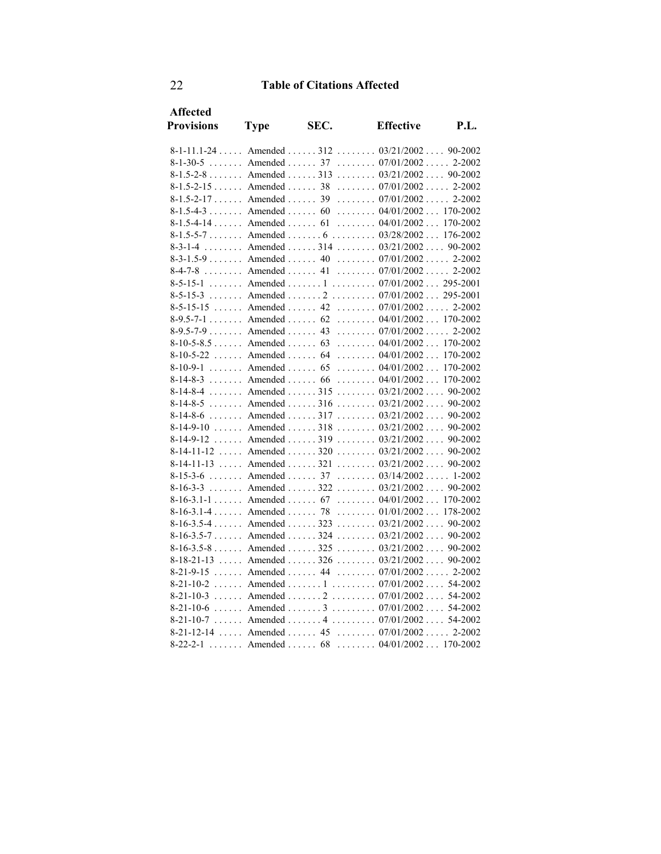| Affected          |                               |      |                                                |          |
|-------------------|-------------------------------|------|------------------------------------------------|----------|
| <b>Provisions</b> | <b>Type</b>                   | SEC. | <b>Effective</b>                               | P.I.     |
|                   |                               |      | 8-1-11.1-24  Amended  312  03/21/2002  90-2002 |          |
|                   |                               |      | 8-1-30-5 Amended 37 07/01/2002 2-2002          |          |
|                   |                               |      | 8-1.5-2-8 Amended 313 03/21/2002 90-2002       |          |
|                   |                               |      | $8-1.5-2-15$ Amended  38  07/01/2002 2-2002    |          |
|                   | $8-1.5-2-17$ Amended  39      |      | $\ldots \ldots 07/01/2002 \ldots 2-2002$       |          |
|                   |                               |      | 8-1.5-4-3 Amended 60 04/01/2002 170-2002       |          |
|                   |                               |      | 8-1.5-4-14 Amended 61 04/01/2002 170-2002      |          |
|                   |                               |      | 8-1.5-5-7 Amended 6 03/28/2002 176-2002        |          |
| $8 - 3 - 1 - 4$   |                               |      | Amended  314 $03/21/2002$ 90-2002              |          |
|                   |                               |      | 8-3-1.5-9 Amended 40 07/01/2002 2-2002         |          |
|                   |                               |      | 8-4-7-8 Amended 41 07/01/2002 2-2002           |          |
|                   |                               |      | 8-5-15-1  Amended  1  07/01/2002 295-2001      |          |
| $8 - 5 - 15 - 3$  |                               |      | Amended  2  07/01/2002 295-2001                |          |
|                   |                               |      | 8-5-15-15  Amended  42  07/01/2002  2-2002     |          |
|                   |                               |      | 8-9.5-7-1 Amended 62 04/01/2002 170-2002       |          |
|                   |                               |      | 8-9.5-7-9 Amended 43 07/01/2002 2-2002         |          |
|                   | $8-10-5-8.5$ Amended 63       |      | $\ldots \ldots 04/01/2002 \ldots 170-2002$     |          |
|                   |                               |      | 8-10-5-22  Amended  64  04/01/2002             | 170-2002 |
|                   | $8-10-9-1$ Amended  65        |      | $\ldots \ldots 04/01/2002 \ldots 170-2002$     |          |
|                   | $8-14-8-3$ Amended  66        |      | $\ldots \ldots 04/01/2002 \ldots 170-2002$     |          |
|                   |                               |      | 8-14-8-4  Amended  315  03/21/2002  90-2002    |          |
|                   |                               |      | 8-14-8-5 Amended 316 03/21/2002 90-2002        |          |
| $8 - 14 - 8 - 6$  | $\ldots$ Amended $\ldots$ 317 |      | $\ldots \ldots 03/21/2002 \ldots 90-2002$      |          |
|                   |                               |      | 8-14-9-10  Amended  318  03/21/2002  90-2002   |          |
| $8 - 14 - 9 - 12$ |                               |      | Amended  319 $03/21/2002$ 90-2002              |          |
|                   |                               |      | 8-14-11-12  Amended  320 $03/21/2002$ 90-2002  |          |
|                   |                               |      | 8-14-11-13  Amended  321  03/21/2002  90-2002  |          |
| $8 - 15 - 3 - 6$  |                               |      | Amended  37 $03/14/2002$ 1-2002                |          |
| $8 - 16 - 3 - 3$  |                               |      | Amended  322 $03/21/2002$ 90-2002              |          |
|                   |                               |      | 8-16-3.1-1  Amended  67  04/01/2002  170-2002  |          |
|                   | $8-16-3.1-4$ Amended 78       |      | $\ldots \ldots 01/01/2002 \ldots 178-2002$     |          |
|                   |                               |      | $8-16-3.5-4$ Amended  323  03/21/2002 90-2002  |          |
|                   |                               |      | 8-16-3.5-7  Amended  324  03/21/2002  90-2002  |          |
|                   |                               |      | $8-16-3.5-8$ Amended  325  03/21/2002 90-2002  |          |
|                   |                               |      | 8-18-21-13  Amended  326 $03/21/2002$ 90-2002  |          |
| $8 - 21 - 9 - 15$ |                               |      | Amended  44 $07/01/2002$ 2-2002                |          |
|                   |                               |      | 8-21-10-2  Amended  1  07/01/2002  54-2002     |          |
|                   |                               |      | 8-21-10-3  Amended  2  07/01/2002  54-2002     |          |
|                   |                               |      | 8-21-10-6  Amended  3  07/01/2002  54-2002     |          |
|                   |                               |      | 8-21-10-7  Amended  4  07/01/2002  54-2002     |          |
|                   |                               |      | 8-21-12-14  Amended  45  07/01/2002  2-2002    |          |
| $8 - 22 - 2 - 1$  |                               |      | Amended  68  04/01/2002 170-2002               |          |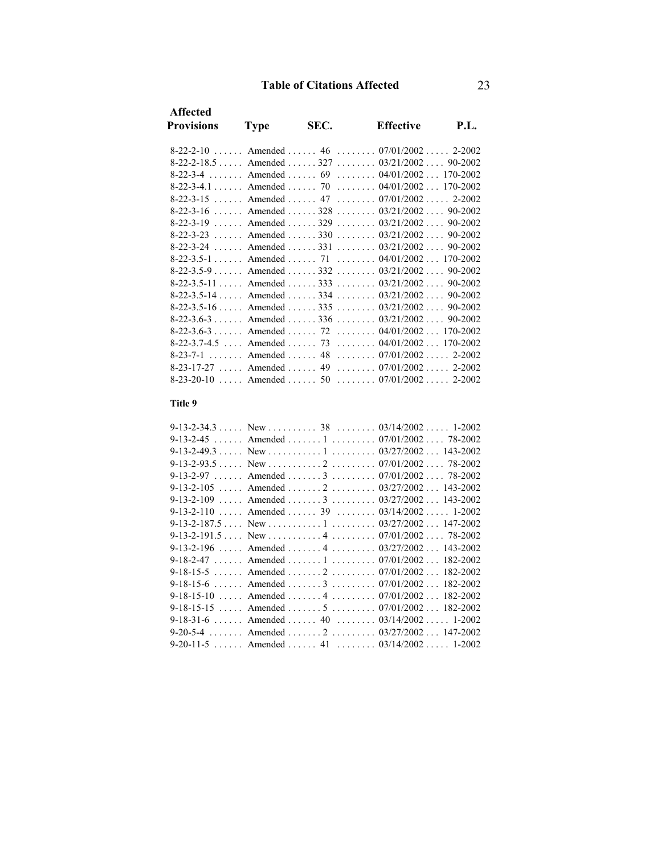| <b>Affected</b>   |             |      |                                                                                                                             |             |
|-------------------|-------------|------|-----------------------------------------------------------------------------------------------------------------------------|-------------|
| <b>Provisions</b> | <b>Type</b> | SEC. | <b>Effective</b>                                                                                                            | <b>P.L.</b> |
|                   |             |      | 8-22-2-10  Amended  46  07/01/2002  2-2002                                                                                  |             |
|                   |             |      |                                                                                                                             |             |
|                   |             |      | 8-22-3-4 Amended 69 04/01/2002 170-2002                                                                                     |             |
|                   |             |      | 8-22-3-4.1 Amended 70 04/01/2002 170-2002                                                                                   |             |
|                   |             |      | 8-22-3-15  Amended  47  07/01/2002  2-2002                                                                                  |             |
|                   |             |      | 8-22-3-16  Amended  328 $03/21/2002$ 90-2002                                                                                |             |
|                   |             |      | $8-22-3-19$ Amended $329$ (1000) $3/21/2002$ (1000) $90-2002$                                                               |             |
|                   |             |      | 8-22-3-23  Amended  330  03/21/2002  90-2002                                                                                |             |
|                   |             |      | 8-22-3-24  Amended  331  03/21/2002  90-2002                                                                                |             |
|                   |             |      | 8-22-3.5-1  Amended  71  04/01/2002  170-2002                                                                               |             |
|                   |             |      | 8-22-3.5-9  Amended  332 $03/21/2002$ 90-2002                                                                               |             |
|                   |             |      | 8-22-3.5-11 , Amended , 333 , $0.3/21/2002$ , 90-2002                                                                       |             |
|                   |             |      | 8-22-3.5-14  Amended  334 $03/21/2002$ 90-2002                                                                              |             |
|                   |             |      | 8-22-3.5-16  Amended  335 $03/21/2002$ 90-2002                                                                              |             |
|                   |             |      | 8-22-3.6-3 Amended 336 03/21/2002 90-2002                                                                                   |             |
|                   |             |      | 8-22-3.6-3 Amended 72 04/01/2002 170-2002                                                                                   |             |
|                   |             |      | 8-22-3.7-4.5  Amended  73  04/01/2002  170-2002                                                                             |             |
| $8 - 23 - 7 - 1$  |             |      | $\mu_{\text{max}}$ Amended $\mu_{\text{max}}$ 48 $\mu_{\text{max}}$ $\mu_{\text{max}}$ 07/01/2002 $\mu_{\text{max}}$ 2-2002 |             |
|                   |             |      | 8-23-17-27  Amended  49  07/01/2002  2-2002                                                                                 |             |
|                   |             |      | 8-23-20-10  Amended  50  07/01/2002  2-2002                                                                                 |             |

#### **Title 9**

|                                    | 9-13-2-34.3  New  38  03/14/2002 1-2002         |            |
|------------------------------------|-------------------------------------------------|------------|
|                                    | 9-13-2-45  Amended  1  07/01/2002  78-2002      |            |
|                                    |                                                 |            |
|                                    |                                                 |            |
|                                    | 9-13-2-97  Amended  3 $07/01/2002$ 78-2002      |            |
|                                    | 9-13-2-105  Amended  2  03/27/2002 143-2002     |            |
|                                    | 9-13-2-109  Amended  3 $03/27/2002$ 143-2002    |            |
|                                    | 9-13-2-110  Amended  39 $03/14/2002$ 1-2002     |            |
|                                    | 9-13-2-187.5  New     1    03/27/2002  147-2002 |            |
|                                    |                                                 |            |
|                                    | 9-13-2-196  Amended  4 $03/27/2002$ 143-2002    |            |
|                                    | 9-18-2-47  Amended  1  07/01/2002  182-2002     |            |
|                                    | 9-18-15-5  Amended  2  07/01/2002  182-2002     |            |
|                                    | 9-18-15-6 Amended 3 07/01/2002                  | 182-2002   |
|                                    | $9-18-15-10$ Amended  4  07/01/2002             | 182-2002   |
| $9 - 18 - 15 - 15$<br>$\mathbf{1}$ | Amended 5 07/01/2002                            | 182-2002   |
| $9-18-31-6$                        | Amended 40 03/14/2002                           | $1 - 2002$ |
| $9-20-5-4$                         | Amended 2 03/27/2002 147-2002                   |            |
|                                    | 9-20-11-5 Amended 41 03/14/2002                 | 1-2002     |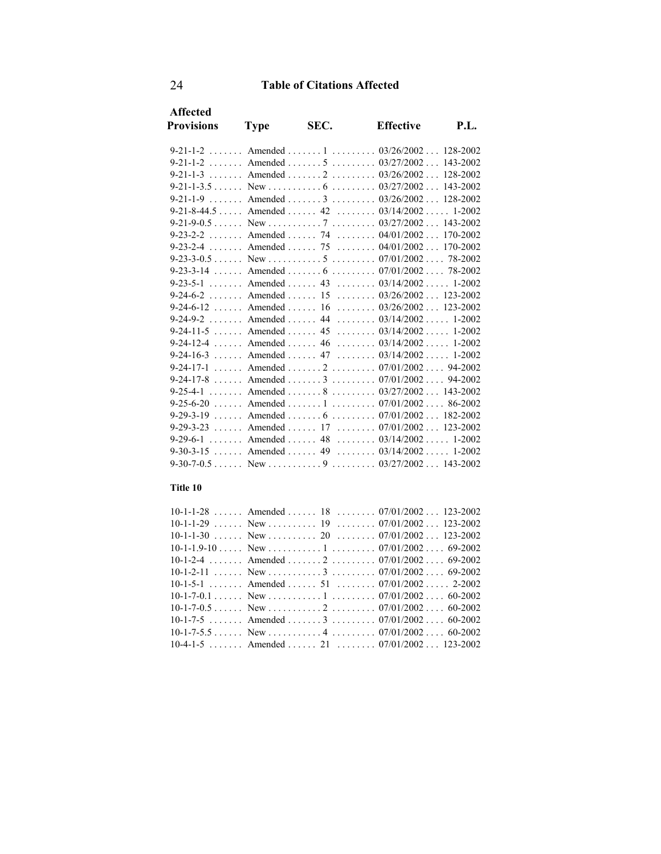| <b>Affected</b>                                                |             |      |                  |      |
|----------------------------------------------------------------|-------------|------|------------------|------|
| <b>Provisions</b>                                              | <b>Type</b> | SEC. | <b>Effective</b> | P.I. |
|                                                                |             |      |                  |      |
| 9-21-1-2 Amended 1 03/26/2002 128-2002                         |             |      |                  |      |
|                                                                |             |      |                  |      |
| 9-21-1-3 Amended 2 03/26/2002 128-2002                         |             |      |                  |      |
| 9-21-1-3.5 (a) New express $6$ (b) $03/27/2002$ (b) $143-2002$ |             |      |                  |      |
|                                                                |             |      |                  |      |
| 9-21-8-44.5 Amended 42 03/14/2002 1-2002                       |             |      |                  |      |
|                                                                |             |      |                  |      |
| 9-23-2-2 Amended 74 04/01/2002 170-2002                        |             |      |                  |      |
| 9-23-2-4 Amended 75 04/01/2002 170-2002                        |             |      |                  |      |
|                                                                |             |      |                  |      |
| 9-23-3-14  Amended  6  07/01/2002  78-2002                     |             |      |                  |      |
| 9-23-5-1 Amended 43 03/14/2002 1-2002                          |             |      |                  |      |
| 9-24-6-2 Amended 15 03/26/2002 123-2002                        |             |      |                  |      |
| 9-24-6-12  Amended  16  03/26/2002  123-2002                   |             |      |                  |      |
| 9-24-9-2 Amended 44 03/14/2002 1-2002                          |             |      |                  |      |
| 9-24-11-5 Amended 45 03/14/2002 1-2002                         |             |      |                  |      |
| 9-24-12-4  Amended  46  03/14/2002  1-2002                     |             |      |                  |      |
| 9-24-16-3 Amended 47 03/14/2002 1-2002                         |             |      |                  |      |
| 9-24-17-1 Amended 2 07/01/2002 94-2002                         |             |      |                  |      |
|                                                                |             |      |                  |      |
| 9-25-4-1  Amended  8  03/27/2002  143-2002                     |             |      |                  |      |
| 9-25-6-20  Amended  1  07/01/2002  86-2002                     |             |      |                  |      |
| 9-29-3-19 , Amended , $6$ , $07/01/2002$ 182-2002              |             |      |                  |      |
| 9-29-3-23  Amended  17  07/01/2002  123-2002                   |             |      |                  |      |
| 9-29-6-1 Amended 48 03/14/2002 1-2002                          |             |      |                  |      |
| 9-30-3-15  Amended  49 $03/14/2002$ 1-2002                     |             |      |                  |      |
|                                                                |             |      |                  |      |
|                                                                |             |      |                  |      |

#### **Title 10**

| $10-1-1-28$ Amended  18  07/01/2002 123-2002 |  |
|----------------------------------------------|--|
|                                              |  |
|                                              |  |
|                                              |  |
| 10-1-2-4 Amended 2 07/01/2002 69-2002        |  |
|                                              |  |
| 10-1-5-1 Amended 51 07/01/2002 2-2002        |  |
|                                              |  |
|                                              |  |
| 10-1-7-5 Amended 3 07/01/2002 60-2002        |  |
|                                              |  |
| 10-4-1-5 Amended 21 07/01/2002 123-2002      |  |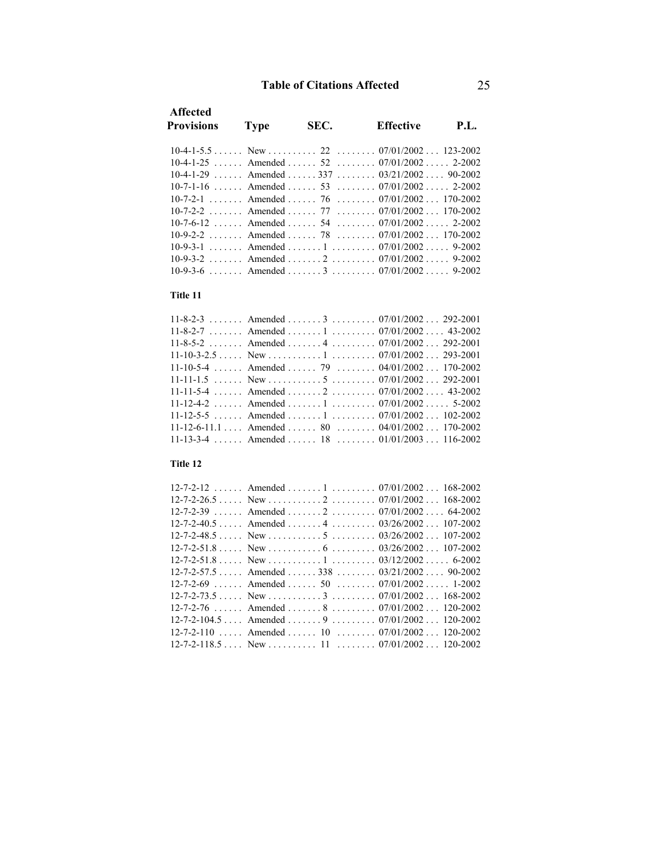| <b>Affected</b><br><b>Provisions</b>                   | <b>Type</b> | SEC. | Effective | <b>P.L.</b> |
|--------------------------------------------------------|-------------|------|-----------|-------------|
|                                                        |             |      |           |             |
| $10-4-1-25$ Amended  52 $07/01/2002$ 2-2002            |             |      |           |             |
| $10-4-1-29$ Amended  337 $03/21/2002$ 90-2002          |             |      |           |             |
| $10-7-1-16$ Amended  53 $07/01/2002$ 2-2002            |             |      |           |             |
| 10-7-2-1 Amended 76 07/01/2002 170-2002                |             |      |           |             |
| $10-7-2-2$ . Amended $77$ . $07/01/2002$ 170-2002      |             |      |           |             |
| $10-7-6-12$ , Amended , $54$ , $07/01/2002$ , $2-2002$ |             |      |           |             |
| 10-9-2-2 Amended 78 07/01/2002 170-2002                |             |      |           |             |
|                                                        |             |      |           |             |
|                                                        |             |      |           |             |
|                                                        |             |      |           |             |
|                                                        |             |      |           |             |

#### **Title 11**

| $11-8-2-3$ Amended  3  07/01/2002 292-2001                          |  |
|---------------------------------------------------------------------|--|
| $11-8-2-7$ Amended  1  07/01/2002 43-2002                           |  |
| 11-8-5-2 Amended 4 07/01/2002 292-2001                              |  |
| $11-10-3-2.5$ New $\dots \dots 1$ $\dots \dots 07/01/2002$ 293-2001 |  |
| 11-10-5-4  Amended  79 $04/01/2002$ 170-2002                        |  |
|                                                                     |  |
| 11-11-5-4  Amended  2  07/01/2002  43-2002                          |  |
| 11-12-4-2  Amended  1  07/01/2002  5-2002                           |  |
| 11-12-5-5  Amended  1 $07/01/2002$ 102-2002                         |  |
| 11-12-6-11.1  Amended  80  04/01/2002  170-2002                     |  |
| 11-13-3-4  Amended  18  01/01/2003  116-2002                        |  |

### **Title 12**

| $12-7-2-12$ Amended  1  07/01/2002 168-2002                                       |  |  |
|-----------------------------------------------------------------------------------|--|--|
|                                                                                   |  |  |
| $12 - 7 - 2 - 39$ Amended  2 $07/01/2002$ 64-2002                                 |  |  |
| $12-7-2-40.5$ Amended  4  03/26/2002 107-2002                                     |  |  |
| $12-7-2-48.5$ New $\dots \dots 5$ $\dots \dots 03/26/2002$ 107-2002               |  |  |
| $12-7-2-51.8$ New $\dots \dots 6$ $\dots \dots 03/26/2002$ 107-2002               |  |  |
|                                                                                   |  |  |
| $12 - 7 - 2 - 57.5$ Amended  338 $03/21/2002$ 90-2002                             |  |  |
| $12-7-2-69$ Amended  50  07/01/2002 1-2002                                        |  |  |
| $12-7-2-73.5$ New $\dots \dots$ 3 $\dots \dots$ $07/01/2002$ 168-2002             |  |  |
| $12-7-2-76$ Amended  8  07/01/2002 120-2002                                       |  |  |
| $12-7-2-104.5$ Amended  9  07/01/2002 120-2002                                    |  |  |
| $12-7-2-110$ Amended  10  07/01/2002 120-2002                                     |  |  |
| $12-7-2-118.5$ New $\dots \dots \dots 11$ $\dots \dots \dots 07/01/2002$ 120-2002 |  |  |
|                                                                                   |  |  |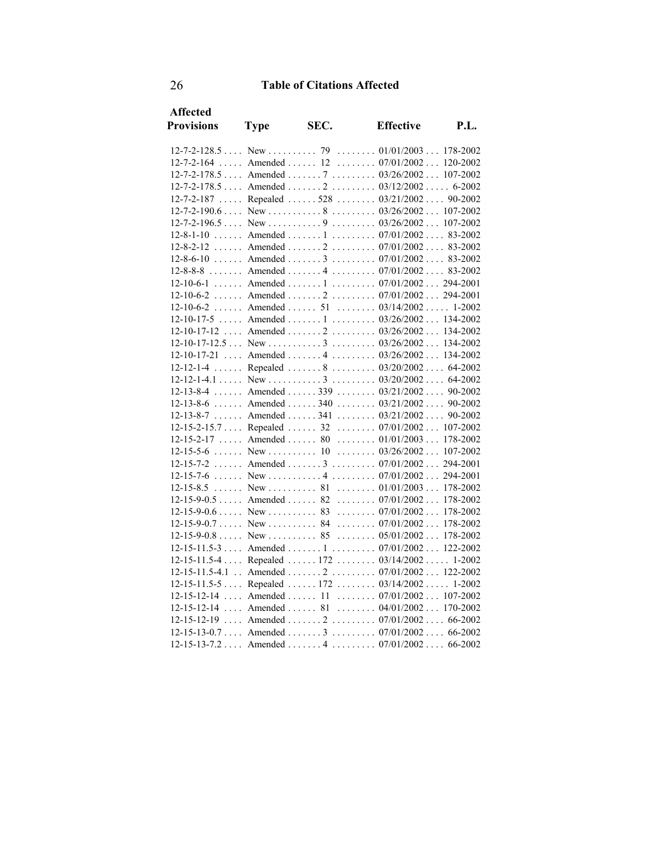| <b>Affected</b>    |             |      |                                                                       |             |
|--------------------|-------------|------|-----------------------------------------------------------------------|-------------|
| <b>Provisions</b>  | <b>Type</b> | SEC. | <b>Effective</b>                                                      | <b>P.L.</b> |
|                    |             |      |                                                                       |             |
| $12 - 7 - 2 - 164$ |             |      | Amended  12 $07/01/2002$ 120-2002                                     |             |
|                    |             |      | 12-7-2-178.5  Amended  7  03/26/2002  107-2002                        |             |
|                    |             |      | $12-7-2-178.5$ Amended $2$ $03/12/2002$ 6-2002                        |             |
|                    |             |      | 12-7-2-187  Repealed  528  03/21/2002  90-2002                        |             |
|                    |             |      |                                                                       |             |
|                    |             |      | $12-7-2-196.5$ New $\dots \dots 9$ $03/26/2002$ $107-2002$            |             |
|                    |             |      | $12-8-1-10$ Amended  1  07/01/2002  83-2002                           |             |
|                    |             |      | 12-8-2-12  Amended  2  07/01/2002  83-2002                            |             |
|                    |             |      | $12-8-6-10$ Amended  3  07/01/2002 83-2002                            |             |
|                    |             |      | $12-8-8-8$ Amended  4  07/01/2002 83-2002                             |             |
|                    |             |      | 12-10-6-1  Amended  1  07/01/2002  294-2001                           |             |
|                    |             |      | $12-10-6-2$ Amended $2$ $07/01/2002$ $294-2001$                       |             |
|                    |             |      | $12-10-6-2$ Amended  51  03/14/2002 1-2002                            |             |
|                    |             |      | 12-10-17-5  Amended  1  03/26/2002  134-2002                          |             |
|                    |             |      | $12-10-17-12$ Amended $2$ 03/26/2002 134-2002                         |             |
|                    |             |      | $12-10-17-12.5$ New $\dots \dots 3 \dots 3 \dots 03/26/2002$ 134-2002 |             |
|                    |             |      | 12-10-17-21  Amended  4  03/26/2002  134-2002                         |             |
| $12 - 12 - 1 - 4$  |             |      | Repealed  8  03/20/2002  64-2002                                      |             |
|                    |             |      |                                                                       |             |
|                    |             |      | 12-13-8-4  Amended  339  03/21/2002  90-2002                          |             |
|                    |             |      | $12-13-8-6$ Amended  340  03/21/2002  90-2002                         |             |
|                    |             |      | $12-13-8-7$ Amended  341  03/21/2002  90-2002                         |             |
|                    |             |      | 12-15-2-15.7  Repealed  32  07/01/2002  107-2002                      |             |
|                    |             |      | $12-15-2-17$ Amended  80  01/01/2003  178-2002                        |             |
|                    |             |      | $12-15-5-6$ New  10  03/26/2002                                       | 107-2002    |
|                    |             |      | $12-15-7-2$ Amended  3  07/01/2002                                    | 294-2001    |
|                    |             |      |                                                                       | 294-2001    |
|                    |             |      |                                                                       |             |
|                    |             |      | $12-15-9-0.5$ Amended  82  07/01/2002                                 | 178-2002    |
|                    |             |      |                                                                       |             |
|                    |             |      | $12-15-9-0.7$ New  84  07/01/2002                                     | 178-2002    |
|                    |             |      | $12-15-9-0.8$ New  85  05/01/2002 178-2002                            |             |
|                    |             |      | 12-15-11.5-3  Amended  1  07/01/2002  122-2002                        |             |
|                    |             |      | $12-15-11.5-4$ Repealed  172  03/14/2002  1-2002                      |             |
|                    |             |      | 12-15-11.5-4.1 . Amended 2 07/01/2002 122-2002                        |             |
|                    |             |      | 12-15-11.5-5  Repealed  172  03/14/2002  1-2002                       |             |
|                    |             |      | $12-15-12-14$ Amended  11  07/01/2002  107-2002                       |             |
|                    |             |      | 12-15-12-14  Amended  81  04/01/2002  170-2002                        |             |
|                    |             |      | $12-15-12-19$ Amended  2  07/01/2002  66-2002                         |             |
|                    |             |      | $12-15-13-0.7$ Amended  3  07/01/2002  66-2002                        |             |
|                    |             |      | $12-15-13-7.2$ Amended  4  07/01/2002  66-2002                        |             |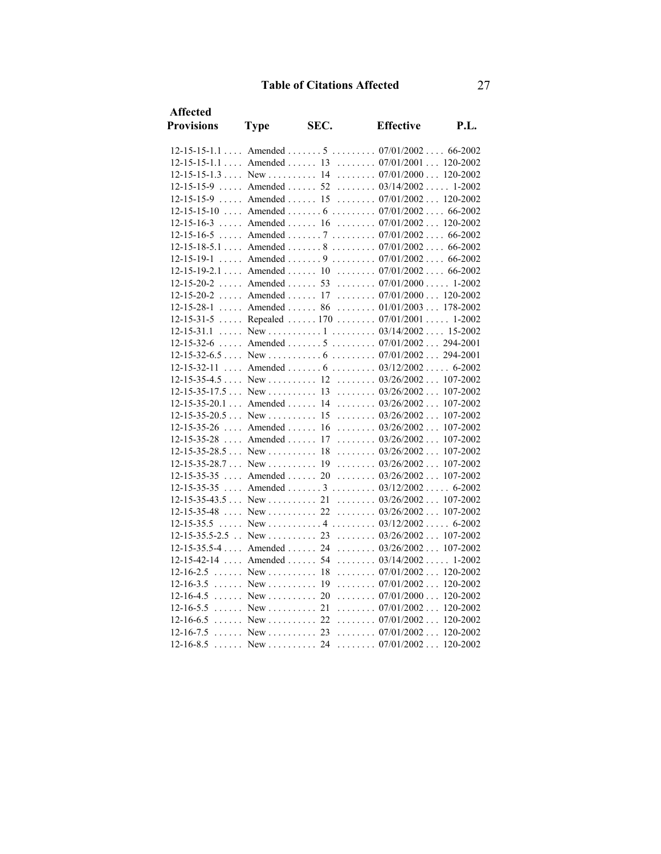| <b>Affected</b>                   |                                  |      |                                                   |      |
|-----------------------------------|----------------------------------|------|---------------------------------------------------|------|
| <b>Provisions</b>                 | <b>Type</b>                      | SEC. | <b>Effective</b>                                  | P.L. |
|                                   |                                  |      | $12-15-15-1.1$ Amended  5  07/01/2002 66-2002     |      |
|                                   |                                  |      | 12-15-15-1.1  Amended  13  07/01/2001  120-2002   |      |
|                                   |                                  |      | $12-15-15-1.3$ New  14  07/01/2000 120-2002       |      |
|                                   |                                  |      | $12-15-15-9$ Amended  52  03/14/2002 1-2002       |      |
| $12 - 15 - 15 - 9$                | $\ldots$ Amended $\ldots$ 15     |      | $\ldots \ldots \ldots 07/01/2002 \ldots 120-2002$ |      |
|                                   |                                  |      | $12-15-15-10$ Amended  6  07/01/2002 66-2002      |      |
| $12 - 15 - 16 - 3$                | $\ldots$ . Amended $\ldots$ . 16 |      | $\ldots \ldots \ldots 07/01/2002 \ldots 120-2002$ |      |
| $12 - 15 - 16 - 5$                |                                  |      | Amended  7  07/01/2002 66-2002                    |      |
|                                   |                                  |      | $12-15-18-5.1$ Amended  8  07/01/2002 66-2002     |      |
| $12 - 15 - 19 - 1$                |                                  |      | Amended  9  07/01/2002 66-2002                    |      |
| $12-15-19-2.1$ Amended  10        |                                  |      | $\ldots \ldots 07/01/2002 \ldots 66-2002$         |      |
| $12 - 15 - 20 - 2$                |                                  |      | Amended  53  07/01/2000  1-2002                   |      |
| $12 - 15 - 20 - 2$                |                                  |      | Amended  17  07/01/2000 120-2002                  |      |
| $12 - 15 - 28 - 1$                | $\ldots$ . Amended $\ldots$ . 86 |      | $\ldots \ldots \ldots 01/01/2003 \ldots 178-2002$ |      |
|                                   |                                  |      | 12-15-31-5  Repealed  170  07/01/2001  1-2002     |      |
| $12 - 15 - 31.1$                  |                                  |      |                                                   |      |
| $12 - 15 - 32 - 6$                |                                  |      | Amended  5 $07/01/2002$ 294-2001                  |      |
|                                   |                                  |      |                                                   |      |
| $12 - 15 - 32 - 11$               |                                  |      | Amended  6 $03/12/2002$ 6-2002                    |      |
| $12-15-35-4.5$ New  12            |                                  |      | $\ldots \ldots \ldots 03/26/2002 \ldots 107-2002$ |      |
|                                   |                                  |      |                                                   |      |
| $12 - 15 - 35 - 20.1$ Amended  14 |                                  |      | $\ldots \ldots 03/26/2002 \ldots 107-2002$        |      |
| $12-15-35-20.5$ New  15           |                                  |      | $\ldots \ldots \ldots 03/26/2002 \ldots 107-2002$ |      |
| $12-15-35-26$ Amended  16         |                                  |      | $\ldots \ldots \ldots 03/26/2002 \ldots 107-2002$ |      |
| 12-15-35-28                       | $\ldots$ Amended $\ldots$ 17     |      | $\ldots \ldots 03/26/2002 \ldots 107-2002$        |      |
| $12-15-35-28.5$ New  18           |                                  |      | $\ldots \ldots 03/26/2002 \ldots 107-2002$        |      |
| $12-15-35-28.7$ New  19           |                                  |      | $\ldots \ldots \ldots 03/26/2002 \ldots 107-2002$ |      |
| $12 - 15 - 35 - 35$ Amended  20   |                                  |      | $\ldots \ldots \ldots 03/26/2002 \ldots 107-2002$ |      |
| 12-15-35-35                       |                                  |      | Amended  3  03/12/2002 6-2002                     |      |
|                                   |                                  |      | $\ldots \ldots 03/26/2002 \ldots 107-2002$        |      |
| $12 - 15 - 35 - 48$ New  22       |                                  |      | $\ldots \ldots 03/26/2002 \ldots 107-2002$        |      |
| 12-15-35.5                        |                                  |      |                                                   |      |
| $12-15-35.5-2.5$ . New  23        |                                  |      | $\ldots \ldots \ldots 03/26/2002 \ldots 107-2002$ |      |
| $12-15-35.5-4$ Amended  24        |                                  |      | $\ldots \ldots \ldots 03/26/2002 \ldots 107-2002$ |      |
| $12-15-42-14$ Amended  54         |                                  |      | $\ldots \ldots \ldots 03/14/2002 \ldots 1-2002$   |      |
| $12-16-2.5$ New  18               |                                  |      | $\ldots \ldots 07/01/2002 \ldots 120-2002$        |      |
| $12-16-3.5$ New  19               |                                  |      | $\ldots \ldots 07/01/2002 \ldots 120-2002$        |      |
| $12-16-4.5$ New  20               |                                  |      | $\ldots \ldots 07/01/2000 \ldots 120-2002$        |      |
|                                   |                                  |      | $\ldots \ldots \ldots 07/01/2002 \ldots 120-2002$ |      |
| $12-16-6.5$ New  22               |                                  |      | $\ldots \ldots 07/01/2002 \ldots 120-2002$        |      |
| $12-16-7.5$ New  23               |                                  |      | $\ldots \ldots \ldots 07/01/2002 \ldots 120-2002$ |      |
| $12 - 16 - 8.5$                   | New  24                          |      | $\ldots \ldots \ldots 07/01/2002 \ldots 120-2002$ |      |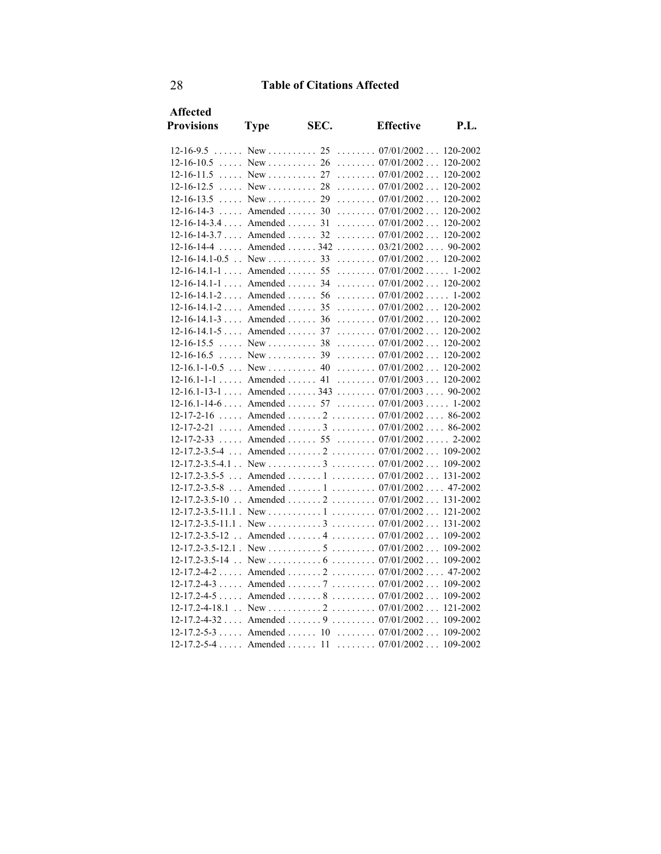| <b>Affected</b>            |                              |      |                                                                       |             |
|----------------------------|------------------------------|------|-----------------------------------------------------------------------|-------------|
| <b>Provisions</b>          | <b>Type</b>                  | SEC. | <b>Effective</b>                                                      | <b>P.L.</b> |
| $12 - 16 - 9.5$            |                              |      | New  25  07/01/2002 120-2002                                          |             |
| $12-16-10.5$ New  26       |                              |      | $\ldots \ldots 07/01/2002 \ldots$                                     | 120-2002    |
| 12-16-11.5                 |                              |      | New  27  07/01/2002                                                   | 120-2002    |
| $12-16-12.5$ New  28       |                              |      | $\ldots \ldots \ldots 07/01/2002 \ldots 120-2002$                     |             |
| $12 - 16 - 13.5$           | $New$ $29$                   |      | $\ldots \ldots 07/01/2002 \ldots$                                     | 120-2002    |
| $12-16-14-3$ Amended  30   |                              |      | $\ldots \ldots \ldots 07/01/2002 \ldots 120-2002$                     |             |
| $12-16-14-3.4$ Amended  31 |                              |      | $\ldots \ldots 07/01/2002 \ldots 120-2002$                            |             |
| $12-16-14-3.7$ Amended  32 |                              |      | $\ldots \ldots \ldots 07/01/2002 \ldots 120-2002$                     |             |
| $12 - 16 - 14 - 4$         |                              |      | Amended  342 $03/21/2002$ 90-2002                                     |             |
| $12-16-14.1-0.5$ . New  33 |                              |      | $\ldots \ldots \ldots 07/01/2002 \ldots 120-2002$                     |             |
| $12-16-14.1-1$ Amended  55 |                              |      | $\ldots \ldots 07/01/2002 \ldots 1-2002$                              |             |
| $12-16-14.1-1$ Amended  34 |                              |      | $\ldots \ldots \ldots 07/01/2002 \ldots 120-2002$                     |             |
| $12-16-14.1-2$ Amended  56 |                              |      | $\ldots \ldots 07/01/2002 \ldots 1-2002$                              |             |
| $12-16-14.1-2$ Amended  35 |                              |      | $\ldots \ldots \ldots 07/01/2002 \ldots 120-2002$                     |             |
| $12-16-14.1-3$ Amended  36 |                              |      | $\ldots \ldots \ldots 07/01/2002 \ldots 120-2002$                     |             |
| $12-16-14.1-5$ Amended  37 |                              |      | $\ldots \ldots \ldots 07/01/2002 \ldots 120-2002$                     |             |
| 12-16-15.5                 | $\ldots$ New $\ldots$ 38     |      | $\ldots \ldots 07/01/2002 \ldots 120-2002$                            |             |
| 12-16-16.5                 | $\ldots$ New $\ldots$ 39     |      | $\ldots \ldots 07/01/2002 \ldots 120-2002$                            |             |
| $12-16.1-1-0.5$ New  40    |                              |      | $\ldots \ldots \ldots 07/01/2002 \ldots 120-2002$                     |             |
| $12-16.1-1-1$ Amended 41   |                              |      | $\ldots \ldots \ldots 07/01/2003 \ldots 120-2002$                     |             |
|                            |                              |      | $12-16.1-13-1$ Amended  343  07/01/2003  90-2002                      |             |
| $12-16.1-14-6$ Amended  57 |                              |      | $\ldots \ldots \ldots 07/01/2003 \ldots 1-2002$                       |             |
| $12 - 17 - 2 - 16$         |                              |      | Amended  2  07/01/2002 86-2002                                        |             |
| 12-17-2-21                 |                              |      | Amended  3  07/01/2002 86-2002                                        |             |
| 12-17-2-33                 | $\ldots$ Amended $\ldots$ 55 |      | $\ldots \ldots \ldots 07/01/2002 \ldots \ldots 2-2002$                |             |
| $12 - 17.2 - 3.5 - 4$      |                              |      | Amended  2  07/01/2002 109-2002                                       |             |
|                            |                              |      |                                                                       |             |
| $12 - 17.2 - 3.5 - 5$      |                              |      | Amended  1  07/01/2002 131-2002                                       |             |
| 12-17.2-3.5-8              |                              |      | Amended  1  07/01/2002  47-2002                                       |             |
|                            |                              |      | 12-17.2-3.5-10 . Amended 2 07/01/2002 131-2002                        |             |
|                            |                              |      |                                                                       |             |
|                            |                              |      |                                                                       |             |
| 12-17.2-3.5-12             |                              |      | Amended  4 $07/01/2002$                                               | 109-2002    |
|                            |                              |      |                                                                       |             |
| 12-17.2-3.5-14             |                              |      | $\ldots$ New $\ldots \ldots \ldots 6 \ldots \ldots 07/01/2002 \ldots$ | 109-2002    |
|                            |                              |      | $12-17.2-4-2$ Amended $2$ $07/01/2002$ $47-2002$                      |             |
|                            |                              |      | $12-17.2-4-3$ Amended  7  07/01/2002 109-2002                         |             |
|                            |                              |      | $12-17.2-4-5$ Amended  8  07/01/2002 109-2002                         |             |
|                            |                              |      |                                                                       |             |
|                            |                              |      | $12-17.2-4-32$ Amended  9  07/01/2002  109-2002                       |             |
|                            |                              |      | $12-17.2-5-3$ Amended  10  07/01/2002 109-2002                        |             |
|                            |                              |      | 12-17.2-5-4  Amended  11  07/01/2002 109-2002                         |             |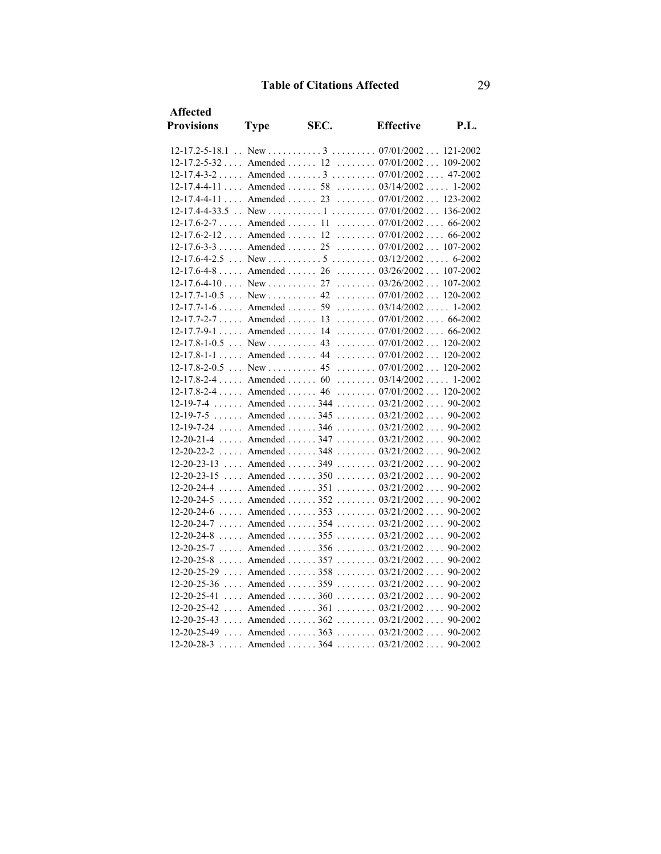| Affected                   |                                   |      |                                                                              |         |
|----------------------------|-----------------------------------|------|------------------------------------------------------------------------------|---------|
| <b>Provisions</b>          | <b>Type</b>                       | SEC. | <b>Effective</b>                                                             | P.L.    |
|                            |                                   |      |                                                                              |         |
|                            |                                   |      | 12-17.2-5-32  Amended  12  07/01/2002  109-2002                              |         |
|                            |                                   |      | $12-17.4-3-2$ Amended  3  07/01/2002 47-2002                                 |         |
| $12-17.4-4-11$ Amended  58 |                                   |      | $\ldots \ldots 03/14/2002 \ldots 1-2002$                                     |         |
| 12-17.4-4-11               | $\ldots$ Amended $\ldots$ 23      |      | $\ldots \ldots \ldots 07/01/2002 \ldots 123-2002$                            |         |
|                            |                                   |      |                                                                              |         |
| $12-17.6-2-7$ Amended  11  |                                   |      | $\ldots \ldots \ldots 07/01/2002 \ldots 66-2002$                             |         |
| $12-17.6-2-12$ Amended  12 |                                   |      | $\ldots \ldots \ldots 07/01/2002 \ldots 66-2002$                             |         |
|                            |                                   |      | $12-17.6-3-3$ Amended  25  07/01/2002  107-2002                              |         |
| $12 - 17.6 - 4 - 2.5$      |                                   |      | $\ldots$ New $\ldots \ldots \ldots 5 \ldots \ldots 03/12/2002 \ldots 6-2002$ |         |
| $12-17.6-4-8$ Amended 26   |                                   |      | $\ldots \ldots \ldots 03/26/2002 \ldots 107-2002$                            |         |
|                            |                                   |      |                                                                              |         |
| $12-17.7-1-0.5$ New  42    |                                   |      | $\ldots \ldots 07/01/2002 \ldots 120-2002$                                   |         |
| $12-17.7-1-6$ Amended 59   |                                   |      | $\ldots \ldots \ldots 03/14/2002 \ldots 1-2002$                              |         |
| $12-17.7-2-7$ Amended  13  |                                   |      | $\ldots \ldots 07/01/2002 \ldots 66-2002$                                    |         |
| $12-17.7-9-1$ Amended  14  |                                   |      | $\ldots \ldots \ldots 07/01/2002 \ldots 66-2002$                             |         |
| $12-17.8-1-0.5$ New        |                                   | 43   | $\ldots \ldots 07/01/2002 \ldots 120-2002$                                   |         |
|                            |                                   |      | 12-17.8-1-1  Amended  44  07/01/2002  120-2002                               |         |
| $12 - 17.8 - 2 - 0.5$      | $\ldots$ New  45                  |      | $\ldots \ldots 07/01/2002 \ldots 120-2002$                                   |         |
| $12-17.8-2-4$ Amended  60  |                                   |      | $\ldots \ldots 03/14/2002 \ldots 1-2002$                                     |         |
|                            |                                   |      | 12-17.8-2-4  Amended  46  07/01/2002  120-2002                               |         |
| $12 - 19 - 7 - 4$          |                                   |      | Amended  344 $03/21/2002$ 90-2002                                            |         |
| $12 - 19 - 7 - 5$          |                                   |      | Amended  345 $03/21/2002$ 90-2002                                            |         |
|                            |                                   |      | 12-19-7-24  Amended  346  03/21/2002  90-2002                                |         |
| $12 - 20 - 21 - 4$         |                                   |      | Amended  347 $03/21/2002$ 90-2002                                            |         |
| $12 - 20 - 22 - 2$         | $\ldots$ Amended $\ldots$ 348     |      | $\ldots \ldots \ldots 03/21/2002 \ldots$                                     | 90-2002 |
|                            |                                   |      | $12-20-23-13$ Amended  349  03/21/2002 90-2002                               |         |
| 12-20-23-15                |                                   |      | Amended  350 $03/21/2002$ 90-2002                                            |         |
| 12-20-24-4                 | $\ldots$ . Amended $\ldots$ . 351 |      | $\ldots \ldots 03/21/2002 \ldots 90-2002$                                    |         |
| $12 - 20 - 24 - 5$         |                                   |      | Amended  352 $03/21/2002$ 90-2002                                            |         |
|                            |                                   |      | $12-20-24-6$ Amended  353  03/21/2002 90-2002                                |         |
| $12 - 20 - 24 - 7$         | $\ldots$ Amended $\ldots$ 354     |      | $\ldots \ldots 03/21/2002 \ldots$                                            | 90-2002 |
| $12 - 20 - 24 - 8$         |                                   |      | Amended  355 $03/21/2002$ 90-2002                                            |         |
| $12 - 20 - 25 - 7$         |                                   |      | Amended  356 $03/21/2002$ 90-2002                                            |         |
| $12 - 20 - 25 - 8$         |                                   |      | Amended  357 $03/21/2002$                                                    | 90-2002 |
|                            |                                   |      | 12-20-25-29  Amended  358  03/21/2002  90-2002                               |         |
|                            |                                   |      | $12-20-25-36$ Amended  359  03/21/2002  90-2002                              |         |
|                            |                                   |      | $12-20-25-41$ Amended  360  03/21/2002                                       | 90-2002 |
|                            |                                   |      | $12-20-25-42$ Amended  361  03/21/2002 90-2002                               |         |
|                            |                                   |      | $12-20-25-43$ Amended  362  03/21/2002 90-2002                               |         |
|                            |                                   |      | 12-20-25-49  Amended  363  03/21/2002  90-2002                               |         |
|                            |                                   |      | $12-20-28-3$ Amended  364  03/21/2002 90-2002                                |         |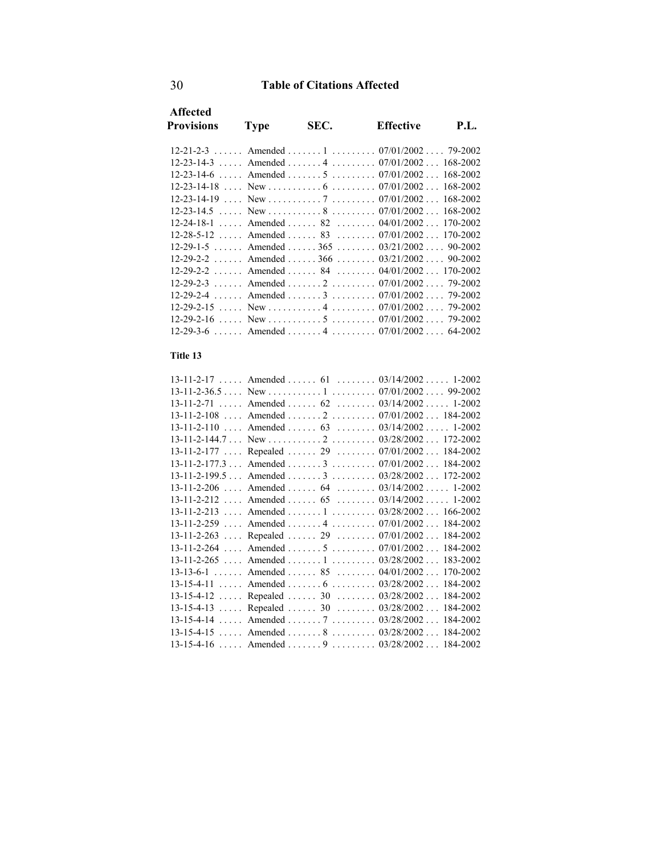|                                                              |      | P.I.                                                                                                                                                                                                                                                                                                                                                                                                                                                                                                                           |
|--------------------------------------------------------------|------|--------------------------------------------------------------------------------------------------------------------------------------------------------------------------------------------------------------------------------------------------------------------------------------------------------------------------------------------------------------------------------------------------------------------------------------------------------------------------------------------------------------------------------|
|                                                              |      |                                                                                                                                                                                                                                                                                                                                                                                                                                                                                                                                |
|                                                              |      |                                                                                                                                                                                                                                                                                                                                                                                                                                                                                                                                |
|                                                              |      |                                                                                                                                                                                                                                                                                                                                                                                                                                                                                                                                |
|                                                              |      |                                                                                                                                                                                                                                                                                                                                                                                                                                                                                                                                |
|                                                              |      |                                                                                                                                                                                                                                                                                                                                                                                                                                                                                                                                |
|                                                              |      |                                                                                                                                                                                                                                                                                                                                                                                                                                                                                                                                |
|                                                              |      |                                                                                                                                                                                                                                                                                                                                                                                                                                                                                                                                |
|                                                              |      |                                                                                                                                                                                                                                                                                                                                                                                                                                                                                                                                |
|                                                              |      |                                                                                                                                                                                                                                                                                                                                                                                                                                                                                                                                |
|                                                              |      |                                                                                                                                                                                                                                                                                                                                                                                                                                                                                                                                |
|                                                              |      |                                                                                                                                                                                                                                                                                                                                                                                                                                                                                                                                |
|                                                              |      |                                                                                                                                                                                                                                                                                                                                                                                                                                                                                                                                |
|                                                              |      |                                                                                                                                                                                                                                                                                                                                                                                                                                                                                                                                |
|                                                              |      | 79-2002                                                                                                                                                                                                                                                                                                                                                                                                                                                                                                                        |
|                                                              |      | 79-2002                                                                                                                                                                                                                                                                                                                                                                                                                                                                                                                        |
|                                                              |      |                                                                                                                                                                                                                                                                                                                                                                                                                                                                                                                                |
|                                                              |      | 64-2002                                                                                                                                                                                                                                                                                                                                                                                                                                                                                                                        |
| <b>Type</b><br>$12 - 29 - 2 - 2$<br>a sa sala<br>$12-29-3-6$ | SEC. | <b>Effective</b><br>$12-21-2-3$ Amended  1  07/01/2002 79-2002<br>$12-23-14-3$ Amended  4 $07/01/2002$ 168-2002<br>$12-23-14-6$ Amended  5  07/01/2002 168-2002<br>New express $8 \tbinom{07}{01/2002}$ (168-2002)<br>$12-28-5-12$ Amended  83  07/01/2002 170-2002<br>12-29-1-5 Amended 365 90-2002 90-2002<br>12-29-2-2 Amended 366 03/21/2002 90-2002<br>Amended 84 84 0.000 04/01/2002 170-2002<br>Amended 2 07/01/2002 79-2002<br>Amended 3 07/01/2002<br>New $\ldots$ , 4, $\ldots$ , 07/01/2002<br>Amended 4 07/01/2002 |

### **Title 13**

| $13-11-2-17$ Amended  61  03/14/2002 1-2002     |  |          |
|-------------------------------------------------|--|----------|
|                                                 |  |          |
| $13-11-2-71$ Amended  62  03/14/2002 1-2002     |  |          |
| $13-11-2-108$ Amended $2$ 07/01/2002 184-2002   |  |          |
| 13-11-2-110  Amended  63  03/14/2002  1-2002    |  |          |
|                                                 |  |          |
| 13-11-2-177  Repealed  29  07/01/2002 184-2002  |  |          |
| $13-11-2-177.3$ Amended  3  07/01/2002 184-2002 |  |          |
| 13-11-2-199.5 Amended 3 03/28/2002 172-2002     |  |          |
| $13-11-2-206$ Amended  64  03/14/2002 1-2002    |  |          |
| 13-11-2-212  Amended  65  03/14/2002  1-2002    |  |          |
| 13-11-2-213  Amended  1  03/28/2002  166-2002   |  |          |
| 13-11-2-259  Amended  4  07/01/2002             |  | 184-2002 |
| 13-11-2-263  Repealed  29  07/01/2002 184-2002  |  |          |
| 13-11-2-264  Amended  5  07/01/2002 184-2002    |  |          |
| 13-11-2-265  Amended  1  03/28/2002  183-2002   |  |          |
| $13-13-6-1$ Amended  85  04/01/2002 170-2002    |  |          |
| 13-15-4-11  Amended  6  03/28/2002 184-2002     |  |          |
| 13-15-4-12  Repealed  30  03/28/2002  184-2002  |  |          |
| 13-15-4-13  Repealed  30  03/28/2002 184-2002   |  |          |
| 13-15-4-14  Amended  7  03/28/2002 184-2002     |  |          |
| 13-15-4-15  Amended  8  03/28/2002 184-2002     |  |          |
| $13-15-4-16$ Amended  9  03/28/2002 184-2002    |  |          |
|                                                 |  |          |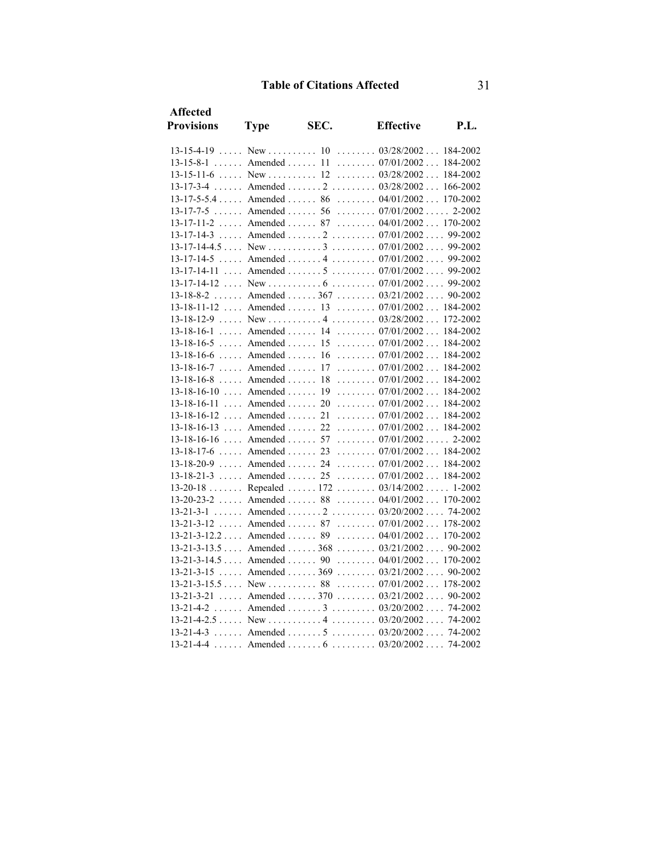| Affected                   |                                  |      |                                                   |            |
|----------------------------|----------------------------------|------|---------------------------------------------------|------------|
| <b>Provisions</b>          | <b>Type</b>                      | SEC. | <b>Effective</b>                                  | P.L.       |
|                            |                                  |      | $13-15-4-19$ New  10  03/28/2002 184-2002         |            |
| $13-15-8-1$ Amended  11    |                                  |      | $\ldots \ldots \ldots 07/01/2002 \ldots 184-2002$ |            |
| $13-15-11-6$ New  12       |                                  |      | $\ldots \ldots \ldots 03/28/2002 \ldots 184-2002$ |            |
| $13 - 17 - 3 - 4$          |                                  |      | Amended  2 $03/28/2002166-2002$                   |            |
| $13-17-5-5.4$ Amended  86  |                                  |      | $\ldots \ldots 04/01/2002 \ldots 170-2002$        |            |
| $13 - 17 - 7 - 5$          |                                  |      | Amended  56  07/01/2002                           | $2 - 2002$ |
|                            |                                  |      | 13-17-11-2  Amended  87  04/01/2002  170-2002     |            |
| $13 - 17 - 14 - 3$         |                                  |      | Amended  2  07/01/2002 99-2002                    |            |
|                            |                                  |      |                                                   |            |
| $13 - 17 - 14 - 5$         |                                  |      | Amended  4  07/01/2002 99-2002                    |            |
| $13 - 17 - 14 - 11$        |                                  |      | Amended  5  07/01/2002  99-2002                   |            |
| 13-17-14-12                |                                  |      |                                                   |            |
| $13 - 18 - 8 - 2$          |                                  |      | Amended  367 $03/21/2002$ 90-2002                 |            |
| $13-18-11-12$ Amended  13  |                                  |      | $\ldots \ldots \ldots 07/01/2002 \ldots 184-2002$ |            |
|                            |                                  |      |                                                   |            |
| $13 - 18 - 16 - 1$         | $\ldots$ Amended $\ldots$ 14     |      | $\ldots \ldots \ldots 07/01/2002 \ldots 184-2002$ |            |
| $13 - 18 - 16 - 5$         | $\ldots$ . Amended $\ldots$ 15   |      | $\ldots \ldots 07/01/2002 \ldots 184-2002$        |            |
| $13 - 18 - 16 - 6$         | $\ldots$ Amended $\ldots$ 16     |      | $\ldots \ldots 07/01/2002 \ldots 184-2002$        |            |
| $13 - 18 - 16 - 7$         | $\ldots$ Amended $\ldots$ 17     |      | $\ldots \ldots 07/01/2002 \ldots 184-2002$        |            |
| 13-18-16-8                 | $\ldots$ Amended $\ldots$        | 18   | $\ldots \ldots \ldots 07/01/2002 \ldots 184-2002$ |            |
| $13-18-16-10$ Amended  19  |                                  |      | $\ldots \ldots \ldots 07/01/2002 \ldots 184-2002$ |            |
| 13-18-16-11                | $\ldots$ Amended $\ldots$        | 20   | $\ldots \ldots 07/01/2002 \ldots 184-2002$        |            |
| 13-18-16-12                | $\ldots$ Amended $\ldots$        | 21   | $\ldots \ldots 07/01/2002 \ldots 184-2002$        |            |
| 13-18-16-13                | $\ldots$ Amended $\ldots$ 22     |      | $\ldots \ldots \ldots 07/01/2002 \ldots 184-2002$ |            |
| 13-18-16-16  Amended  57   |                                  |      | $\ldots \ldots 07/01/2002 \ldots 2-2002$          |            |
| $13-18-17-6$ Amended  23   |                                  |      | $\ldots \ldots 07/01/2002 \ldots 184-2002$        |            |
| $13-18-20-9$ Amended  24   |                                  |      | $\ldots \ldots 07/01/2002 \ldots 184-2002$        |            |
| $13 - 18 - 21 - 3$         | $\ldots$ . Amended $\ldots$ . 25 |      | $\ldots \ldots 07/01/2002 \ldots 184-2002$        |            |
| $13 - 20 - 18$             |                                  |      | Repealed  172 $03/14/2002$ 1-2002                 |            |
| $13 - 20 - 23 - 2$         | $\ldots$ . Amended $\ldots$ . 88 |      | $\ldots \ldots 04/01/2002 \ldots 170-2002$        |            |
| $13 - 21 - 3 - 1$          |                                  |      | Amended  2  03/20/2002 74-2002                    |            |
| $13 - 21 - 3 - 12$         |                                  |      | Amended  87  07/01/2002  178-2002                 |            |
| $13-21-3-12.2$ Amended  89 |                                  |      | $\ldots \ldots 04/01/2002 \ldots 170-2002$        |            |
|                            |                                  |      | $13-21-3-13.5$ Amended  368  03/21/2002 90-2002   |            |
|                            |                                  |      | 13-21-3-14.5  Amended  90  04/01/2002  170-2002   |            |
| $13 - 21 - 3 - 15$         | $\ldots$ Amended $\ldots$ . 369  |      | $\ldots \ldots 03/21/2002 \ldots 90-2002$         |            |
| $13-21-3-15.5$ New  88     |                                  |      | $\ldots \ldots \ldots 07/01/2002 \ldots 178-2002$ |            |
|                            |                                  |      | $13-21-3-21$ Amended  370  03/21/2002             | 90-2002    |
| $13 - 21 - 4 - 2$          |                                  |      | Amended  3 $03/20/2002$ 74-2002                   |            |
|                            |                                  |      | $13-21-4-3$ Amended  5  03/20/2002 74-2002        |            |
|                            |                                  |      | $13-21-4-4$ Amended  6  03/20/2002 74-2002        |            |
|                            |                                  |      |                                                   |            |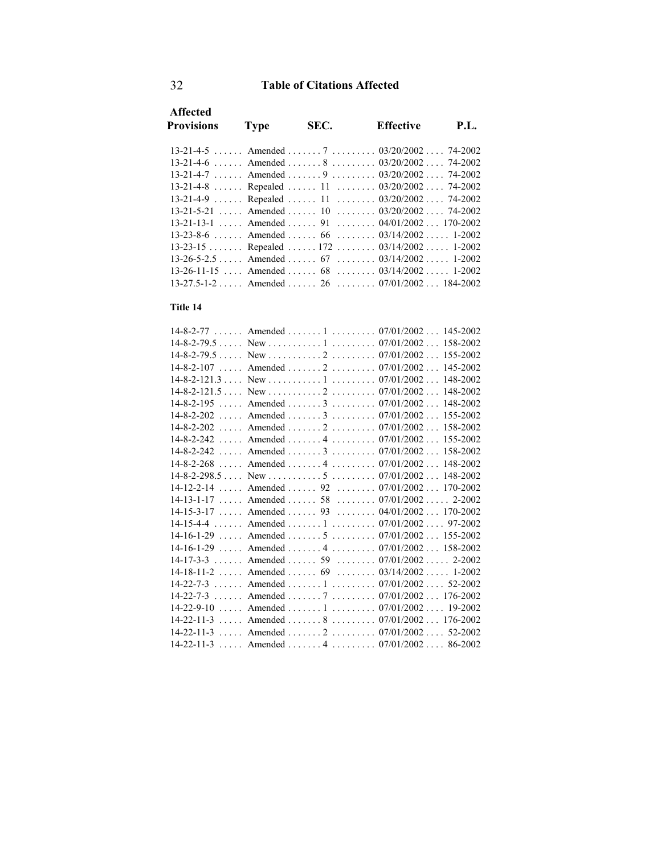| <b>Affected</b><br><b>Provisions</b>              | Type | SEC. | Effective | P.I. |
|---------------------------------------------------|------|------|-----------|------|
| $13-21-4-5$ Amended  7  03/20/2002 74-2002        |      |      |           |      |
| $13-21-4-6$ Amended  8 $03/20/2002$ 74-2002       |      |      |           |      |
| $13-21-4-7$ Amended  9  03/20/2002 74-2002        |      |      |           |      |
| 13-21-4-8  Repealed  11  03/20/2002  74-2002      |      |      |           |      |
| 13-21-4-9  Repealed  11 $03/20/2002$ 74-2002      |      |      |           |      |
| $13-21-5-21$ Amended  10  03/20/2002 74-2002      |      |      |           |      |
| $13-21-13-1$ Amended  91  04/01/2002 170-2002     |      |      |           |      |
| $13-23-8-6$ Amended  66  03/14/2002 1-2002        |      |      |           |      |
| $13-23-15$ Repealed  172  03/14/2002  1-2002      |      |      |           |      |
| $13-26-5-2.5$ Amended  67  03/14/2002 1-2002      |      |      |           |      |
| $13-26-11-15$ , Amended , 68 , 03/14/2002, 1-2002 |      |      |           |      |
| $13-27.5-1-2$ Amended  26  07/01/2002 184-2002    |      |      |           |      |

#### **Title 14**

|                                | $14-8-2-77$ Amended  1  07/01/2002 145-2002      |          |
|--------------------------------|--------------------------------------------------|----------|
|                                |                                                  |          |
|                                |                                                  | 155-2002 |
|                                | 14-8-2-107  Amended  2  07/01/2002  145-2002     |          |
|                                |                                                  | 148-2002 |
|                                |                                                  |          |
|                                | 14-8-2-195  Amended  3  07/01/2002  148-2002     |          |
| $14 - 8 - 2 - 202$             | Amended  3 $07/01/2002$                          | 155-2002 |
|                                | $14-8-2-202$ Amended $2$ $07/01/2002$ $158-2002$ |          |
| $14 - 8 - 2 - 242$             | Amended  4  07/01/2002  155-2002                 |          |
| $14 - 8 - 2 - 242$             | Amended  3  07/01/2002 158-2002                  |          |
|                                | 14-8-2-268  Amended  4  07/01/2002  148-2002     |          |
|                                | $14-8-2-298.5$ New $\dots \dots 5$ $07/01/2002$  | 148-2002 |
| $14 - 12 - 2 - 14$             | Amended  92  07/01/2002  170-2002                |          |
|                                | 14-13-1-17  Amended  58  07/01/2002  2-2002      |          |
|                                | 14-15-3-17  Amended  93  04/01/2002  170-2002    |          |
|                                | 14-15-4-4  Amended  1  07/01/2002  97-2002       |          |
|                                | $14-16-1-29$ Amended  5  07/01/2002 155-2002     |          |
|                                | 14-16-1-29  Amended  4  07/01/2002  158-2002     |          |
|                                | 14-17-3-3  Amended  59  07/01/2002  2-2002       |          |
|                                | $14-18-11-2$ Amended  69  03/14/2002 1-2002      |          |
|                                | $14-22-7-3$ Amended  1  07/01/2002  52-2002      |          |
| a sa sala<br>$14 - 22 - 7 - 3$ | Amended  7  07/01/2002  176-2002                 |          |
|                                | 14-22-9-10  Amended  1  07/01/2002  19-2002      |          |
|                                | $14-22-11-3$ Amended  8  07/01/2002  176-2002    |          |
|                                | $14-22-11-3$ Amended  2  07/01/2002              | 52-2002  |
|                                | 14-22-11-3  Amended  4  07/01/2002  86-2002      |          |
|                                |                                                  |          |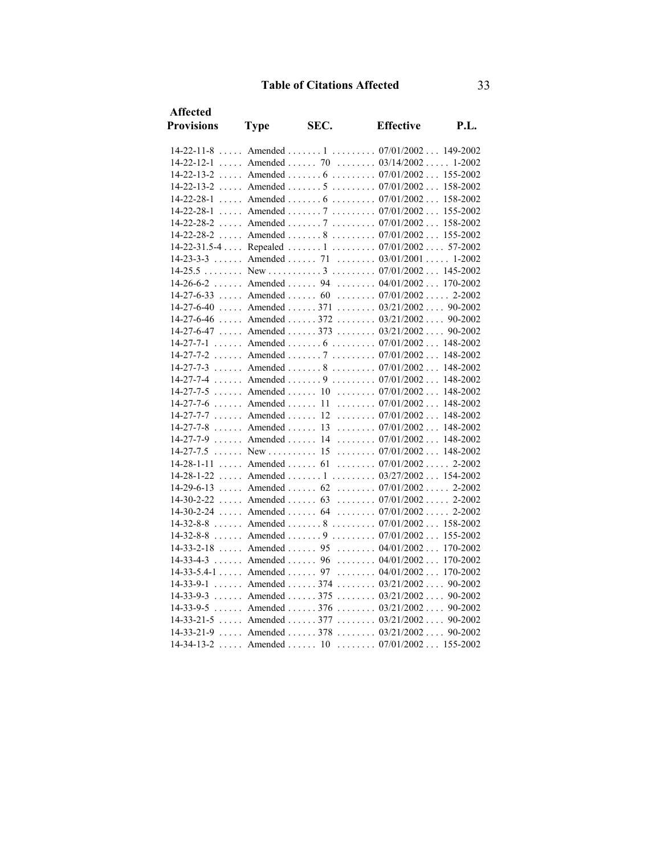| <b>Affected</b>    |                     |      |                                                   |             |
|--------------------|---------------------|------|---------------------------------------------------|-------------|
| <b>Provisions</b>  | <b>Type</b>         | SEC. | <b>Effective</b>                                  | <b>P.L.</b> |
|                    |                     |      | $14-22-11-8$ Amended  1  07/01/2002  149-2002     |             |
|                    |                     |      | $14-22-12-1$ Amended  70  03/14/2002 1-2002       |             |
|                    |                     |      | 14-22-13-2  Amended  6  07/01/2002  155-2002      |             |
|                    |                     |      | $14-22-13-2$ Amended  5  07/01/2002 158-2002      |             |
| $14 - 22 - 28 - 1$ |                     |      | Amended  6  07/01/2002 158-2002                   |             |
| 14-22-28-1         |                     |      | Amended  7  07/01/2002  155-2002                  |             |
|                    |                     |      | $14-22-28-2$ Amended  7  07/01/2002 158-2002      |             |
|                    |                     |      | $14-22-28-2$ Amended  8  07/01/2002 155-2002      |             |
|                    |                     |      | 14-22-31.5-4  Repealed  1  07/01/2002  57-2002    |             |
|                    |                     |      | $14-23-3-3$ Amended  71  03/01/2001  1-2002       |             |
|                    |                     |      |                                                   |             |
|                    |                     |      | 14-26-6-2  Amended  94  04/01/2002  170-2002      |             |
|                    |                     |      | $14-27-6-33$ Amended  60  07/01/2002 2-2002       |             |
|                    |                     |      | $14-27-6-40$ Amended  371  03/21/2002 90-2002     |             |
|                    |                     |      | 14-27-6-46  Amended  372  03/21/2002  90-2002     |             |
|                    |                     |      | $14-27-6-47$ Amended  373  03/21/2002 90-2002     |             |
|                    |                     |      | $14-27-7-1$ Amended  6  07/01/2002 148-2002       |             |
|                    |                     |      | 14-27-7-2  Amended  7  07/01/2002  148-2002       |             |
|                    |                     |      | $14-27-7-3$ Amended  8  07/01/2002  148-2002      |             |
|                    |                     |      | $14-27-7-4$ Amended  9  07/01/2002 148-2002       |             |
|                    |                     |      | 14-27-7-5  Amended  10  07/01/2002  148-2002      |             |
|                    |                     |      | 14-27-7-6  Amended  11  07/01/2002  148-2002      |             |
|                    |                     |      | $14-27-7-7$ Amended  12  07/01/2002 148-2002      |             |
|                    |                     |      | 14-27-7-8  Amended  13  07/01/2002  148-2002      |             |
|                    |                     |      | 14-27-7-9  Amended  14  07/01/2002  148-2002      |             |
|                    | $14-27-7.5$ New  15 |      | $\ldots \ldots \ldots 07/01/2002 \ldots 148-2002$ |             |
|                    |                     |      | $14-28-1-11$ Amended  61  07/01/2002 2-2002       |             |
|                    |                     |      | $14-28-1-22$ Amended  1  03/27/2002 154-2002      |             |
| 14-29-6-13         |                     |      | Amended  62  07/01/2002  2-2002                   |             |
|                    |                     |      | $14-30-2-22$ Amended  63  07/01/2002 2-2002       |             |
|                    |                     |      | $14-30-2-24$ Amended  64  07/01/2002 2-2002       |             |
|                    |                     |      | $14-32-8-8$ Amended  8  07/01/2002 158-2002       |             |
|                    |                     |      | 14-32-8-8  Amended  9  07/01/2002  155-2002       |             |
|                    |                     |      | 14-33-2-18  Amended  95  04/01/2002  170-2002     |             |
| $14 - 33 - 4 - 3$  |                     |      | Amended  96  04/01/2002  170-2002                 |             |
|                    |                     |      | $14-33-5.4-1$ Amended  97  04/01/2002  170-2002   |             |
|                    |                     |      | 14-33-9-1  Amended  374  03/21/2002  90-2002      |             |
|                    |                     |      | 14-33-9-3  Amended  375  03/21/2002  90-2002      |             |
|                    |                     |      | 14-33-9-5  Amended  376  03/21/2002  90-2002      |             |
|                    |                     |      | $14-33-21-5$ Amended  377  03/21/2002  90-2002    |             |
|                    |                     |      | 14-33-21-9  Amended  378  03/21/2002  90-2002     |             |
|                    |                     |      | 14-34-13-2  Amended  10  07/01/2002  155-2002     |             |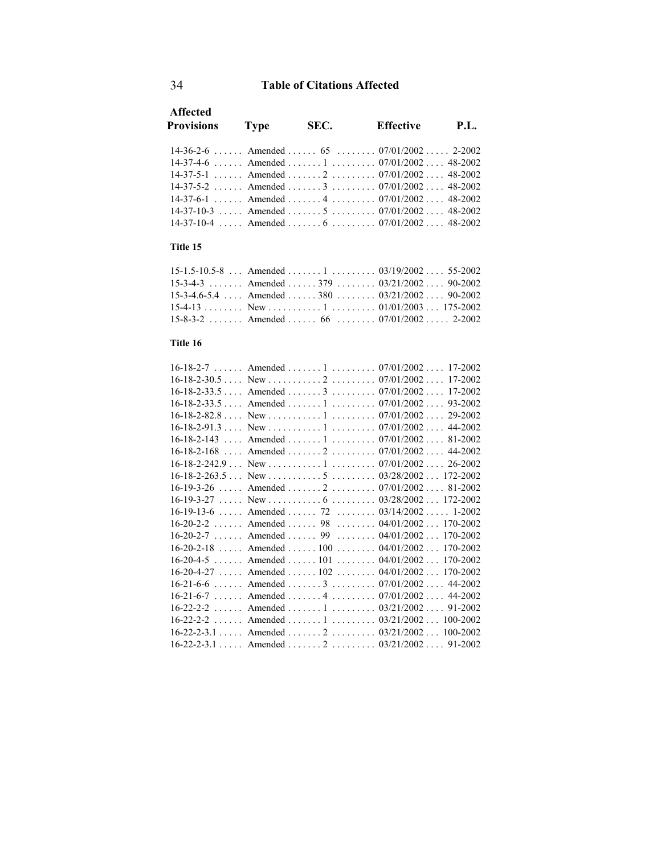| <b>Affected</b><br><b>Provisions</b> | <b>Type</b> | SEC.                                             | <b>Effective</b> | P.I. |
|--------------------------------------|-------------|--------------------------------------------------|------------------|------|
|                                      |             | $14-36-2-6$ Amended  65  07/01/2002 2-2002       |                  |      |
|                                      |             | $14-37-4-6$ Amended  1  07/01/2002 48-2002       |                  |      |
|                                      |             | 14-37-5-1 Amended 2 07/01/2002 48-2002           |                  |      |
|                                      |             | $14-37-5-2$ Amended  3  07/01/2002 48-2002       |                  |      |
|                                      |             | $14-37-6-1$ Amended  4  07/01/2002 48-2002       |                  |      |
|                                      |             | $14-37-10-3$ Amended  5  07/01/2002 48-2002      |                  |      |
|                                      |             | $14-37-10-4$ , Amended , 6 , 07/01/2002  48-2002 |                  |      |
|                                      |             |                                                  |                  |      |

### **Title 15**

| $15-1.5-10.5-8$ Amended  1  03/19/2002 55-2002    |  |  |
|---------------------------------------------------|--|--|
| 15-3-4-3 Amended 379 03/21/2002 90-2002           |  |  |
| $15-3-4.6-5.4$ Amended 380 $03/21/2002$ $90-2002$ |  |  |
|                                                   |  |  |
| $15-8-3-2$ Amended  66  07/01/2002 2-2002         |  |  |

### **Title 16**

|  | $16-18-2-7$ Amended  1  07/01/2002 17-2002                         |
|--|--------------------------------------------------------------------|
|  | $16-18-2-30.5$ New $\dots \dots 2 \dots 2 \dots 07/01/200217-2002$ |
|  | $16-18-2-33.5$ Amended  3  07/01/2002 17-2002                      |
|  | $16-18-2-33.5$ Amended  1  07/01/2002 93-2002                      |
|  | $16-18-2-82.8$ New $\dots \dots 1$ $07/01/2002$ 29-2002            |
|  |                                                                    |
|  | $16-18-2-143$ Amended  1  07/01/2002 81-2002                       |
|  | 16-18-2-168  Amended  2  07/01/2002  44-2002                       |
|  |                                                                    |
|  |                                                                    |
|  | 16-19-3-26  Amended  2  07/01/2002  81-2002                        |
|  |                                                                    |
|  | $16-19-13-6$ Amended  72  03/14/2002  1-2002                       |
|  | 16-20-2-2  Amended  98  04/01/2002  170-2002                       |
|  | $16-20-2-7$ Amended  99  04/01/2002  170-2002                      |
|  | $16-20-2-18$ Amended  100  04/01/2002  170-2002                    |
|  | $16-20-4-5$ Amended  101  04/01/2002  170-2002                     |
|  | $16-20-4-27$ Amended  102  04/01/2002  170-2002                    |
|  | 16-21-6-6  Amended  3  07/01/2002  44-2002                         |
|  | $16-21-6-7$ Amended  4  07/01/2002 44-2002                         |
|  | 16-22-2-2 Amended 1 03/21/2002 91-2002                             |
|  | 16-22-2-2 Amended 1 03/21/2002 100-2002                            |
|  | $16-22-2-3.1$ Amended $2$ $03/21/2002$ $100-2002$                  |
|  | $16-22-2-3.1$ Amended $2$ $03/21/2002$ 91-2002                     |
|  |                                                                    |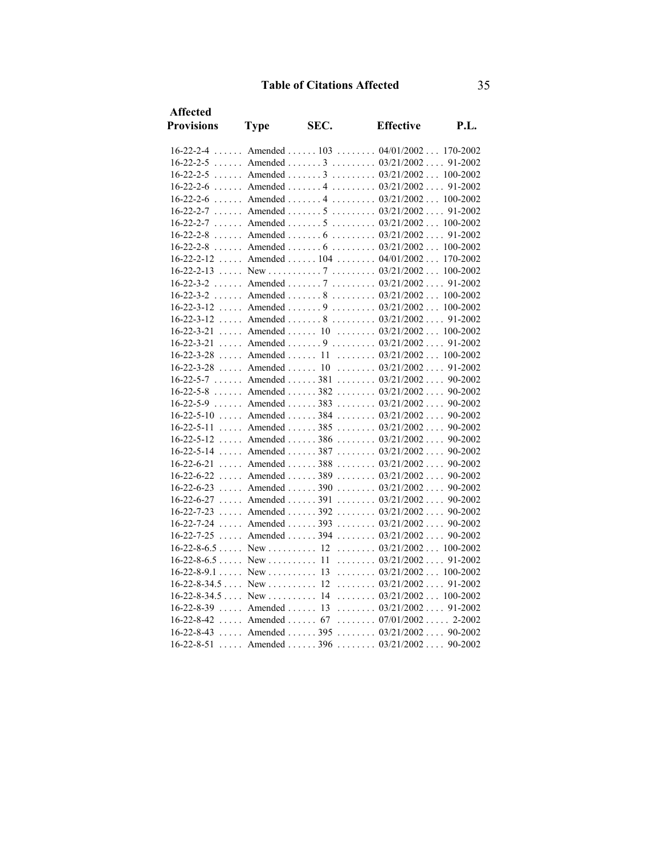| <b>Affected</b><br><b>Provisions</b> | <b>Type</b>                       | SEC. | <b>Effective</b>                                  | P.L.     |
|--------------------------------------|-----------------------------------|------|---------------------------------------------------|----------|
| $16 - 22 - 2 - 4$                    |                                   |      | Amended  103  04/01/2002                          | 170-2002 |
| $16 - 22 - 2 - 5$                    |                                   |      | Amended  3 $03/21/2002$ 91-2002                   |          |
| $16 - 22 - 2 - 5$                    | $\ldots$ Amended $\ldots$ .       |      | $\ldots \ldots \ldots 03/21/2002 \ldots 100-2002$ |          |
| $16 - 22 - 2 - 6$                    | $\ldots$ Amended $\ldots$ .       |      | $\ldots \ldots \ldots 03/21/2002 \ldots 91-2002$  |          |
|                                      |                                   |      | 16-22-2-6  Amended  4  03/21/2002 100-2002        |          |
| $16 - 22 - 2 - 7$                    | $\ldots$ Amended $\ldots$ .       |      | $\ldots \ldots \ldots 03/21/2002 \ldots 91-2002$  |          |
| $16 - 22 - 2 - 7$                    | $\ldots$ . Amended $\ldots$ . 5   |      | $\ldots \ldots \ldots 03/21/2002 \ldots 100-2002$ |          |
| $16 - 22 - 2 - 8$                    |                                   |      | Amended  6  03/21/2002 91-2002                    |          |
| $16 - 22 - 2 - 8$                    |                                   |      | Amended  6 $03/21/2002$ 100-2002                  |          |
| $16 - 22 - 2 - 12$                   |                                   |      | Amended  104  04/01/2002                          | 170-2002 |
|                                      |                                   |      |                                                   |          |
| $16 - 22 - 3 - 2$                    | $\ldots$ Amended $\ldots$ 7       |      | $\ldots \ldots \ldots 03/21/2002 \ldots 91-2002$  |          |
| $16 - 22 - 3 - 2$                    | $\ldots$ Amended $\ldots$ .       |      | $\ldots \ldots \ldots 03/21/2002 \ldots 100-2002$ |          |
| $16 - 22 - 3 - 12$                   | $\ldots$ Amended $\ldots$ .       |      | $\ldots \ldots \ldots 03/21/2002 \ldots 100-2002$ |          |
| $16 - 22 - 3 - 12$                   |                                   |      | Amended  8 $03/21/2002$ 91-2002                   |          |
| $16 - 22 - 3 - 21$                   |                                   |      | Amended $10$ $03/21/2002$ $100-2002$              |          |
| 16-22-3-21                           |                                   |      | Amended  9 $03/21/2002$ 91-2002                   |          |
| $16 - 22 - 3 - 28$                   | $\ldots$ Amended $\ldots$ 11      |      | $\ldots \ldots 03/21/2002 \ldots 100-2002$        |          |
| $16 - 22 - 3 - 28$                   | $\ldots$ Amended $\ldots$ 10      |      | $\ldots \ldots \ldots 03/21/2002 \ldots 91-2002$  |          |
| $16-22-5-7$ Amended  381             |                                   |      | $\ldots \ldots 03/21/2002 \ldots 90-2002$         |          |
| $16 - 22 - 5 - 8$                    |                                   |      | Amended  382 $03/21/2002$ 90-2002                 |          |
|                                      |                                   |      | $16-22-5-9$ Amended  383  03/21/2002 90-2002      |          |
| $16 - 22 - 5 - 10$                   |                                   |      | Amended  384 $03/21/2002$ 90-2002                 |          |
| $16 - 22 - 5 - 11$                   | $\ldots$ . Amended $\ldots$ . 385 |      | $\ldots \ldots \ldots 03/21/2002 \ldots 90-2002$  |          |
| $16 - 22 - 5 - 12$                   |                                   |      | Amended  386  03/21/2002  90-2002                 |          |
| 16-22-5-14                           |                                   |      | Amended  387 $03/21/2002$ 90-2002                 |          |
| $16 - 22 - 6 - 21$                   | $\ldots$ . Amended $\ldots$ . 388 |      | $\ldots \ldots 03/21/2002 \ldots 90-2002$         |          |
| 16-22-6-22                           |                                   |      | Amended  389 $03/21/2002$ 90-2002                 |          |
| $16 - 22 - 6 - 23$                   | $\ldots$ Amended $\ldots$ . 390   |      | $\ldots \ldots 03/21/2002 \ldots 90-2002$         |          |
| 16-22-6-27                           | $\ldots$ Amended $\ldots$ 391     |      | $\ldots \ldots \ldots 03/21/2002 \ldots 90-2002$  |          |
| $16 - 22 - 7 - 23$                   | $\ldots$ Amended $\ldots$ . 392   |      | $\ldots \ldots 03/21/2002 \ldots 90-2002$         |          |
| 16-22-7-24                           |                                   |      | Amended  393 $03/21/2002$ 90-2002                 |          |
| 16-22-7-25                           |                                   |      | Amended  394 $03/21/2002$ 90-2002                 |          |
| $16-22-8-6.5$ New  12                |                                   |      | $\ldots \ldots 03/21/2002 \ldots 100-2002$        |          |
| $16-22-8-6.5$ New  11                |                                   |      | $\ldots \ldots 03/21/2002 \ldots 91-2002$         |          |
| $16-22-8-9.1$ New  13                |                                   |      | $\ldots \ldots 03/21/2002 \ldots 100-2002$        |          |
| $16-22-8-34.5$ New  12               |                                   |      | $\ldots \ldots \ldots 03/21/2002 \ldots 91-2002$  |          |
| $16-22-8-34.5$ New  14               |                                   |      | $\ldots \ldots 03/21/2002 \ldots 100-2002$        |          |
| 16-22-8-39                           | $\ldots$ Amended $\ldots$ 13      |      | $\ldots \ldots 03/21/2002 \ldots 91-2002$         |          |
| 16-22-8-42                           | $\ldots$ Amended $\ldots$ 67      |      | $\ldots \ldots 07/01/2002 \ldots 2-2002$          |          |
| $16 - 22 - 8 - 43$                   | $\ldots$ Amended $\ldots$ 395     |      | $\ldots \ldots 03/21/2002 \ldots 90-2002$         |          |
| 16-22-8-51                           | $\ldots$ . Amended $\ldots$ . 396 |      | $\ldots \ldots 03/21/2002 \ldots 90-2002$         |          |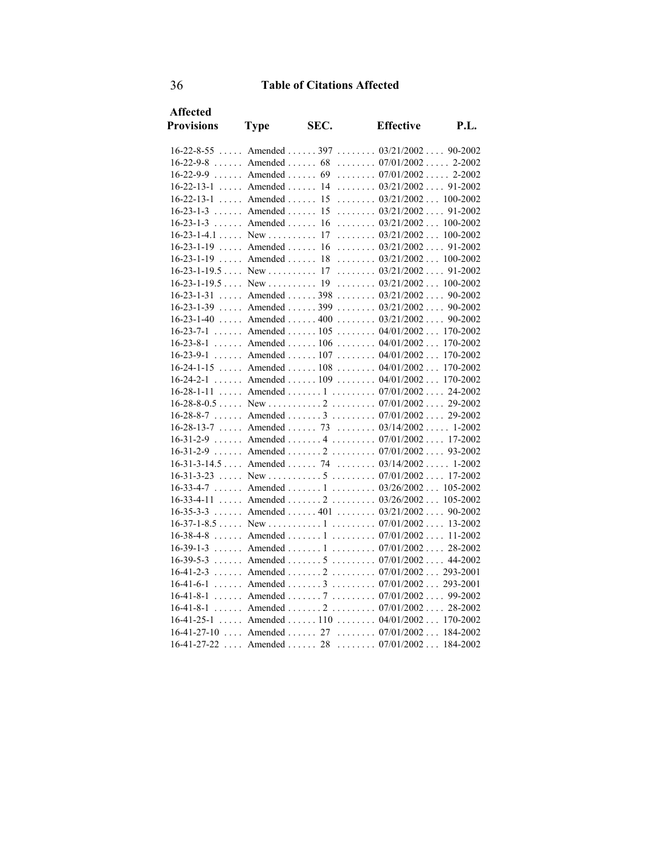| Affected                  |                                 |      |                                                                   |          |
|---------------------------|---------------------------------|------|-------------------------------------------------------------------|----------|
| <b>Provisions</b>         | <b>Type</b>                     | SEC. | <b>Effective</b>                                                  | P.I.     |
|                           |                                 |      | $16-22-8-55$ Amended  397  03/21/2002  90-2002                    |          |
| $16-22-9-8$ Amended  68   |                                 |      | $\ldots \ldots 07/01/2002 \ldots 2-2002$                          |          |
|                           |                                 |      | $16-22-9-9$ Amended  69  07/01/2002 2-2002                        |          |
| $16-22-13-1$ Amended  14  |                                 |      | $\ldots \ldots 03/21/2002 \ldots 91-2002$                         |          |
| $16 - 22 - 13 - 1$        | $\ldots$ Amended $\ldots$ 15    |      | $\ldots \ldots 03/21/2002 \ldots 100-2002$                        |          |
| $16 - 23 - 1 - 3$         | $\ldots$ Amended $\ldots$       | 15   | $\ldots \ldots 03/21/2002 \ldots 91-2002$                         |          |
| $16 - 23 - 1 - 3$         | $\ldots$ Amended $\ldots$       | 16   | $\ldots \ldots 03/21/2002 \ldots 100-2002$                        |          |
| $16-23-1-4.1$ New         |                                 | 17   | $\ldots \ldots \ldots 03/21/2002 \ldots 100-2002$                 |          |
| $16-23-1-19$ Amended      |                                 | 16   | $\ldots \ldots \ldots 03/21/2002 \ldots 91-2002$                  |          |
| $16 - 23 - 1 - 19$        | $\ldots$ Amended $\ldots$ 18    |      | $\ldots \ldots 03/21/2002 \ldots 100-2002$                        |          |
| $16-23-1-19.5$ New  17    |                                 |      | $\ldots \ldots 03/21/2002 \ldots 91-2002$                         |          |
|                           |                                 |      |                                                                   |          |
| 16-23-1-31                | $\ldots$ Amended $\ldots$ . 398 |      | $\ldots \ldots 03/21/2002 \ldots 90-2002$                         |          |
| $16 - 23 - 1 - 39$        | $\ldots$ Amended $\ldots$ 399   |      | $\ldots \ldots 03/21/2002 \ldots 90-2002$                         |          |
|                           |                                 |      | $16-23-1-40$ Amended $400$ $03/21/2002$ $90-2002$                 |          |
|                           |                                 |      | $16-23-7-1$ Amended  105  04/01/2002 170-2002                     |          |
| $16 - 23 - 8 - 1$         |                                 |      | Amended  106 $04/01/2002$                                         | 170-2002 |
| $16 - 23 - 9 - 1$         |                                 |      | Amended  107  04/01/2002                                          | 170-2002 |
|                           |                                 |      | $16-24-1-15$ Amended  108  04/01/2002  170-2002                   |          |
| $16 - 24 - 2 - 1$         |                                 |      | Amended  109  04/01/2002  170-2002                                |          |
| $16 - 28 - 1 - 11$        |                                 |      | Amended  1 $07/01/2002$ 24-2002                                   |          |
|                           |                                 |      |                                                                   |          |
| $16 - 28 - 8 - 7$         | $\ldots$ Amended $\ldots$ .     |      | $\ldots \ldots \ldots 07/01/2002 \ldots 29-2002$                  |          |
|                           |                                 |      | $16-28-13-7$ Amended  73  03/14/2002 1-2002                       |          |
|                           |                                 |      | $16-31-2-9$ Amended $4$ $07/01/2002$ 17-2002                      |          |
| $16 - 31 - 2 - 9$         |                                 |      | Amended  2  07/01/2002 93-2002                                    |          |
|                           |                                 |      | $16-31-3-14.5$ Amended  74  03/14/2002  1-2002                    |          |
| $16 - 31 - 3 - 23$        |                                 |      |                                                                   |          |
|                           |                                 |      | $16-33-4-7$ Amended  1  03/26/2002 105-2002                       |          |
| $16 - 33 - 4 - 11$        |                                 |      | Amended  2 $03/26/2002$ 105-2002                                  |          |
| $16 - 35 - 3 - 3$         |                                 |      | Amended  401  03/21/2002  90-2002                                 |          |
|                           |                                 |      |                                                                   |          |
| $16 - 38 - 4 - 8$         |                                 |      | Amended  1  07/01/2002 11-2002                                    |          |
|                           |                                 |      | $16-39-1-3$ Amended  1  07/01/2002 28-2002                        |          |
|                           |                                 |      | $16-39-5-3$ Amended $5$ $07/01/2002$ 44-2002                      |          |
|                           |                                 |      | $16-41-2-3$ Amended  2  07/01/2002 293-2001                       |          |
|                           |                                 |      | $16-41-6-1$ Amended  3  07/01/2002  293-2001                      |          |
| $16-41-8-1$               |                                 |      | Amended  7  07/01/2002  99-2002<br>Amended  2  07/01/2002 28-2002 |          |
| $16-41-8-1$               |                                 |      | $16-41-25-1$ Amended  110  04/01/2002 170-2002                    |          |
|                           |                                 |      | 16-41-27-10  Amended  27  07/01/2002  184-2002                    |          |
| $16-41-27-22$ Amended  28 |                                 |      | $\ldots \ldots \ldots 07/01/2002 \ldots 184-2002$                 |          |
|                           |                                 |      |                                                                   |          |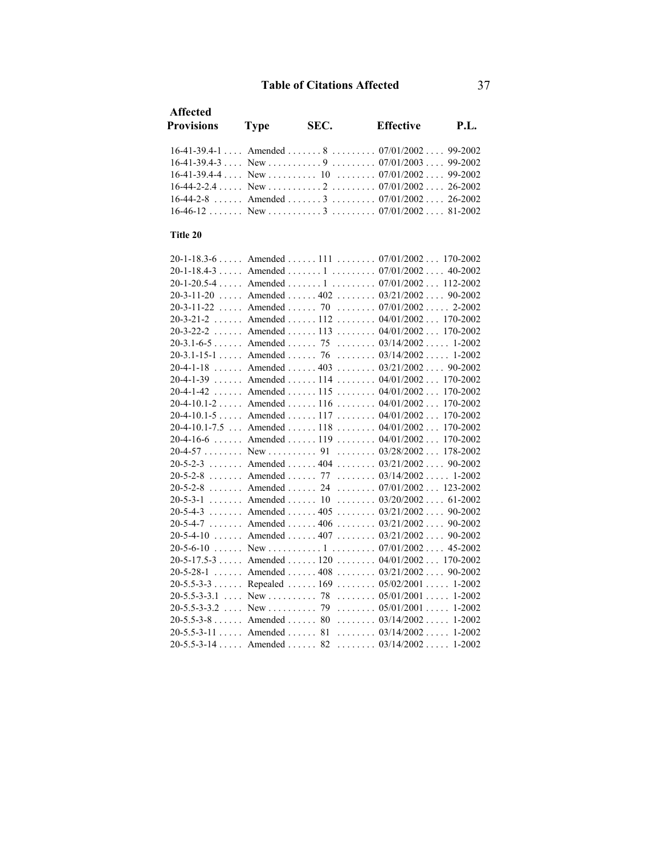| Affected          |             |      |                                                                |             |
|-------------------|-------------|------|----------------------------------------------------------------|-------------|
| <b>Provisions</b> | <b>Type</b> | SEC. | <b>Effective</b>                                               | <b>P.L.</b> |
|                   |             |      | $16-41-39.4-1$ and Amended $8$ and $07/01/2002$ and $99-2002$  |             |
|                   |             |      |                                                                |             |
|                   |             |      | $16-41-39.4-4$ New $\ldots$ $10$ $\ldots$ $07/01/2002$ 99-2002 |             |
|                   |             |      |                                                                |             |
|                   |             |      | $16-44-2-8$ , Amended , 3, 07/01/2002 26-2002                  |             |
|                   |             |      |                                                                |             |
|                   |             |      |                                                                |             |
| Title 20          |             |      |                                                                |             |

#### 20-1-18.3-6 . . . . . Amended . . . . . . 111 . . . . . . . . 07/01/2002 . . . 170-2002 20-1-18.4-3 . . . . . Amended . . . . . . . 1 . . . . . . . . . 07/01/2002 . . . . 40-2002 20-1-20.5-4 . . . . . Amended . . . . . . . 1 . . . . . . . . . 07/01/2002 . . . 112-2002 20-3-11-20 ..... Amended ...... 402 ....... 03/21/2002 .... 90-2002 20-3-11-22 ..... Amended ...... 70 ........ 07/01/2002 ..... 2-2002 20-3-21-2 . . . . . . Amended . . . . . . 112 . . . . . . . . 04/01/2002 . . . 170-2002 20-3-22-2 . . . . . . Amended . . . . . . 113 . . . . . . . . 04/01/2002 . . . 170-2002 20-3.1-6-5 . . . . . . Amended . . . . . . 75 . . . . . . . . 03/14/2002 . . . . . 1-2002 20-3.1-15-1 . . . . . Amended . . . . . . 76 . . . . . . . . 03/14/2002 . . . . . 1-2002 20-4-1-18 . . . . . . Amended . . . . . . 403 . . . . . . . . 03/21/2002 . . . . 90-2002 20-4-1-39 . . . . . . Amended . . . . . . 114 . . . . . . . . 04/01/2002 . . . 170-2002 20-4-1-42 . . . . . . Amended . . . . . . 115 . . . . . . . . 04/01/2002 . . . 170-2002 20-4-10.1-2 . . . . . Amended . . . . . . 116 . . . . . . . . 04/01/2002 . . . 170-2002 20-4-10.1-5 . . . . . Amended . . . . . . 117 . . . . . . . . 04/01/2002 . . . 170-2002 20-4-10.1-7.5 . . . Amended . . . . . . 118 . . . . . . . . 04/01/2002 . . . 170-2002 20-4-16-6 . . . . . . Amended . . . . . . 119 . . . . . . . . 04/01/2002 . . . 170-2002 20-4-57 . . . . . . . . New . . . . . . . . . . 91 . . . . . . . . 03/28/2002 . . . 178-2002 20-5-2-3 . . . . . . . Amended . . . . . . 404 . . . . . . . . 03/21/2002 . . . . 90-2002 20-5-2-8 . . . . . . . Amended . . . . . . 77 . . . . . . . . 03/14/2002 . . . . . 1-2002 20-5-2-8 . . . . . . . Amended . . . . . . 24 . . . . . . . . 07/01/2002 . . . 123-2002 20-5-3-1 . . . . . . . Amended . . . . . . 10 . . . . . . . . 03/20/2002 . . . . 61-2002 20-5-4-3 . . . . . . . Amended . . . . . . 405 . . . . . . . . 03/21/2002 . . . . 90-2002 20-5-4-7 . . . . . . . Amended . . . . . . 406 . . . . . . . . 03/21/2002 . . . . 90-2002 20-5-4-10 . . . . . . Amended . . . . . . 407 . . . . . . . 03/21/2002 . . . . 90-2002 20-5-6-10 . . . . . . New . . . . . . . . . . . 1 . . . . . . . . . 07/01/2002 . . . . 45-2002 20-5-17.5-3 . . . . . Amended . . . . . . 120 . . . . . . . . 04/01/2002 . . . 170-2002 20-5-28-1 . . . . . . Amended . . . . . . 408 . . . . . . . . 03/21/2002 . . . . 90-2002 20-5.5-3-3 . . . . . . Repealed . . . . . . 169 . . . . . . . . 05/02/2001 . . . . . 1-2002 20-5.5-3-3.1 ... New .......... 78 ........ 05/01/2001 ..... 1-2002 20-5.5-3-3.2 . . . . . New . . . . . . . . . . 79 . . . . . . . 05/01/2001 . . . . . 1-2002 20-5.5-3-8 . . . . . . Amended . . . . . . 80 . . . . . . . . 03/14/2002 . . . . . 1-2002 20-5.5-3-11 . . . . . Amended . . . . . . 81 . . . . . . . . 03/14/2002 . . . . . 1-2002 20-5.5-3-14 . . . . . Amended . . . . . . 82 . . . . . . . . 03/14/2002 . . . . . 1-2002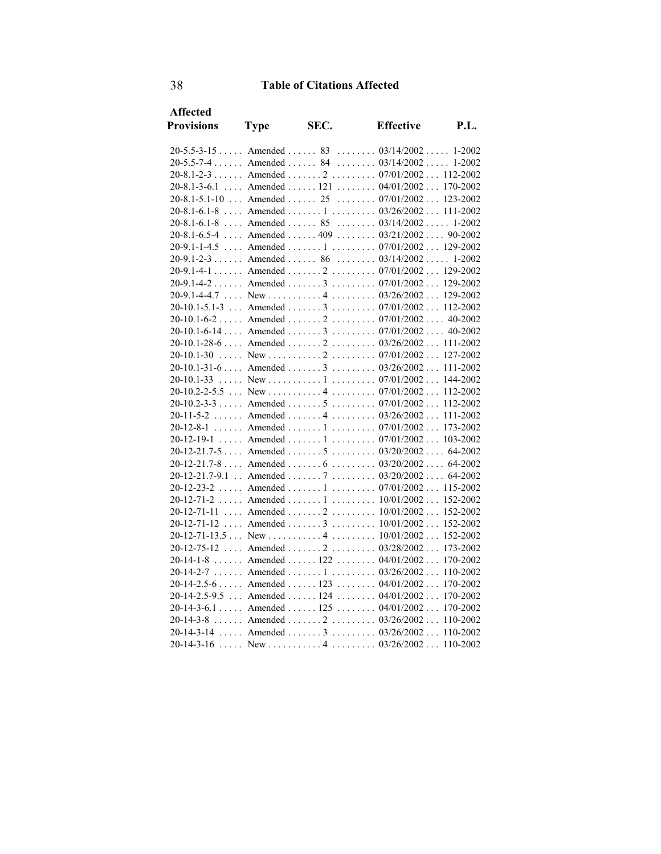| <b>Affected</b>            |             |      |                                                  |          |
|----------------------------|-------------|------|--------------------------------------------------|----------|
| <b>Provisions</b>          | <b>Type</b> | SEC. | <b>Effective</b>                                 | P.I.     |
|                            |             |      |                                                  |          |
|                            |             |      | $20-5.5-3-15$ Amended  83  03/14/2002 1-2002     |          |
|                            |             |      | $20-5.5-7-4$ Amended  84  03/14/2002 1-2002      |          |
|                            |             |      | 20-8.1-2-3 Amended 2 07/01/2002 112-2002         |          |
|                            |             |      | 20-8.1-3-6.1  Amended  121  04/01/2002  170-2002 |          |
|                            |             |      | $20-8.1-5.1-10$ Amended $25$ $07/01/2002$        | 123-2002 |
|                            |             |      | 20-8.1-6.1-8  Amended  1  03/26/2002  111-2002   |          |
| $20-8.1-6.1-8$ Amended  85 |             |      | $\ldots \ldots \ldots 03/14/2002 \ldots 1-2002$  |          |
|                            |             |      | 20-8.1-6.5-4  Amended  409  03/21/2002  90-2002  |          |
|                            |             |      | 20-9.1-1-4.5  Amended  1  07/01/2002 129-2002    |          |
|                            |             |      | $20-9.1-2-3$ Amended  86  03/14/2002 1-2002      |          |
|                            |             |      | 20-9.1-4-1 Amended 2 07/01/2002 129-2002         |          |
|                            |             |      | $20-9.1-4-2$ Amended  3  07/01/2002              | 129-2002 |
|                            |             |      | 20-9.1-4-4.7  New    4   03/26/2002  129-2002    |          |
|                            |             |      | 20-10.1-5.1-3  Amended  3  07/01/2002  112-2002  |          |
|                            |             |      | 20-10.1-6-2  Amended  2  07/01/2002  40-2002     |          |
|                            |             |      |                                                  |          |
|                            |             |      | 20-10.1-28-6  Amended  2  03/26/2002  111-2002   |          |
| $20-10.1-30$               |             |      |                                                  | 127-2002 |
|                            |             |      | 20-10.1-31-6  Amended  3  03/26/2002  111-2002   |          |
| 20-10.1-33                 |             |      |                                                  | 144-2002 |
|                            |             |      |                                                  | 112-2002 |
|                            |             |      |                                                  |          |
| $20 - 11 - 5 - 2$          |             |      | Amended  4  03/26/2002                           | 111-2002 |
|                            |             |      | 20-12-8-1  Amended  1  07/01/2002                | 173-2002 |
| $20-12-19-1$               |             |      | Amended  1  07/01/2002 103-2002                  |          |
|                            |             |      | 20-12-21.7-5  Amended  5  03/20/2002  64-2002    |          |
|                            |             |      | $20-12-21.7-8$ Amended  6  03/20/2002 64-2002    |          |
|                            |             |      | 20-12-21.7-9.1 . Amended 7 03/20/2002 64-2002    |          |
| $20 - 12 - 23 - 2$         |             |      | Amended  1  07/01/2002 115-2002                  |          |
|                            |             |      | 20-12-71-2  Amended  1  10/01/2002  152-2002     |          |
|                            |             |      | $20-12-71-11$ Amended  2  10/01/2002 152-2002    |          |
| 20-12-71-12                |             |      | Amended  3 $10/01/2002$                          | 152-2002 |
|                            |             |      |                                                  | 152-2002 |
| $20 - 12 - 75 - 12$        |             |      | Amended  2 $03/28/2002$                          | 173-2002 |
| $20 - 14 - 1 - 8$          |             |      | Amended  122  04/01/2002                         | 170-2002 |
|                            |             |      | 20-14-2-7  Amended  1  03/26/2002                | 110-2002 |
|                            |             |      | $20-14-2.5-6$ Amended  123  04/01/2002           | 170-2002 |
|                            |             |      | $20-14-2.5-9.5$ Amended  124  04/01/2002         | 170-2002 |
|                            |             |      | $20-14-3-6.1$ Amended  125  04/01/2002           | 170-2002 |
|                            |             |      | $20-14-3-8$ Amended $2$ $03/26/2002$             | 110-2002 |
|                            |             |      | $20-14-3-14$ Amended  3  03/26/2002 110-2002     |          |
|                            |             |      |                                                  |          |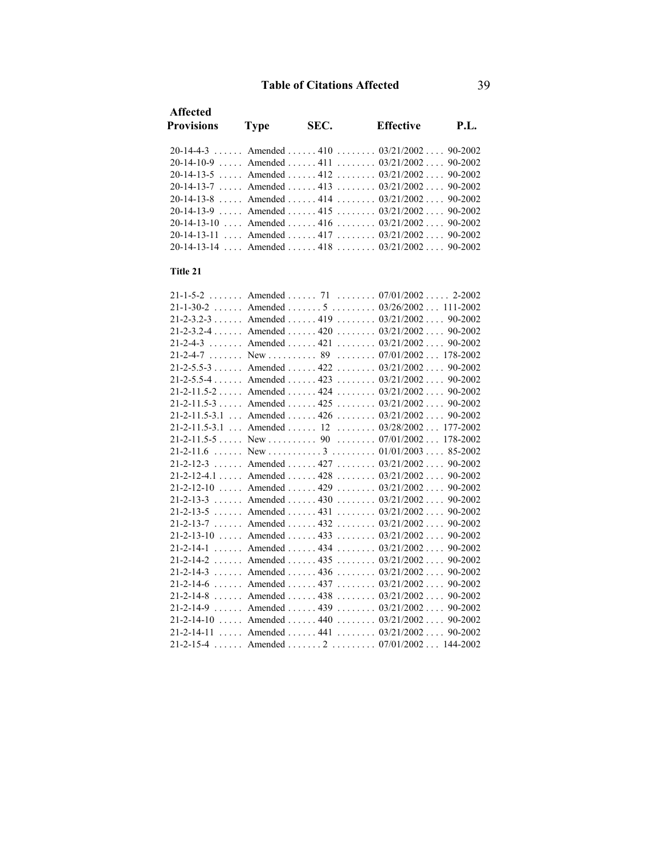| <b>Affected</b><br><b>Provisions</b>                          | <b>Type</b> | SEC. | <b>Effective</b> | <b>P.L.</b> |
|---------------------------------------------------------------|-------------|------|------------------|-------------|
| 20-14-4-3 Amended 410 90-2002 90-2002                         |             |      |                  |             |
| 20-14-10-9  Amended  411  03/21/2002  90-2002                 |             |      |                  |             |
| 20-14-13-5  Amended  412 $03/21/2002$ 90-2002                 |             |      |                  |             |
| 20-14-13-7  Amended  413 $03/21/2002$ 90-2002                 |             |      |                  |             |
| $20-14-13-8$ and Amended $414$ and $03/21/2002$ and $90-2002$ |             |      |                  |             |
| $20-14-13-9$ , Amended $415$ , $90-2002$ , $90-2002$          |             |      |                  |             |
| $20-14-13-10$ Amended $416$ $\ldots$ $90/21/2002$ $90-2002$   |             |      |                  |             |
| 20-14-13-11 Amended 4.17 (1992) $0.3/21/2002$ (90-2002)       |             |      |                  |             |
| 20-14-13-14 Amended 418 03/21/2002 90-2002                    |             |      |                  |             |
|                                                               |             |      |                  |             |

#### **Title 21**

| 21-1-5-2  Amended  71  07/01/2002 2-2002          |  |
|---------------------------------------------------|--|
| 21-1-30-2  Amended  5 $03/26/2002$ 111-2002       |  |
| $21-2-3.2-3$ Amended  419  03/21/2002 90-2002     |  |
| 21-2-3.2-4 Amended 420 03/21/2002 90-2002         |  |
| 21-2-4-3 Amended 421 03/21/2002 90-2002           |  |
|                                                   |  |
| $21-2-5.5-3$ Amended  422  03/21/2002  90-2002    |  |
| 21-2-5.5-4 Amended 423 03/21/2002 90-2002         |  |
| 21-2-11.5-2  Amended  424 $03/21/2002$ 90-2002    |  |
| 21-2-11.5-3  Amended  425  03/21/2002  90-2002    |  |
| $21-2-11.5-3.1$ Amended  426  03/21/2002  90-2002 |  |
| $21-2-11.5-3.1$ Amended  12  03/28/2002 177-2002  |  |
|                                                   |  |
|                                                   |  |
| $21-2-12-3$ Amended  427  03/21/2002 90-2002      |  |
| 21-2-12-4.1  Amended  428  03/21/2002  90-2002    |  |
| 21-2-12-10  Amended  429  03/21/2002  90-2002     |  |
| $21-2-13-3$ Amended  430  03/21/2002  90-2002     |  |
| 21-2-13-5  Amended  431  03/21/2002  90-2002      |  |
| 21-2-13-7  Amended  432 $03/21/2002$ 90-2002      |  |
| $21-2-13-10$ Amended  433  03/21/2002  90-2002    |  |
| 21-2-14-1  Amended  434 $03/21/2002$ 90-2002      |  |
| $21-2-14-2$ Amended  435  03/21/2002  90-2002     |  |
| 21-2-14-3  Amended  436  03/21/2002  90-2002      |  |
| 21-2-14-6  Amended  437  03/21/2002  90-2002      |  |
| 21-2-14-8  Amended  438 $03/21/2002$ 90-2002      |  |
| 21-2-14-9  Amended  439 $03/21/2002$ 90-2002      |  |
| 21-2-14-10  Amended  440 $03/21/2002$ 90-2002     |  |
| 21-2-14-11  Amended  441 $03/21/2002$ 90-2002     |  |
| 21-2-15-4  Amended  2  07/01/2002  144-2002       |  |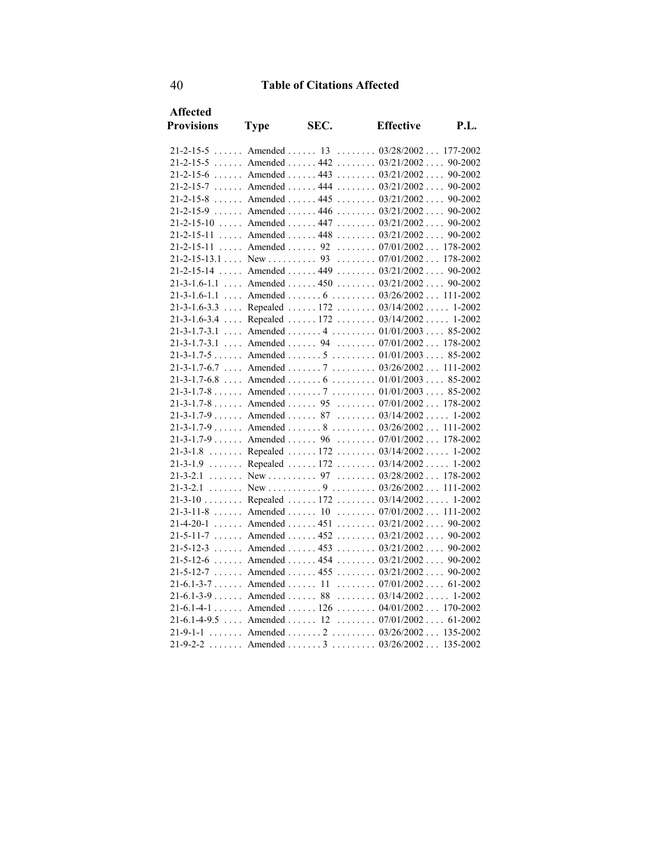| <b>Affected</b>   |             |      |                                                 |      |
|-------------------|-------------|------|-------------------------------------------------|------|
| <b>Provisions</b> | <b>Type</b> | SEC. | <b>Effective</b>                                | P.L. |
|                   |             |      | $21-2-15-5$ Amended  13  03/28/2002  177-2002   |      |
|                   |             |      | 21-2-15-5  Amended  442 $03/21/2002$ 90-2002    |      |
|                   |             |      | 21-2-15-6  Amended  443  03/21/2002  90-2002    |      |
|                   |             |      | 21-2-15-7  Amended  444 $03/21/2002$ 90-2002    |      |
|                   |             |      | $21-2-15-8$ Amended  445  03/21/2002 90-2002    |      |
|                   |             |      | 21-2-15-9  Amended  446  03/21/2002  90-2002    |      |
|                   |             |      | 21-2-15-10  Amended  447  03/21/2002  90-2002   |      |
|                   |             |      | 21-2-15-11  Amended  448 $03/21/2002$ 90-2002   |      |
|                   |             |      | 21-2-15-11  Amended  92  07/01/2002 178-2002    |      |
|                   |             |      |                                                 |      |
|                   |             |      | $21-2-15-14$ Amended  449  03/21/2002  90-2002  |      |
|                   |             |      | 21-3-1.6-1.1  Amended  450  03/21/2002  90-2002 |      |
|                   |             |      | $21-3-1.6-1.1$ Amended  6  03/26/2002 111-2002  |      |
|                   |             |      | 21-3-1.6-3.3  Repealed  172  03/14/2002  1-2002 |      |
|                   |             |      | 21-3-1.6-3.4  Repealed  172  03/14/2002  1-2002 |      |
|                   |             |      | $21-3-1.7-3.1$ Amended  4  01/01/2003 85-2002   |      |
|                   |             |      | 21-3-1.7-3.1  Amended  94  07/01/2002  178-2002 |      |
|                   |             |      | $21-3-1.7-5$ Amended  5  01/01/2003 85-2002     |      |
|                   |             |      | $21-3-1.7-6.7$ Amended  7  03/26/2002 111-2002  |      |
|                   |             |      | $21-3-1.7-6.8$ Amended  6  01/01/2003  85-2002  |      |
|                   |             |      | $21-3-1.7-8$ Amended  7  01/01/2003 85-2002     |      |
|                   |             |      | $21-3-1.7-8$ Amended  95  07/01/2002 178-2002   |      |
|                   |             |      | $21-3-1.7-9$ Amended  87  03/14/2002  1-2002    |      |
|                   |             |      | 21-3-1.7-9 Amended 8 03/26/2002 111-2002        |      |
|                   |             |      | $21-3-1.7-9$ Amended  96  07/01/2002 178-2002   |      |
|                   |             |      | 21-3-1.8  Repealed  172  03/14/2002  1-2002     |      |
|                   |             |      | 21-3-1.9  Repealed  172  03/14/2002  1-2002     |      |
|                   |             |      | 21-3-2.1 New 97 03/28/2002 178-2002             |      |
|                   |             |      |                                                 |      |
|                   |             |      | 21-3-10  Repealed  172  03/14/2002  1-2002      |      |
|                   |             |      | $21-3-11-8$ Amended  10  07/01/2002 111-2002    |      |
|                   |             |      | 21-4-20-1 Amended 451 03/21/2002 90-2002        |      |
|                   |             |      | $21-5-11-7$ Amended  452  03/21/2002 90-2002    |      |
|                   |             |      | $21-5-12-3$ Amended  453  03/21/2002  90-2002   |      |
|                   |             |      | 21-5-12-6  Amended  454 $03/21/2002$ 90-2002    |      |
|                   |             |      | $21-5-12-7$ Amended  455  03/21/2002  90-2002   |      |
|                   |             |      | $21-6.1-3-7$ Amended  11  07/01/2002 61-2002    |      |
|                   |             |      | $21-6.1-3-9$ Amended  88  03/14/2002 1-2002     |      |
|                   |             |      | 21-6.1-4-1  Amended  126  04/01/2002  170-2002  |      |
|                   |             |      | $21-6.1-4-9.5$ Amended  12  07/01/2002  61-2002 |      |
| $21 - 9 - 1 - 1$  |             |      | Amended  2  03/26/2002 135-2002                 |      |
| $21 - 9 - 2 - 2$  |             |      | Amended  3 $03/26/2002$ 135-2002                |      |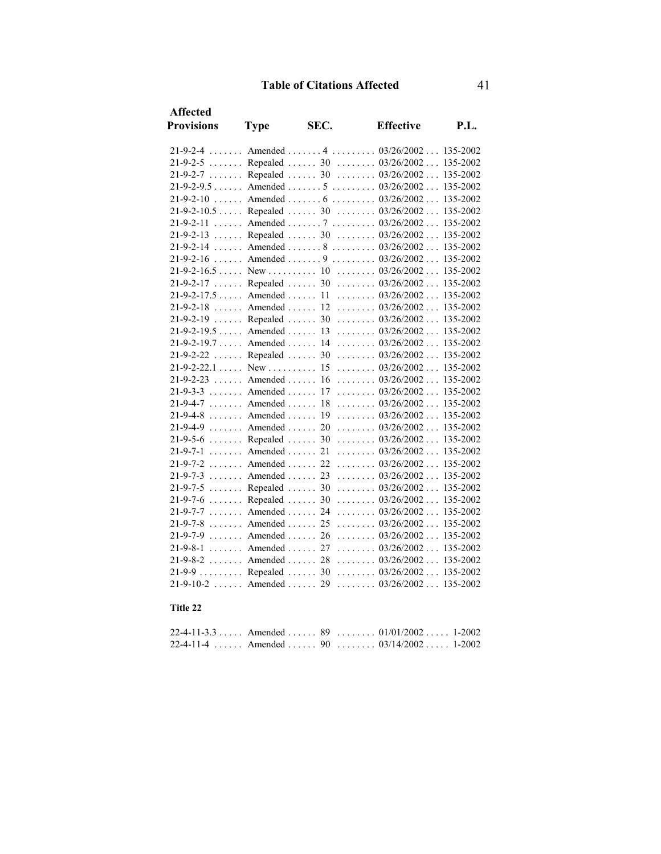| <b>Affected</b>         |             |      |                                                   |          |
|-------------------------|-------------|------|---------------------------------------------------|----------|
| <b>Provisions</b>       | <b>Type</b> | SEC. | <b>Effective</b>                                  | P.L.     |
|                         |             |      | 21-9-2-4 Amended 4 03/26/2002 135-2002            |          |
|                         |             |      | 21-9-2-5  Repealed  30  03/26/2002  135-2002      |          |
|                         |             |      | 21-9-2-7  Repealed  30  03/26/2002 135-2002       |          |
|                         |             |      | $21-9-2-9.5$ Amended  5  03/26/2002 135-2002      |          |
|                         |             |      | 21-9-2-10  Amended  6 $03/26/2002$ 135-2002       |          |
|                         |             |      | 21-9-2-10.5  Repealed  30  03/26/2002  135-2002   |          |
|                         |             |      | 21-9-2-11  Amended  7  03/26/2002  135-2002       |          |
|                         |             |      | 21-9-2-13  Repealed  30  03/26/2002 135-2002      |          |
|                         |             |      | 21-9-2-14  Amended  8 $03/26/2002$ 135-2002       |          |
|                         |             |      | $21-9-2-16$ Amended  9  03/26/2002 135-2002       |          |
|                         |             |      |                                                   |          |
|                         |             |      | 21-9-2-17  Repealed  30  03/26/2002 135-2002      |          |
|                         |             |      | 21-9-2-17.5  Amended  11  03/26/2002  135-2002    |          |
|                         |             |      | $21-9-2-18$ Amended  12  03/26/2002 135-2002      |          |
|                         |             |      | 21-9-2-19  Repealed  30  03/26/2002 135-2002      |          |
|                         |             |      | 21-9-2-19.5  Amended  13  03/26/2002  135-2002    |          |
|                         |             |      | 21-9-2-19.7  Amended  14  03/26/2002  135-2002    |          |
|                         |             |      | $21-9-2-22$ Repealed  30  03/26/2002 135-2002     |          |
|                         |             |      |                                                   |          |
|                         |             |      | $21-9-2-23$ Amended  16  03/26/2002 135-2002      |          |
| $21-9-3-3$ Amended  17  |             |      | $\ldots \ldots \ldots 03/26/2002 \ldots 135-2002$ |          |
| $21-9-4-7$ Amended      |             | 18   | $\ldots \ldots \ldots 03/26/2002 \ldots 135-2002$ |          |
| $21-9-4-8$ Amended  19  |             |      | $\ldots \ldots \ldots 03/26/2002 \ldots 135-2002$ |          |
|                         |             |      | 21-9-4-9 Amended 20 03/26/2002 135-2002           |          |
|                         |             |      | 21-9-5-6  Repealed  30 $03/26/2002$ 135-2002      |          |
|                         |             |      | $21-9-7-1$ Amended  21  03/26/2002 135-2002       |          |
|                         |             |      | $21-9-7-2$ Amended  22  03/26/2002 135-2002       |          |
|                         |             |      | $21-9-7-3$ Amended  23  03/26/2002 135-2002       |          |
| $21-9-7-5$ Repealed  30 |             |      | $\ldots \ldots \ldots 03/26/2002 \ldots 135-2002$ |          |
| $21-9-7-6$ Repealed  30 |             |      | $\ldots \ldots 03/26/2002 \ldots$                 | 135-2002 |
| $21-9-7-7$ Amended  24  |             |      | $\ldots \ldots 03/26/2002 \ldots 135-2002$        |          |
| $21-9-7-8$ Amended  25  |             |      | $\ldots \ldots \ldots 03/26/2002 \ldots 135-2002$ |          |
|                         |             |      | $21-9-7-9$ Amended  26  03/26/2002 135-2002       |          |
|                         |             |      | $21-9-8-1$ Amended  27  03/26/2002 135-2002       |          |
|                         |             |      | $21-9-8-2$ Amended  28  03/26/2002 135-2002       |          |
|                         |             |      | 21-9-9 Repealed 30 03/26/2002 135-2002            |          |
| $21-9-10-2$ Amended     |             | 29   | $\ldots \ldots \ldots 03/26/2002 \ldots$          | 135-2002 |

**Title 22**

| 22-4-11-3.3 Amended 89 01/01/2002 1-2002 |  |  |  |
|------------------------------------------|--|--|--|
| 22-4-11-4 Amended 90 03/14/2002 1-2002   |  |  |  |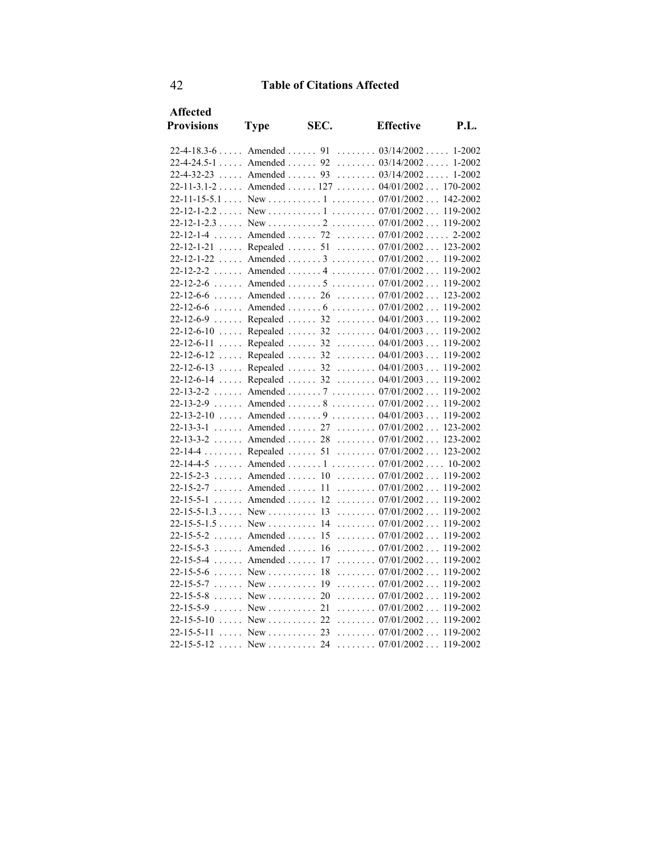| <b>Type</b>         | SEC.                                                                                                                                                                                                                                                                                               | <b>Effective</b>                                                                                                                                                                               | P.L.                                                                                                                                                                                                                                                                                                                                                                                                                                                                                                                                                                                                                                                                                                                                                                                                                                                                                                                                                                                                                                                                                                                                                                                                                                                                                                                                                                                 |
|---------------------|----------------------------------------------------------------------------------------------------------------------------------------------------------------------------------------------------------------------------------------------------------------------------------------------------|------------------------------------------------------------------------------------------------------------------------------------------------------------------------------------------------|--------------------------------------------------------------------------------------------------------------------------------------------------------------------------------------------------------------------------------------------------------------------------------------------------------------------------------------------------------------------------------------------------------------------------------------------------------------------------------------------------------------------------------------------------------------------------------------------------------------------------------------------------------------------------------------------------------------------------------------------------------------------------------------------------------------------------------------------------------------------------------------------------------------------------------------------------------------------------------------------------------------------------------------------------------------------------------------------------------------------------------------------------------------------------------------------------------------------------------------------------------------------------------------------------------------------------------------------------------------------------------------|
|                     |                                                                                                                                                                                                                                                                                                    |                                                                                                                                                                                                |                                                                                                                                                                                                                                                                                                                                                                                                                                                                                                                                                                                                                                                                                                                                                                                                                                                                                                                                                                                                                                                                                                                                                                                                                                                                                                                                                                                      |
|                     |                                                                                                                                                                                                                                                                                                    |                                                                                                                                                                                                |                                                                                                                                                                                                                                                                                                                                                                                                                                                                                                                                                                                                                                                                                                                                                                                                                                                                                                                                                                                                                                                                                                                                                                                                                                                                                                                                                                                      |
|                     |                                                                                                                                                                                                                                                                                                    |                                                                                                                                                                                                |                                                                                                                                                                                                                                                                                                                                                                                                                                                                                                                                                                                                                                                                                                                                                                                                                                                                                                                                                                                                                                                                                                                                                                                                                                                                                                                                                                                      |
|                     |                                                                                                                                                                                                                                                                                                    |                                                                                                                                                                                                |                                                                                                                                                                                                                                                                                                                                                                                                                                                                                                                                                                                                                                                                                                                                                                                                                                                                                                                                                                                                                                                                                                                                                                                                                                                                                                                                                                                      |
|                     |                                                                                                                                                                                                                                                                                                    |                                                                                                                                                                                                | 142-2002                                                                                                                                                                                                                                                                                                                                                                                                                                                                                                                                                                                                                                                                                                                                                                                                                                                                                                                                                                                                                                                                                                                                                                                                                                                                                                                                                                             |
|                     |                                                                                                                                                                                                                                                                                                    |                                                                                                                                                                                                | 119-2002                                                                                                                                                                                                                                                                                                                                                                                                                                                                                                                                                                                                                                                                                                                                                                                                                                                                                                                                                                                                                                                                                                                                                                                                                                                                                                                                                                             |
|                     |                                                                                                                                                                                                                                                                                                    |                                                                                                                                                                                                | 119-2002                                                                                                                                                                                                                                                                                                                                                                                                                                                                                                                                                                                                                                                                                                                                                                                                                                                                                                                                                                                                                                                                                                                                                                                                                                                                                                                                                                             |
|                     |                                                                                                                                                                                                                                                                                                    |                                                                                                                                                                                                |                                                                                                                                                                                                                                                                                                                                                                                                                                                                                                                                                                                                                                                                                                                                                                                                                                                                                                                                                                                                                                                                                                                                                                                                                                                                                                                                                                                      |
|                     |                                                                                                                                                                                                                                                                                                    |                                                                                                                                                                                                |                                                                                                                                                                                                                                                                                                                                                                                                                                                                                                                                                                                                                                                                                                                                                                                                                                                                                                                                                                                                                                                                                                                                                                                                                                                                                                                                                                                      |
|                     |                                                                                                                                                                                                                                                                                                    |                                                                                                                                                                                                | 119-2002                                                                                                                                                                                                                                                                                                                                                                                                                                                                                                                                                                                                                                                                                                                                                                                                                                                                                                                                                                                                                                                                                                                                                                                                                                                                                                                                                                             |
|                     |                                                                                                                                                                                                                                                                                                    |                                                                                                                                                                                                | 119-2002                                                                                                                                                                                                                                                                                                                                                                                                                                                                                                                                                                                                                                                                                                                                                                                                                                                                                                                                                                                                                                                                                                                                                                                                                                                                                                                                                                             |
|                     |                                                                                                                                                                                                                                                                                                    |                                                                                                                                                                                                | 119-2002                                                                                                                                                                                                                                                                                                                                                                                                                                                                                                                                                                                                                                                                                                                                                                                                                                                                                                                                                                                                                                                                                                                                                                                                                                                                                                                                                                             |
|                     |                                                                                                                                                                                                                                                                                                    |                                                                                                                                                                                                | 123-2002                                                                                                                                                                                                                                                                                                                                                                                                                                                                                                                                                                                                                                                                                                                                                                                                                                                                                                                                                                                                                                                                                                                                                                                                                                                                                                                                                                             |
|                     |                                                                                                                                                                                                                                                                                                    |                                                                                                                                                                                                | 119-2002                                                                                                                                                                                                                                                                                                                                                                                                                                                                                                                                                                                                                                                                                                                                                                                                                                                                                                                                                                                                                                                                                                                                                                                                                                                                                                                                                                             |
|                     |                                                                                                                                                                                                                                                                                                    |                                                                                                                                                                                                | 119-2002                                                                                                                                                                                                                                                                                                                                                                                                                                                                                                                                                                                                                                                                                                                                                                                                                                                                                                                                                                                                                                                                                                                                                                                                                                                                                                                                                                             |
|                     |                                                                                                                                                                                                                                                                                                    |                                                                                                                                                                                                | 119-2002                                                                                                                                                                                                                                                                                                                                                                                                                                                                                                                                                                                                                                                                                                                                                                                                                                                                                                                                                                                                                                                                                                                                                                                                                                                                                                                                                                             |
|                     |                                                                                                                                                                                                                                                                                                    |                                                                                                                                                                                                | 119-2002                                                                                                                                                                                                                                                                                                                                                                                                                                                                                                                                                                                                                                                                                                                                                                                                                                                                                                                                                                                                                                                                                                                                                                                                                                                                                                                                                                             |
|                     |                                                                                                                                                                                                                                                                                                    |                                                                                                                                                                                                | 119-2002                                                                                                                                                                                                                                                                                                                                                                                                                                                                                                                                                                                                                                                                                                                                                                                                                                                                                                                                                                                                                                                                                                                                                                                                                                                                                                                                                                             |
|                     |                                                                                                                                                                                                                                                                                                    |                                                                                                                                                                                                | 119-2002                                                                                                                                                                                                                                                                                                                                                                                                                                                                                                                                                                                                                                                                                                                                                                                                                                                                                                                                                                                                                                                                                                                                                                                                                                                                                                                                                                             |
|                     |                                                                                                                                                                                                                                                                                                    |                                                                                                                                                                                                | 119-2002                                                                                                                                                                                                                                                                                                                                                                                                                                                                                                                                                                                                                                                                                                                                                                                                                                                                                                                                                                                                                                                                                                                                                                                                                                                                                                                                                                             |
|                     |                                                                                                                                                                                                                                                                                                    |                                                                                                                                                                                                | 119-2002                                                                                                                                                                                                                                                                                                                                                                                                                                                                                                                                                                                                                                                                                                                                                                                                                                                                                                                                                                                                                                                                                                                                                                                                                                                                                                                                                                             |
| $22 - 13 - 2 - 9$   |                                                                                                                                                                                                                                                                                                    |                                                                                                                                                                                                | 119-2002                                                                                                                                                                                                                                                                                                                                                                                                                                                                                                                                                                                                                                                                                                                                                                                                                                                                                                                                                                                                                                                                                                                                                                                                                                                                                                                                                                             |
|                     |                                                                                                                                                                                                                                                                                                    |                                                                                                                                                                                                | 119-2002                                                                                                                                                                                                                                                                                                                                                                                                                                                                                                                                                                                                                                                                                                                                                                                                                                                                                                                                                                                                                                                                                                                                                                                                                                                                                                                                                                             |
|                     |                                                                                                                                                                                                                                                                                                    |                                                                                                                                                                                                | 123-2002                                                                                                                                                                                                                                                                                                                                                                                                                                                                                                                                                                                                                                                                                                                                                                                                                                                                                                                                                                                                                                                                                                                                                                                                                                                                                                                                                                             |
|                     |                                                                                                                                                                                                                                                                                                    |                                                                                                                                                                                                |                                                                                                                                                                                                                                                                                                                                                                                                                                                                                                                                                                                                                                                                                                                                                                                                                                                                                                                                                                                                                                                                                                                                                                                                                                                                                                                                                                                      |
| $22 - 14 - 4$       |                                                                                                                                                                                                                                                                                                    |                                                                                                                                                                                                | 123-2002                                                                                                                                                                                                                                                                                                                                                                                                                                                                                                                                                                                                                                                                                                                                                                                                                                                                                                                                                                                                                                                                                                                                                                                                                                                                                                                                                                             |
| $22 - 14 - 4 - 5$   |                                                                                                                                                                                                                                                                                                    |                                                                                                                                                                                                |                                                                                                                                                                                                                                                                                                                                                                                                                                                                                                                                                                                                                                                                                                                                                                                                                                                                                                                                                                                                                                                                                                                                                                                                                                                                                                                                                                                      |
|                     |                                                                                                                                                                                                                                                                                                    |                                                                                                                                                                                                |                                                                                                                                                                                                                                                                                                                                                                                                                                                                                                                                                                                                                                                                                                                                                                                                                                                                                                                                                                                                                                                                                                                                                                                                                                                                                                                                                                                      |
| $22 - 15 - 2 - 7$   |                                                                                                                                                                                                                                                                                                    |                                                                                                                                                                                                | 119-2002                                                                                                                                                                                                                                                                                                                                                                                                                                                                                                                                                                                                                                                                                                                                                                                                                                                                                                                                                                                                                                                                                                                                                                                                                                                                                                                                                                             |
|                     |                                                                                                                                                                                                                                                                                                    |                                                                                                                                                                                                | 119-2002                                                                                                                                                                                                                                                                                                                                                                                                                                                                                                                                                                                                                                                                                                                                                                                                                                                                                                                                                                                                                                                                                                                                                                                                                                                                                                                                                                             |
|                     |                                                                                                                                                                                                                                                                                                    |                                                                                                                                                                                                | 119-2002                                                                                                                                                                                                                                                                                                                                                                                                                                                                                                                                                                                                                                                                                                                                                                                                                                                                                                                                                                                                                                                                                                                                                                                                                                                                                                                                                                             |
| $22 - 15 - 5 - 1.5$ |                                                                                                                                                                                                                                                                                                    |                                                                                                                                                                                                | 119-2002                                                                                                                                                                                                                                                                                                                                                                                                                                                                                                                                                                                                                                                                                                                                                                                                                                                                                                                                                                                                                                                                                                                                                                                                                                                                                                                                                                             |
| $22 - 15 - 5 - 2$   |                                                                                                                                                                                                                                                                                                    |                                                                                                                                                                                                | 119-2002                                                                                                                                                                                                                                                                                                                                                                                                                                                                                                                                                                                                                                                                                                                                                                                                                                                                                                                                                                                                                                                                                                                                                                                                                                                                                                                                                                             |
|                     |                                                                                                                                                                                                                                                                                                    |                                                                                                                                                                                                | 119-2002                                                                                                                                                                                                                                                                                                                                                                                                                                                                                                                                                                                                                                                                                                                                                                                                                                                                                                                                                                                                                                                                                                                                                                                                                                                                                                                                                                             |
| $22 - 15 - 5 - 4$   | 17                                                                                                                                                                                                                                                                                                 |                                                                                                                                                                                                | 119-2002                                                                                                                                                                                                                                                                                                                                                                                                                                                                                                                                                                                                                                                                                                                                                                                                                                                                                                                                                                                                                                                                                                                                                                                                                                                                                                                                                                             |
| $22 - 15 - 5 - 6$   | 18                                                                                                                                                                                                                                                                                                 |                                                                                                                                                                                                | 119-2002                                                                                                                                                                                                                                                                                                                                                                                                                                                                                                                                                                                                                                                                                                                                                                                                                                                                                                                                                                                                                                                                                                                                                                                                                                                                                                                                                                             |
|                     |                                                                                                                                                                                                                                                                                                    |                                                                                                                                                                                                | 119-2002                                                                                                                                                                                                                                                                                                                                                                                                                                                                                                                                                                                                                                                                                                                                                                                                                                                                                                                                                                                                                                                                                                                                                                                                                                                                                                                                                                             |
|                     |                                                                                                                                                                                                                                                                                                    |                                                                                                                                                                                                | 119-2002                                                                                                                                                                                                                                                                                                                                                                                                                                                                                                                                                                                                                                                                                                                                                                                                                                                                                                                                                                                                                                                                                                                                                                                                                                                                                                                                                                             |
|                     |                                                                                                                                                                                                                                                                                                    |                                                                                                                                                                                                | 119-2002                                                                                                                                                                                                                                                                                                                                                                                                                                                                                                                                                                                                                                                                                                                                                                                                                                                                                                                                                                                                                                                                                                                                                                                                                                                                                                                                                                             |
|                     |                                                                                                                                                                                                                                                                                                    |                                                                                                                                                                                                | 119-2002                                                                                                                                                                                                                                                                                                                                                                                                                                                                                                                                                                                                                                                                                                                                                                                                                                                                                                                                                                                                                                                                                                                                                                                                                                                                                                                                                                             |
|                     |                                                                                                                                                                                                                                                                                                    |                                                                                                                                                                                                | 119-2002                                                                                                                                                                                                                                                                                                                                                                                                                                                                                                                                                                                                                                                                                                                                                                                                                                                                                                                                                                                                                                                                                                                                                                                                                                                                                                                                                                             |
|                     |                                                                                                                                                                                                                                                                                                    |                                                                                                                                                                                                |                                                                                                                                                                                                                                                                                                                                                                                                                                                                                                                                                                                                                                                                                                                                                                                                                                                                                                                                                                                                                                                                                                                                                                                                                                                                                                                                                                                      |
|                     | $22 - 12 - 1 - 2.3$<br>$22 - 12 - 1 - 4$<br>$22 - 12 - 1 - 21$<br>$22 - 12 - 1 - 22$<br>$22 - 12 - 6 - 6$<br>$22 - 12 - 6 - 6$<br>$22 - 12 - 6 - 9$<br>$22 - 12 - 6 - 10$<br>$\ldots$<br>$22 - 12 - 6 - 12$<br>$22 - 12 - 6 - 13$<br>$22 - 12 - 6 - 14$<br>$22 - 13 - 2 - 2$<br>$22 - 13 - 2 - 10$ | Amended $\dots$ 15<br>$22-15-5-3$ Amended  16<br>Amended $\ldots$<br>$New \dots \dots$<br>$22-15-5-7$ New  19<br>$22-15-5-8$ New  20<br>$22-15-5-9$ New  21<br>$22-15-5-10$ New  22<br>New  24 | 22-4-18.3-6  Amended  91  03/14/2002  1-2002<br>22-4-24.5-1  Amended  92  03/14/2002  1-2002<br>22-4-32-23  Amended  93  03/14/2002  1-2002<br>22-11-3.1-2  Amended  127  04/01/2002  170-2002<br>Amended  72  07/01/2002 2-2002<br>Repealed  51  07/01/2002  123-2002<br>Amended $3 \ldots 3 \ldots 07/01/2002 \ldots$<br>22-12-2-2  Amended  4  07/01/2002<br>22-12-2-6  Amended  5  07/01/2002<br>Amended  26 $07/01/2002$<br>Repealed  32 $04/01/2003$<br>Repealed  32  04/01/2003<br>Repealed  32  04/01/2003<br>Repealed  32  04/01/2003<br>Repealed  32 $04/01/2003$<br>Repealed  32 $04/01/2003$<br>Amended 7 07/01/2002<br>Amended  8 $07/01/2002$<br>Amended  9 $04/01/2003$<br>22-13-3-1  Amended  27  07/01/2002<br>22-13-3-2  Amended  28  07/01/2002  123-2002<br>Repealed  51  07/01/2002<br>Amended 1 07/01/2002 10-2002<br>22-15-2-3  Amended  10  07/01/2002  119-2002<br>Amended  11  07/01/2002<br>$22-15-5-1$ Amended  12  07/01/2002<br>New  14 $07/01/2002$<br>$\ldots \ldots 07/01/2002 \ldots$<br>$\ldots \ldots 07/01/2002 \ldots$<br>$\ldots \ldots \ldots 07/01/2002 \ldots$<br>$\ldots \ldots 07/01/2002 \ldots$<br>$\ldots \ldots 07/01/2002 \ldots$<br>$\ldots \ldots 07/01/2002 \ldots$<br>$\ldots \ldots 07/01/2002 \ldots$<br>$\ldots \ldots \ldots 07/01/2002 \ldots$<br>New  23  07/01/2002<br>$\ldots \ldots \ldots 07/01/2002 \ldots 119-2002$ |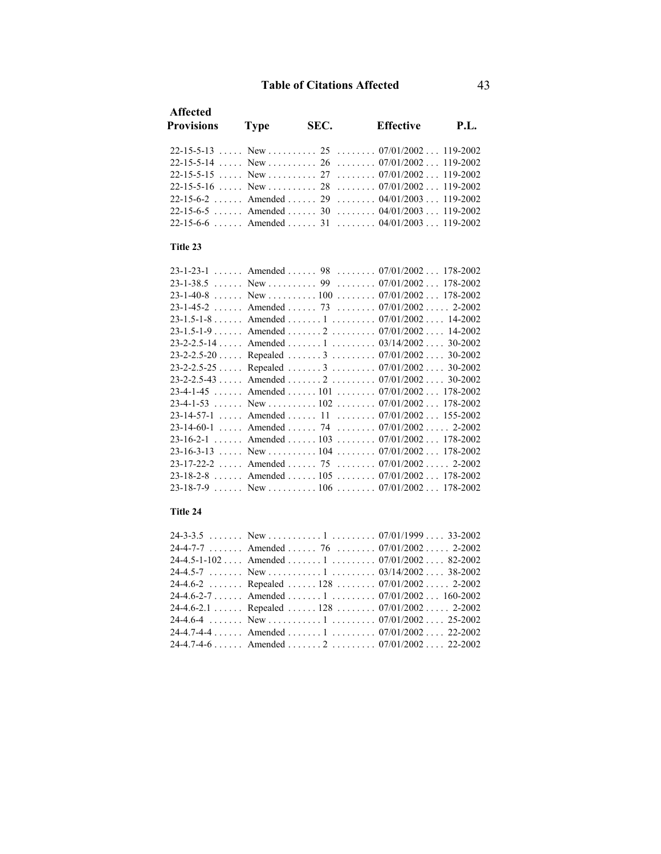| <b>Affected</b><br><b>Provisions</b>                  | <b>Type</b> | SEC. | <b>Effective</b> | <b>P.L.</b> |
|-------------------------------------------------------|-------------|------|------------------|-------------|
|                                                       |             |      |                  |             |
|                                                       |             |      |                  |             |
|                                                       |             |      |                  |             |
| $22-15-5-16$ , New , , $28$ , , $07/01/2002$ 119-2002 |             |      |                  |             |
| $22-15-6-2$ Amended  29  04/01/2003  119-2002         |             |      |                  |             |
| 22-15-6-5  Amended  30  04/01/2003  119-2002          |             |      |                  |             |
| $22-15-6-6$ Amended  31  04/01/2003 119-2002          |             |      |                  |             |
| Title 23                                              |             |      |                  |             |
| $23-1-23-1$ Amended  98  07/01/2002 178-2002          |             |      |                  |             |
|                                                       |             |      |                  |             |
| $23-1-40-8$ New  100  07/01/2002  178-2002            |             |      |                  |             |
| $23-1-45-2$ Amended  73 $07/01/2002$ 2-2002           |             |      |                  |             |
| $23-1.5-1-8$ Amended  1 $07/01/2002$ 14-2002          |             |      |                  |             |
| $23-1.5-1-9$ Amended $2$ $07/01/2002$ 14-2002         |             |      |                  |             |
| $23-2-2.5-14$ Amended  1  03/14/2002 30-2002          |             |      |                  |             |
| 23-2-2.5-20 Repealed 3 07/01/2002 30-2002             |             |      |                  |             |
| 23-2-2.5-25 Repealed 3 07/01/2002 30-2002             |             |      |                  |             |

| $23-1-23-1$ Amended  98  07/01/2002 178-2002  |  |
|-----------------------------------------------|--|
|                                               |  |
|                                               |  |
| $23-1-45-2$ Amended  73  07/01/2002 2-2002    |  |
| 23-1.5-1-8 Amended 1 07/01/2002 14-2002       |  |
| 23-1.5-1-9 Amended 2 07/01/2002 14-2002       |  |
| 23-2-2.5-14  Amended  1  03/14/2002  30-2002  |  |
| 23-2-2.5-20  Repealed  3  07/01/2002  30-2002 |  |
| 23-2-2.5-25  Repealed  3  07/01/2002  30-2002 |  |
| 23-2-2.5-43  Amended  2  07/01/2002 30-2002   |  |
| 23-4-1-45  Amended  101  07/01/2002  178-2002 |  |
|                                               |  |
| $23-14-57-1$ Amended  11  07/01/2002 155-2002 |  |
| 23-14-60-1  Amended  74  07/01/2002  2-2002   |  |
| 23-16-2-1 Amended 103 07/01/2002 178-2002     |  |
| $23-16-3-13$ New  104  07/01/2002 178-2002    |  |
| $23-17-22-2$ Amended  75  07/01/2002 2-2002   |  |
| 23-18-2-8  Amended  105  07/01/2002  178-2002 |  |
|                                               |  |

### **Title 24**

|  | 24-4-7-7  Amended  76  07/01/2002  2-2002     |
|--|-----------------------------------------------|
|  | 24-4.5-1-102  Amended  1  07/01/2002  82-2002 |
|  |                                               |
|  | 24-4.6-2 Repealed 128 07/01/2002 2-2002       |
|  | 24-4.6-2-7 Amended 1 07/01/2002 160-2002      |
|  | 24-4.6-2.1 Repealed 128 07/01/2002 2-2002     |
|  |                                               |
|  | 24-4.7-4-4  Amended  1  07/01/2002  22-2002   |
|  | 24-4.7-4-6 Amended 2 07/01/2002 22-2002       |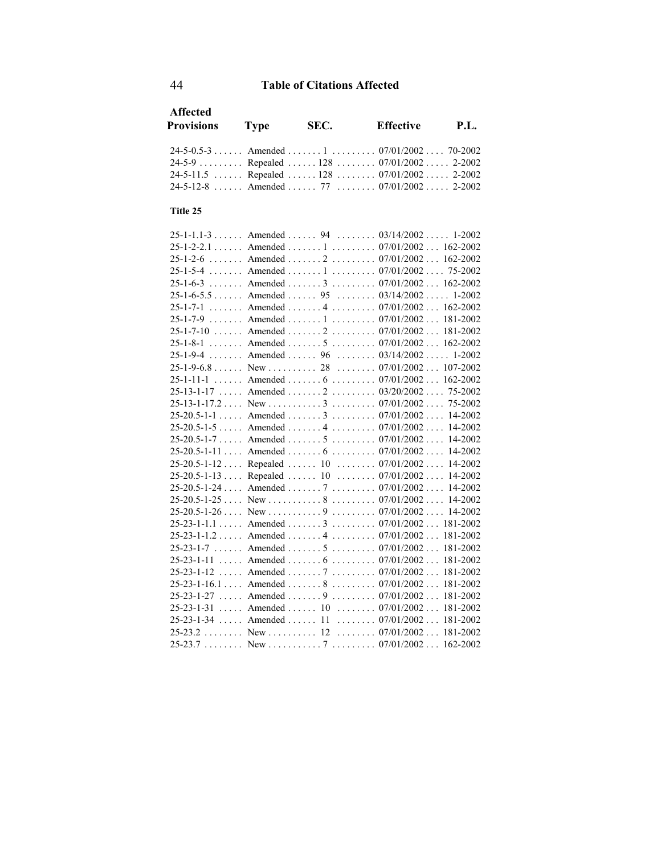| <b>Affected</b>                                        |              |                                   |                                                  |             |
|--------------------------------------------------------|--------------|-----------------------------------|--------------------------------------------------|-------------|
| <b>Provisions</b>                                      | <b>Type</b>  | SEC.                              | <b>Effective</b>                                 | <b>P.L.</b> |
|                                                        |              |                                   |                                                  |             |
| $24-5-0.5-3$ Amended  1  07/01/2002 70-2002            |              |                                   |                                                  |             |
| 24-5-9  Repealed  128  07/01/2002  2-2002              |              |                                   |                                                  |             |
| $24 - 5 - 11.5$                                        |              | Repealed  128  07/01/2002  2-2002 |                                                  |             |
| $24-5-12-8$ Amended  77  07/01/2002 2-2002             |              |                                   |                                                  |             |
| Title 25                                               |              |                                   |                                                  |             |
| $25-1-1.1-3$ Amended  94  03/14/2002 1-2002            |              |                                   |                                                  |             |
| $25 - 1 - 2 - 2.1$                                     |              | Amended 1 07/01/2002 162-2002     |                                                  |             |
| $25 - 1 - 2 - 6$                                       |              | Amended 2 07/01/2002 162-2002     |                                                  |             |
| $25 - 1 - 5 - 4$                                       |              | Amended  1  07/01/2002 75-2002    |                                                  |             |
| $25 - 1 - 6 - 3$                                       |              | Amended  3  07/01/2002  162-2002  |                                                  |             |
| $25 - 1 - 6 - 5.5 \ldots$                              |              | Amended 95 03/14/2002 1-2002      |                                                  |             |
| $25 - 1 - 7 - 1$                                       |              | Amended  4  07/01/2002            |                                                  | 162-2002    |
| $25-1-7-9$ Amended  1  07/01/2002                      |              |                                   |                                                  | 181-2002    |
| $25-1-7-10$ Amended  2  07/01/2002                     |              |                                   |                                                  | 181-2002    |
| $25 - 1 - 8 - 1$                                       |              | Amended  5  07/01/2002            |                                                  | 162-2002    |
| $25 - 1 - 9 - 4$                                       |              | Amended  96 $03/14/2002$ 1-2002   |                                                  |             |
|                                                        |              |                                   |                                                  |             |
| $25 - 1 - 11 - 1$<br>$\cdot \cdot \cdot \cdot$         |              | Amended  6  07/01/2002  162-2002  |                                                  |             |
| $25-13-1-17$ Amended $2$ $03/20/2002$ 75-2002          |              |                                   |                                                  |             |
|                                                        |              |                                   |                                                  |             |
| $25 - 20.5 - 1 - 1$                                    |              | Amended 3 07/01/2002 14-2002      |                                                  |             |
| 25-20.5-1-5  Amended  4  07/01/2002  14-2002           |              |                                   |                                                  |             |
| $25-20.5-1-7$ Amended  5  07/01/2002 14-2002           |              |                                   |                                                  |             |
| 25-20.5-1-11  Amended  6  07/01/2002  14-2002          |              |                                   |                                                  |             |
| $25 - 20.5 - 1 - 12$                                   |              | Repealed  10  07/01/2002  14-2002 |                                                  |             |
| $25 - 20.5 - 1 - 13$                                   | Repealed  10 |                                   | $\ldots \ldots \ldots 07/01/2002 \ldots 14-2002$ |             |
| $25 - 20.5 - 1 - 24$                                   |              | Amended 7 07/01/2002 14-2002      |                                                  |             |
| $25-20.5-1-25$ New $\dots \dots 8$ $07/01/200214-2002$ |              |                                   |                                                  |             |
| $25-20.5-1-26$                                         |              |                                   |                                                  | 14-2002     |
| $25 - 23 - 1 - 1.1$                                    |              | Amended 3 07/01/2002 181-2002     |                                                  |             |
| $25 - 23 - 1 - 1.2$                                    |              | Amended 4 07/01/2002              |                                                  | 181-2002    |
| $25-23-1-7$ Amended  5  07/01/2002                     |              |                                   |                                                  | 181-2002    |
| $25-23-1-11$ Amended  6  07/01/2002                    |              |                                   |                                                  | 181-2002    |
| $25 - 23 - 1 - 12$                                     |              | Amended  7  07/01/2002            |                                                  | 181-2002    |
| $25-23-1-16.1$ Amended  8  07/01/2002                  |              |                                   |                                                  | 181-2002    |
| $25-23-1-27$ Amended  9  07/01/2002                    |              |                                   |                                                  | 181-2002    |
| $25 - 23 - 1 - 31$                                     |              | Amended  10  07/01/2002           |                                                  | 181-2002    |
| $25-23-1-34$ Amended  11  07/01/2002                   |              |                                   |                                                  | 181-2002    |
| $25-23.2$ New  12  07/01/2002                          |              |                                   |                                                  | 181-2002    |
|                                                        |              |                                   |                                                  |             |
|                                                        |              |                                   |                                                  |             |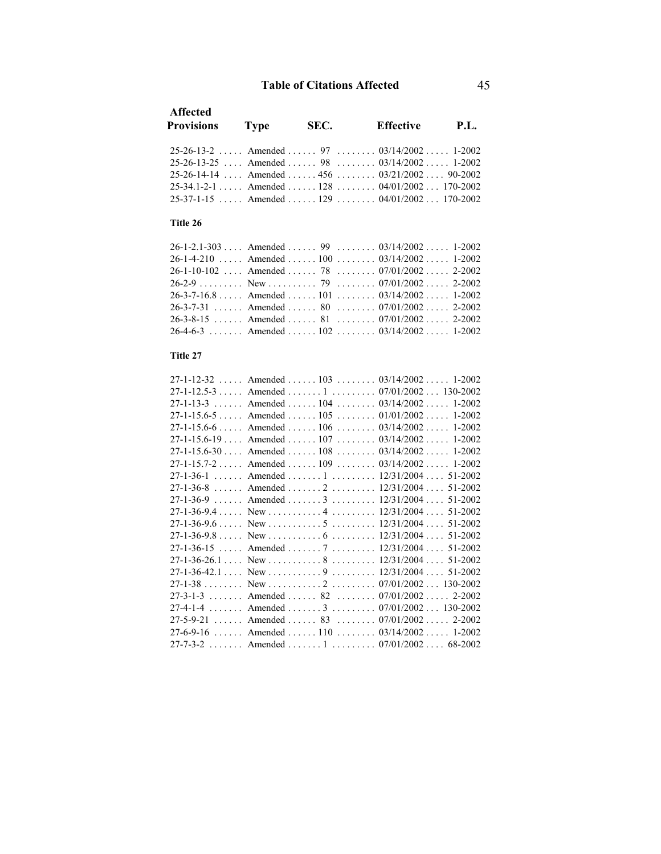| <b>Affected</b><br><b>Provisions</b> | Type | SEC. | <b>Effective</b>                                     | <b>P.L.</b> |
|--------------------------------------|------|------|------------------------------------------------------|-------------|
|                                      |      |      | $25-26-13-2$ , Amended , 97 , 03/14/2002, 1-2002     |             |
|                                      |      |      | $25-26-13-25$ , Amended , 98 , $03/14/2002$ , 1-2002 |             |
|                                      |      |      | 25-26-14-14  Amended   456 $0.3/21/2002$ 90-2002     |             |
|                                      |      |      | $25-34.1-2-1$ Amended  128  04/01/2002 170-2002      |             |
|                                      |      |      | $25-37-1-15$ Amended  129  04/01/2002 170-2002       |             |

### **Title 26**

| $26-1-2.1-303$ Amended  99  03/14/2002  1-2002 |  |  |
|------------------------------------------------|--|--|
| 26-1-4-210  Amended  100  03/14/2002  1-2002   |  |  |
| 26-1-10-102  Amended  78  07/01/2002  2-2002   |  |  |
|                                                |  |  |
| $26-3-7-16.8$ Amended  101  03/14/2002 1-2002  |  |  |
| 26-3-7-31  Amended  80  07/01/2002  2-2002     |  |  |
| 26-3-8-15  Amended  81 $07/01/2002$ 2-2002     |  |  |
| 26-4-6-3  Amended  102  03/14/2002  1-2002     |  |  |

### **Title 27**

| $27-1-12-32$ Amended  103  03/14/2002 1-2002    |  |
|-------------------------------------------------|--|
| $27-1-12.5-3$ Amended  1  07/01/2002  130-2002  |  |
| $27-1-13-3$ Amended  104  03/14/2002  1-2002    |  |
| $27-1-15.6-5$ Amended $105$ $01/01/2002$ 1-2002 |  |
| 27-1-15.6-6  Amended  106  03/14/2002  1-2002   |  |
| $27-1-15.6-19$ Amended  107  03/14/2002 1-2002  |  |
| $27-1-15.6-30$ Amended  108  03/14/2002  1-2002 |  |
| $27-1-15.7-2$ Amended  109  03/14/2002 1-2002   |  |
|                                                 |  |
| 27-1-36-8  Amended  2  12/31/2004  51-2002      |  |
| $27-1-36-9$ Amended  3  12/31/2004  51-2002     |  |
|                                                 |  |
|                                                 |  |
|                                                 |  |
| 27-1-36-15  Amended  7  12/31/2004  51-2002     |  |
|                                                 |  |
|                                                 |  |
|                                                 |  |
| $27-3-1-3$ Amended  82  07/01/2002 2-2002       |  |
| $27-4-1-4$ Amended  3  07/01/2002 130-2002      |  |
| 27-5-9-21  Amended  83  07/01/2002  2-2002      |  |
| $27-6-9-16$ Amended  110  03/14/2002  1-2002    |  |
| 27-7-3-2  Amended  1  07/01/2002  68-2002       |  |
|                                                 |  |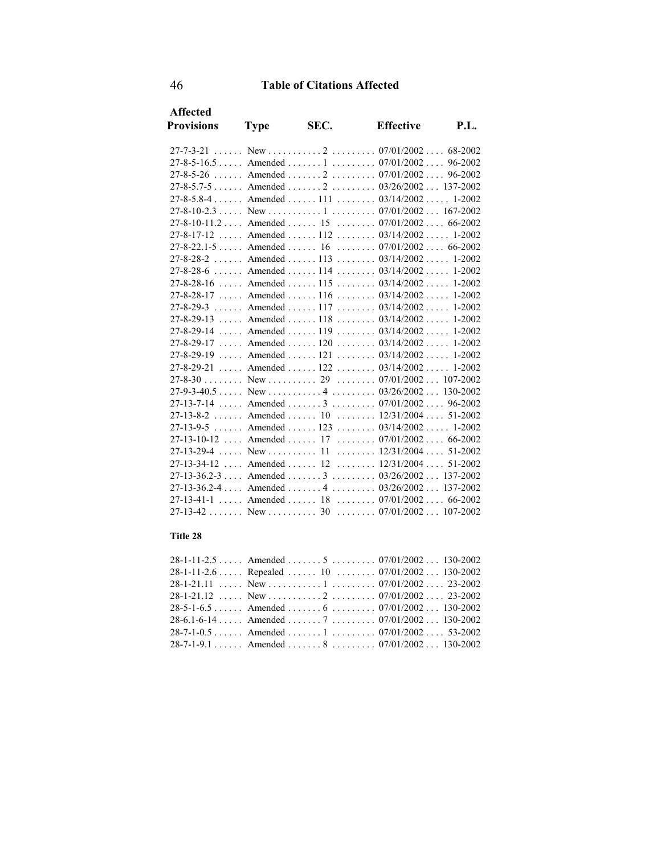| <b>Affected</b>                                      |             |                                                       |                  |      |
|------------------------------------------------------|-------------|-------------------------------------------------------|------------------|------|
| <b>Provisions</b>                                    | <b>Type</b> | SEC.                                                  | <b>Effective</b> | P.I. |
|                                                      |             |                                                       |                  |      |
| $27-8-5-16.5$ Amended  1  07/01/2002 96-2002         |             |                                                       |                  |      |
| $27-8-5-26$ Amended $2$ $07/01/2002$ 96-2002         |             |                                                       |                  |      |
| $27-8-5.7-5$ Amended $2$ $03/26/2002$ 137-2002       |             |                                                       |                  |      |
| $27-8-5.8-4$ Amended  111  03/14/2002 1-2002         |             |                                                       |                  |      |
|                                                      |             |                                                       |                  |      |
| 27-8-10-11.2  Amended  15  07/01/2002  66-2002       |             |                                                       |                  |      |
| $27-8-17-12$ Amended  112  03/14/2002 1-2002         |             |                                                       |                  |      |
| $27-8-22.1-5$ Amended  16 $07/01/2002$ 66-2002       |             |                                                       |                  |      |
| $27-8-28-2$ Amended  113  03/14/2002  1-2002         |             |                                                       |                  |      |
| $27-8-28-6$ Amended  114  03/14/2002 1-2002          |             |                                                       |                  |      |
| $27-8-28-16$ Amended  115  03/14/2002  1-2002        |             |                                                       |                  |      |
| $27-8-28-17$ Amended  116  03/14/2002  1-2002        |             |                                                       |                  |      |
| $27-8-29-3$ Amended  117  03/14/2002  1-2002         |             |                                                       |                  |      |
| $27-8-29-13$ Amended  118  03/14/2002 1-2002         |             |                                                       |                  |      |
| $27-8-29-14$ Amended  119  03/14/2002  1-2002        |             |                                                       |                  |      |
| $27-8-29-17$ Amended  120  03/14/2002  1-2002        |             |                                                       |                  |      |
| $27-8-29-19$ , Amended , 121 , $03/14/2002$ , 1-2002 |             |                                                       |                  |      |
| $27-8-29-21$ Amended  122  03/14/2002  1-2002        |             |                                                       |                  |      |
|                                                      |             |                                                       |                  |      |
|                                                      |             |                                                       |                  |      |
| $27 - 13 - 7 - 14$                                   |             | Amended $3 \ldots 3 \ldots 07/01/2002 \ldots 96-2002$ |                  |      |
| $27-13-8-2$ Amended  10  12/31/2004  51-2002         |             |                                                       |                  |      |
| $27-13-9-5$ Amended  123 $03/14/2002$ 1-2002         |             |                                                       |                  |      |
| $27-13-10-12$ Amended  17  07/01/2002 66-2002        |             |                                                       |                  |      |
|                                                      |             |                                                       |                  |      |
| 27-13-34-12  Amended  12  12/31/2004  51-2002        |             |                                                       |                  |      |
| $27-13-36.2-3$ Amended  3  03/26/2002 137-2002       |             |                                                       |                  |      |
| $27-13-36.2-4$ Amended 4  03/26/2002 137-2002        |             |                                                       |                  |      |
| 27-13-41-1  Amended  18  07/01/2002  66-2002         |             |                                                       |                  |      |
|                                                      |             |                                                       |                  |      |

#### **Title 28**

|  | 28-1-11-2.6  Repealed  10  07/01/2002  130-2002 |
|--|-------------------------------------------------|
|  |                                                 |
|  |                                                 |
|  | $28-5-1-6.5$ Amended  6  07/01/2002 130-2002    |
|  |                                                 |
|  |                                                 |
|  | $28-7-1-9.1$ Amended  8  07/01/2002 130-2002    |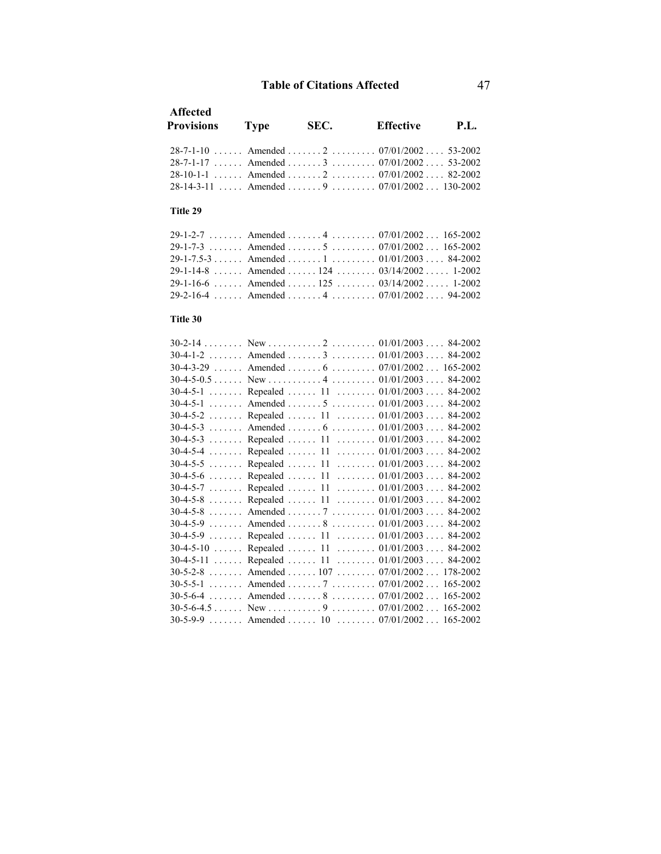| <b>Affected</b><br><b>Provisions</b> | <b>Type</b> | SEC. | <b>Effective</b>                             | <b>P.L.</b> |
|--------------------------------------|-------------|------|----------------------------------------------|-------------|
|                                      |             |      | 28-7-1-10  Amended  2  07/01/2002  53-2002   |             |
|                                      |             |      | $28-7-1-17$ Amended  3  07/01/2002 53-2002   |             |
|                                      |             |      | $28-10-1-1$ Amended  2  07/01/2002 82-2002   |             |
|                                      |             |      | $28-14-3-11$ Amended  9  07/01/2002 130-2002 |             |
| Title 29                             |             |      |                                              |             |
|                                      |             |      | 29-1-2-7  Amended  4  07/01/2002  165-2002   |             |
|                                      |             |      | 29-1-7-3  Amended  5  07/01/2002  165-2002   |             |
|                                      |             |      | 29-1-7.5-3 Amended 1 01/01/2003 84-2002      |             |
|                                      |             |      | 29-1-14-8  Amended  124  03/14/2002  1-2002  |             |
|                                      |             |      | 29-1-16-6  Amended  125  03/14/2002  1-2002  |             |
|                                      |             |      | 29-2-16-4 Amended 4 07/01/2002 94-2002       |             |
| Title 30                             |             |      |                                              |             |
|                                      |             |      |                                              |             |
| $30-4-1-2$                           |             |      | Amended 3 01/01/2003 84-2002                 |             |
|                                      |             |      | 30-4-3-29  Amended  6  07/01/2002  165-2002  |             |
|                                      |             |      |                                              |             |
| $30-4-5-1$                           |             |      | Repealed  11  01/01/2003 84-2002             |             |
| $30-4-5-1$                           |             |      | Amended 5 01/01/2003 84-2002                 |             |
| $30-4-5-2$                           |             |      | Repealed  11 $01/01/2003$ 84-2002            |             |
| $30-4-5-3$                           |             |      | Amended  6  01/01/2003  84-2002              |             |
| $30-4-5-3$                           |             |      | Repealed  11  01/01/2003  84-2002            |             |
| $30-4-5-4$                           |             |      | Repealed  11  01/01/2003  84-2002            |             |
| $30-4-5-5$                           |             |      | Repealed  11  01/01/2003  84-2002            |             |
| $30-4-5-6$                           |             |      | Repealed  11  01/01/2003 84-2002             |             |
| $30-4-5-7$                           |             |      | Repealed  11  01/01/2003 84-2002             |             |
| $30-4-5-8$                           |             |      | Repealed  11 $01/01/2003$ 84-2002            |             |
| $30-4-5-8$                           |             |      | Amended 7 01/01/2003 84-2002                 |             |
| $30-4-5-9$                           |             |      | Amended 8 01/01/2003 84-2002                 |             |
| $30-4-5-9$                           |             |      | Repealed  11  01/01/2003  84-2002            |             |
| $30-4-5-10$                          |             |      | Repealed  11  01/01/2003 84-2002             |             |
| $30-4-5-11$                          |             |      | Repealed  11  01/01/2003  84-2002            |             |
| $30 - 5 - 2 - 8$                     |             |      | Amended  107  07/01/2002  178-2002           |             |
|                                      |             |      | 30-5-5-1  Amended  7  07/01/2002  165-2002   |             |
| $30 - 5 - 6 - 4$                     |             |      | Amended  8  07/01/2002                       | 165-2002    |
|                                      |             |      |                                              |             |
|                                      |             |      | 30-5-9-9  Amended  10  07/01/2002  165-2002  |             |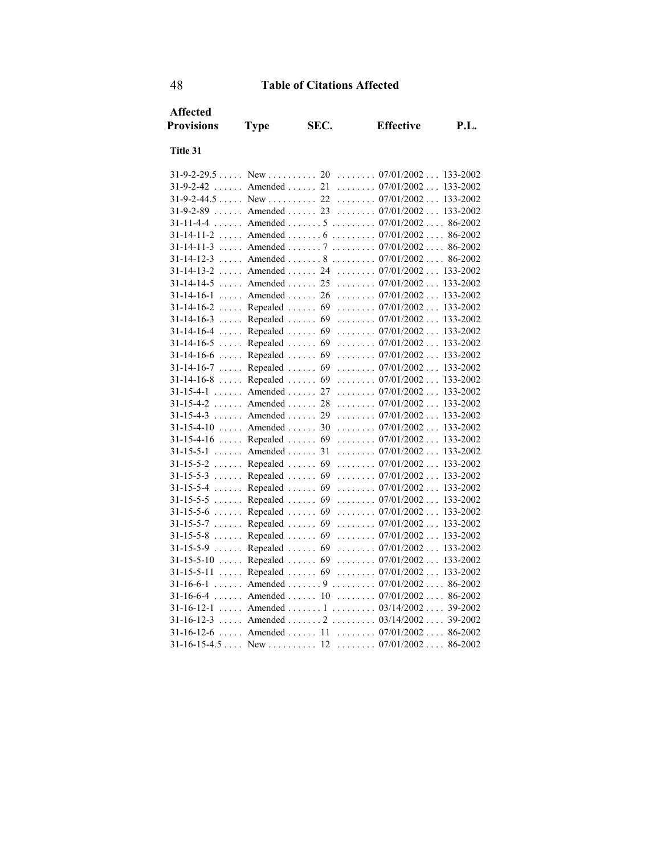| <b>Affected</b>                     |                              |      |                                                   |             |
|-------------------------------------|------------------------------|------|---------------------------------------------------|-------------|
| <b>Provisions</b>                   | <b>Type</b>                  | SEC. | <b>Effective</b>                                  | <b>P.L.</b> |
| Title 31                            |                              |      |                                                   |             |
|                                     |                              |      |                                                   |             |
| $31 - 9 - 2 - 42$                   |                              |      | Amended 21 07/01/2002 133-2002                    |             |
| $31-9-2-44.5$                       | $New \ldots \ldots 22$       |      | $\ldots \ldots \ldots 07/01/2002 \ldots$          | 133-2002    |
| $31 - 9 - 2 - 89$                   | Amended $\ldots$ 23          |      | $\ldots \ldots 07/01/2002 \ldots$                 | 133-2002    |
| $31 - 11 - 4 - 4$                   |                              |      | Amended 5 07/01/2002                              | 86-2002     |
| $31 - 14 - 11 - 2$                  | Amended  6                   |      | $\ldots \ldots \ldots 07/01/2002 \ldots 86-2002$  |             |
| $31-14-11-3$ Amended  7             |                              |      | $\ldots \ldots \ldots 07/01/2002 \ldots 86-2002$  |             |
| $31 - 14 - 12 - 3$                  | $\ldots$ Amended $\ldots$ .  |      | $\ldots \ldots \ldots 07/01/2002 \ldots 86-2002$  |             |
| $31 - 14 - 13 - 2$<br>$\ldots$      | Amended  24                  |      | $\ldots \ldots \ldots 07/01/2002 \ldots 133-2002$ |             |
| $31-14-14-5$ Amended  25            |                              |      | $\ldots \ldots 07/01/2002 \ldots$                 | 133-2002    |
| $31-14-16-1$                        | Amended  26                  |      | $\ldots \ldots \ldots 07/01/2002 \ldots$          | 133-2002    |
| $31 - 14 - 16 - 2$<br>$\ldots$      | Repealed  69                 |      | $\ldots \ldots \ldots 07/01/2002 \ldots$          | 133-2002    |
| $31 - 14 - 16 - 3$<br>a sa sa       | Repealed                     | 69   | $\ldots \ldots 07/01/2002 \ldots$                 | 133-2002    |
| $31 - 14 - 16 - 4$                  | Repealed                     | 69   | $\ldots \ldots 07/01/2002 \ldots$                 | 133-2002    |
| $31 - 14 - 16 - 5$<br>$\ldots$ .    | Repealed                     | 69   | $\ldots \ldots \ldots 07/01/2002 \ldots$          | 133-2002    |
| $31 - 14 - 16 - 6$<br>$\ldots$ .    | Repealed                     | 69   | $\ldots \ldots \ldots 07/01/2002 \ldots$          | 133-2002    |
| $31 - 14 - 16 - 7$<br>$\ldots$      | Repealed                     | 69   | $\ldots \ldots 07/01/2002 \ldots$                 | 133-2002    |
| $31 - 14 - 16 - 8$<br>$\ldots$      | Repealed                     | 69   | $\ldots \ldots \ldots 07/01/2002 \ldots$          | 133-2002    |
| $31 - 15 - 4 - 1$                   | Amended $\ldots$             | 27   | $\ldots \ldots \ldots 07/01/2002 \ldots 133-2002$ |             |
| $31 - 15 - 4 - 2$                   | Amended $\ldots$             | 28   | $\ldots \ldots 07/01/2002 \ldots$                 | 133-2002    |
| $31 - 15 - 4 - 3$                   | Amended  29                  |      | $\ldots \ldots \ldots 07/01/2002 \ldots$          | 133-2002    |
| $31 - 15 - 4 - 10$                  | Amended $\ldots$             | 30   | $\ldots \ldots \ldots 07/01/2002 \ldots 133-2002$ |             |
| $31 - 15 - 4 - 16$                  | Repealed                     | 69   | $\ldots \ldots \ldots 07/01/2002 \ldots$          | 133-2002    |
| $31 - 15 - 5 - 1$                   | Amended                      | 31   | $\ldots \ldots \ldots 07/01/2002 \ldots$          | 133-2002    |
| $31 - 15 - 5 - 2$                   | Repealed                     | 69   | $\ldots \ldots 07/01/2002 \ldots$                 | 133-2002    |
| $31 - 15 - 5 - 3$                   | Repealed                     | 69   | $\ldots \ldots 07/01/2002 \ldots$                 | 133-2002    |
| $31 - 15 - 5 - 4$                   | Repealed                     | 69   | $\ldots \ldots 07/01/2002 \ldots$                 | 133-2002    |
| $31 - 15 - 5 - 5$                   | Repealed                     | 69   | $\ldots \ldots 07/01/2002 \ldots$                 | 133-2002    |
| $31 - 15 - 5 - 6$                   | Repealed                     | 69   | $\ldots \ldots \ldots 07/01/2002 \ldots$          | 133-2002    |
| $31 - 15 - 5 - 7$                   | Repealed                     | 69   | $\ldots \ldots 07/01/2002 \ldots$                 | 133-2002    |
| $31 - 15 - 5 - 8$<br>$\overline{1}$ | Repealed  69                 |      | $\ldots \ldots 07/01/2002 \ldots$                 | 133-2002    |
| $31 - 15 - 5 - 9$                   | Repealed  69                 |      | $\ldots \ldots \ldots 07/01/2002 \ldots$          | 133-2002    |
| $31 - 15 - 5 - 10$<br>$\ldots$      | Repealed  69                 |      | $\ldots \ldots \ldots 07/01/2002 \ldots$          | 133-2002    |
| 31-15-5-11<br>$\mathbf{1}$          | Repealed  69                 |      | $\ldots \ldots 07/01/2002 \ldots$                 | 133-2002    |
| $31 - 16 - 6 - 1$<br>$\sim$         |                              |      | Amended 9 07/01/2002 86-2002                      |             |
| $31-16-6-4$                         | Amended $\ldots$ 10          |      | $\ldots \ldots \ldots 07/01/2002 \ldots 86-2002$  |             |
| $31 - 16 - 12 - 1$                  |                              |      | Amended  1 $03/14/2002$ 39-2002                   |             |
| $31 - 16 - 12 - 3$                  |                              |      | Amended  2 $03/14/2002$ 39-2002                   |             |
| $31 - 16 - 12 - 6$                  | $\ldots$ Amended $\ldots$ 11 |      | $\ldots \ldots \ldots 07/01/2002 \ldots 86-2002$  |             |
| $31-16-15-4.5$ New  12              |                              |      | $\ldots \ldots \ldots 07/01/2002 \ldots 86-2002$  |             |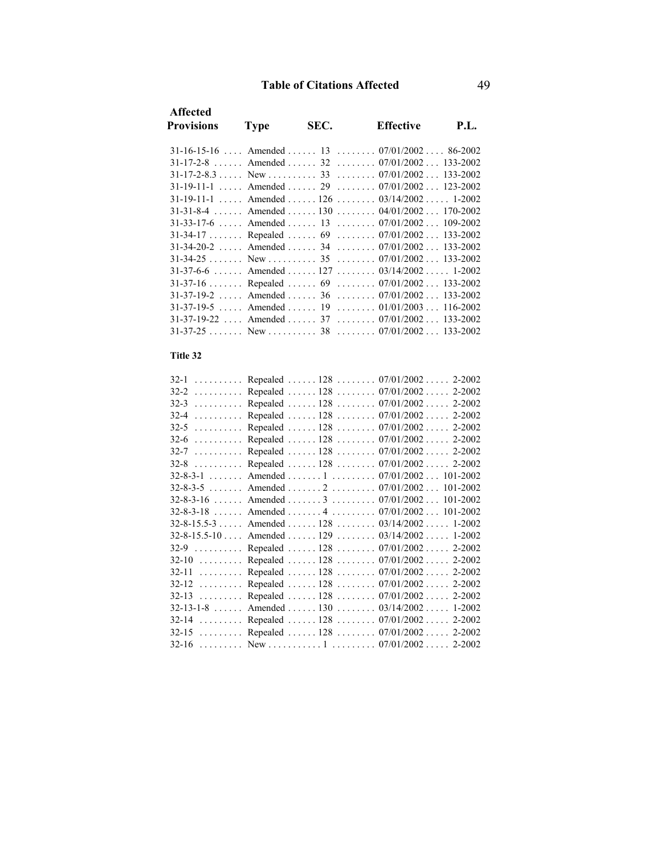| <b>Affected</b>                        |                     |      |                                                   |             |
|----------------------------------------|---------------------|------|---------------------------------------------------|-------------|
| <b>Provisions</b>                      | <b>Type</b>         | SEC. | <b>Effective</b>                                  | <b>P.L.</b> |
|                                        |                     |      | $31-16-15-16$ Amended  13  07/01/2002 86-2002     |             |
|                                        |                     |      |                                                   |             |
|                                        |                     |      | $31-17-2-8$ Amended  32  07/01/2002 133-2002      |             |
|                                        |                     |      |                                                   |             |
| $31 - 19 - 11 - 1$                     |                     |      | Amended  29  07/01/2002  123-2002                 |             |
|                                        |                     |      | $31-19-11-1$ Amended  126  03/14/2002 1-2002      |             |
| $31 - 31 - 8 - 4$                      |                     |      | Amended  130  04/01/2002  170-2002                |             |
| $31-33-17-6$                           | Amended $\ldots$ 13 |      | $\ldots \ldots 07/01/2002 \ldots 109-2002$        |             |
| $31 - 34 - 17$                         | Repealed  69        |      | $\ldots \ldots 07/01/2002 \ldots 133-2002$        |             |
| $31 - 34 - 20 - 2$                     | Amended  34         |      | $\ldots \ldots \ldots 07/01/2002 \ldots 133-2002$ |             |
|                                        |                     |      | $\ldots \ldots \ldots 07/01/2002 \ldots 133-2002$ |             |
|                                        |                     |      | $31-37-6-6$ Amended  127  03/14/2002  1-2002      |             |
| $31-37-16$                             |                     |      | Repealed  69  07/01/2002  133-2002                |             |
| $31-37-19-2$ Amended  36               |                     |      | $\ldots \ldots \ldots 07/01/2002 \ldots 133-2002$ |             |
| $31-37-19-5$ Amended  19               |                     |      | $\ldots \ldots 01/01/2003 \ldots 116-2002$        |             |
| $31-37-19-22$ Amended  37              |                     |      | $\ldots \ldots \ldots 07/01/2002 \ldots 133-2002$ |             |
| $31-37-25$ New  38                     |                     |      | $\ldots \ldots \ldots 07/01/2002 \ldots 133-2002$ |             |
| Title 32                               |                     |      |                                                   |             |
| $32-1$                                 |                     |      | Repealed  128  07/01/2002  2-2002                 |             |
| $32-2$                                 |                     |      | Repealed  128  07/01/2002  2-2002                 |             |
| $32-3$                                 |                     |      | Repealed  128  07/01/2002  2-2002                 |             |
| $32-4$                                 |                     |      | Repealed  128  07/01/2002  2-2002                 |             |
| $32 - 5$                               |                     |      | Repealed  128  07/01/2002  2-2002                 |             |
| $32-6$                                 |                     |      | Repealed  128  07/01/2002  2-2002                 |             |
| $32 - 7$                               |                     |      | Repealed  128  07/01/2002  2-2002                 |             |
| $32 - 8$                               |                     |      | Repealed  128  07/01/2002  2-2002                 |             |
| .<br>$32 - 8 - 3 - 1$                  |                     |      | Amended 1 07/01/2002 101-2002                     |             |
| $32 - 8 - 3 - 5$                       |                     |      | Amended 2 07/01/2002 101-2002                     |             |
|                                        |                     |      | Amended 3 07/01/2002 101-2002                     |             |
| $32 - 8 - 3 - 16$<br>$32 - 8 - 3 - 18$ |                     |      | Amended 4  07/01/2002 101-2002                    |             |
|                                        |                     |      |                                                   |             |
| $32 - 8 - 15.5 - 3 \ldots$             |                     |      | Amended  128  03/14/2002  1-2002                  |             |
| $32 - 8 - 15.5 - 10$                   |                     |      | Amended 129 03/14/2002 1-2002                     |             |
| $32-9$                                 |                     |      | Repealed  128  07/01/2002  2-2002                 |             |
| $32-10$                                |                     |      | Repealed  128  07/01/2002  2-2002                 |             |
| $32 - 11$                              |                     |      | Repealed  128  07/01/2002  2-2002                 |             |
| $32 - 12$                              |                     |      | Repealed  128  07/01/2002  2-2002                 |             |
| $32-13$                                |                     |      | Repealed  128  07/01/2002  2-2002                 |             |
| $32 - 13 - 1 - 8$                      |                     |      | Amended  130  03/14/2002  1-2002                  |             |
| $32-14$                                |                     |      | Repealed  128  07/01/2002  2-2002                 |             |
| $32-15$                                |                     |      | Repealed  128  07/01/2002  2-2002                 |             |
| $32 - 16$<br>.                         |                     |      |                                                   |             |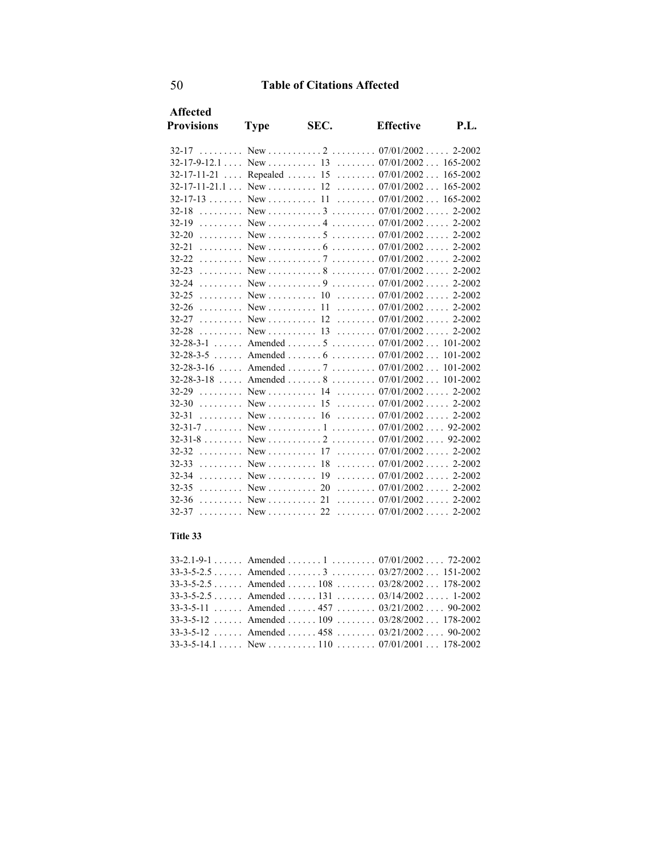| <b>Affected</b>   |             |      |                                                |            |
|-------------------|-------------|------|------------------------------------------------|------------|
| <b>Provisions</b> | <b>Type</b> | SEC. | <b>Effective</b>                               | P.I.       |
|                   |             |      |                                                |            |
|                   |             |      |                                                |            |
|                   |             |      | 32-17-11-21  Repealed  15  07/01/2002 165-2002 |            |
|                   |             |      |                                                |            |
|                   |             |      |                                                |            |
|                   |             |      |                                                |            |
| $32-19$           |             |      |                                                | $2 - 2002$ |
|                   |             |      |                                                |            |
|                   |             |      |                                                |            |
|                   |             |      |                                                |            |
|                   |             |      |                                                |            |
| $32 - 24$         |             |      |                                                |            |
| $32 - 25$         |             |      | $\ldots$ New $\ldots$ 10 $\ldots$ 07/01/2002   | 2-2002     |
|                   |             |      |                                                |            |
|                   |             |      |                                                |            |
|                   |             |      |                                                |            |
|                   |             |      | 32-28-3-1  Amended  5  07/01/2002  101-2002    |            |
|                   |             |      | 32-28-3-5  Amended  6  07/01/2002  101-2002    |            |
|                   |             |      | $32-28-3-16$ Amended  7  07/01/2002 101-2002   |            |
|                   |             |      | $32-28-3-18$ Amended  8  07/01/2002 101-2002   |            |
|                   |             |      | 32-29 New 14 07/01/2002 2-2002                 |            |
|                   |             |      |                                                |            |
|                   |             |      |                                                | $2 - 2002$ |
|                   |             |      |                                                |            |
|                   |             |      |                                                |            |
|                   |             |      |                                                |            |
|                   |             |      | 32-33  New  18  07/01/2002                     | 2-2002     |
|                   |             |      | 32-34  New  19  07/01/2002                     | 2-2002     |
|                   |             |      |                                                |            |
|                   |             |      |                                                |            |
| 32-37<br><u>.</u> | $New$ 22    |      | $\ldots \ldots \ldots 07/01/2002 \ldots$       | $2 - 2002$ |

#### **Title 33**

| $33-2.1-9-1$ Amended  1  07/01/2002 72-2002      |  |
|--------------------------------------------------|--|
| $33-3-5-2.5$ Amended  3  03/27/2002 151-2002     |  |
| $33-3-5-2.5$ Amended  108  03/28/2002 178-2002   |  |
| $33-3-5-2.5$ Amended  131  03/14/2002 1-2002     |  |
| 33-3-5-11  Amended  457 $03/21/2002$ 90-2002     |  |
| $33-3-5-12$ Amended  109  03/28/2002 178-2002    |  |
| $33-3-5-12$ Amended $458$ $03/21/2002$ $90-2002$ |  |
|                                                  |  |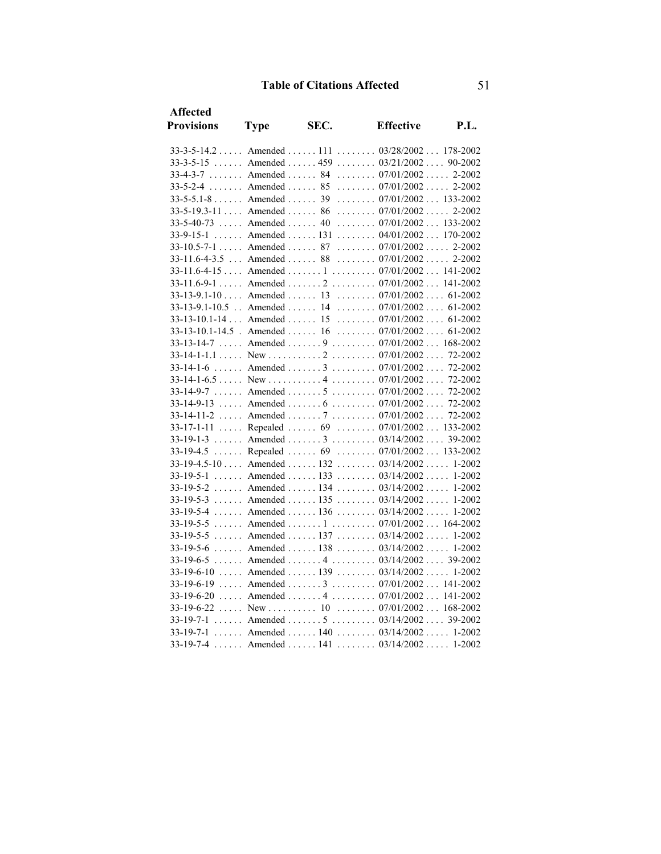| <b>Affected</b>   |                            |      |                                                      |      |
|-------------------|----------------------------|------|------------------------------------------------------|------|
| <b>Provisions</b> | <b>Type</b>                | SEC. | <b>Effective</b>                                     | P.L. |
|                   |                            |      | 33-3-5-14.2  Amended  111  03/28/2002  178-2002      |      |
|                   |                            |      | 33-3-5-15  Amended  459  03/21/2002  90-2002         |      |
|                   |                            |      | 33-4-3-7  Amended  84  07/01/2002  2-2002            |      |
|                   |                            |      | $33-5-2-4$ Amended  85  07/01/2002 2-2002            |      |
|                   | $33-5-5.1-8$ Amended 39    |      | $\ldots \ldots \ldots 07/01/2002 \ldots 133-2002$    |      |
|                   | $33-5-19.3-11$ Amended  86 |      | $\ldots \ldots 07/01/2002 \ldots 2-2002$             |      |
|                   | $33-5-40-73$ Amended  40   |      | $\ldots \ldots \ldots 07/01/2002 \ldots 133-2002$    |      |
|                   |                            |      | 33-9-15-1  Amended  131  04/01/2002  170-2002        |      |
|                   |                            |      | 33-10.5-7-1  Amended  87  07/01/2002  2-2002         |      |
|                   |                            |      | 33-11.6-4-3.5  Amended  88  07/01/2002  2-2002       |      |
|                   |                            |      | 33-11.6-4-15  Amended  1  07/01/2002  141-2002       |      |
|                   |                            |      | 33-11.6-9-1  Amended  2  07/01/2002 141-2002         |      |
|                   |                            |      | 33-13-9.1-10  Amended  13  07/01/2002  61-2002       |      |
|                   |                            |      | 33-13-9.1-10.5 . Amended  14  07/01/2002  61-2002    |      |
|                   |                            |      | 33-13-10.1-14  Amended  15  07/01/2002  61-2002      |      |
|                   |                            |      | $33-13-10.1-14.5$ . Amended  16  07/01/2002  61-2002 |      |
|                   |                            |      | 33-13-14-7  Amended  9  07/01/2002  168-2002         |      |
|                   |                            |      |                                                      |      |
| $33 - 14 - 1 - 6$ |                            |      | Amended  3  07/01/2002 72-2002                       |      |
|                   |                            |      |                                                      |      |
|                   |                            |      | 33-14-9-7  Amended  5  07/01/2002 72-2002            |      |
| 33-14-9-13        |                            |      | Amended  6  07/01/2002  72-2002                      |      |
|                   |                            |      | 33-14-11-2  Amended  7  07/01/2002  72-2002          |      |
|                   |                            |      | 33-17-1-11  Repealed  69  07/01/2002  133-2002       |      |
|                   |                            |      | 33-19-1-3  Amended  3  03/14/2002  39-2002           |      |
|                   |                            |      | 33-19-4.5  Repealed  69  07/01/2002  133-2002        |      |
|                   |                            |      | 33-19-4.5-10  Amended  132  03/14/2002  1-2002       |      |
|                   |                            |      | 33-19-5-1  Amended  133  03/14/2002  1-2002          |      |
|                   |                            |      | 33-19-5-2  Amended  134  03/14/2002  1-2002          |      |
|                   |                            |      | 33-19-5-3  Amended  135  03/14/2002  1-2002          |      |
|                   |                            |      | 33-19-5-4  Amended  136  03/14/2002  1-2002          |      |
|                   |                            |      | 33-19-5-5  Amended  1  07/01/2002  164-2002          |      |
|                   |                            |      | 33-19-5-5  Amended  137  03/14/2002  1-2002          |      |
|                   |                            |      | 33-19-5-6  Amended  138  03/14/2002  1-2002          |      |
|                   |                            |      | 33-19-6-5  Amended  4  03/14/2002  39-2002           |      |
|                   |                            |      | 33-19-6-10  Amended  139  03/14/2002  1-2002         |      |
|                   |                            |      | 33-19-6-19  Amended  3  07/01/2002 141-2002          |      |
|                   |                            |      | 33-19-6-20  Amended  4  07/01/2002  141-2002         |      |
|                   |                            |      |                                                      |      |
|                   |                            |      | $33-19-7-1$ Amended  5  03/14/2002 39-2002           |      |
|                   |                            |      | 33-19-7-1  Amended  140  03/14/2002  1-2002          |      |
|                   |                            |      | 33-19-7-4  Amended  141  03/14/2002 1-2002           |      |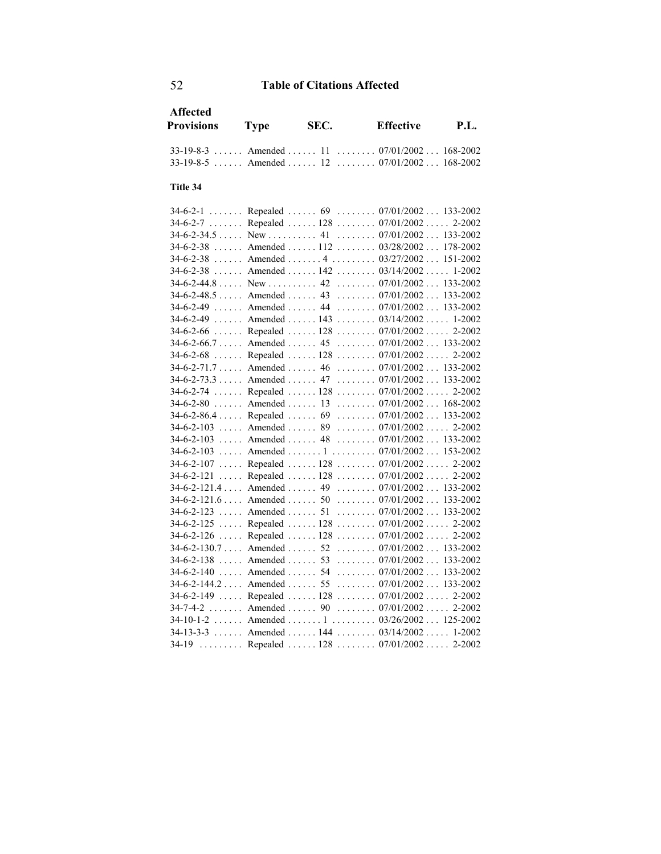| Affected<br><b>Provisions</b> Type           | SEC. | <b>Effective</b> | P.I. |
|----------------------------------------------|------|------------------|------|
| $33-19-8-3$ Amended  11  07/01/2002 168-2002 |      |                  |      |
| $33-19-8-5$ Amended  12  07/01/2002 168-2002 |      |                  |      |

#### **Title 34**

|                     | $2 - 2002$                                                                                                                                                                                                                                                                                                                                                                                                                                                                                                                                                                                                                                                                                                                                                                                                                                                                                                                                                                                                                                                                                                                                                                                                                                                                                                                                                                                                                                                                                                                              |
|---------------------|-----------------------------------------------------------------------------------------------------------------------------------------------------------------------------------------------------------------------------------------------------------------------------------------------------------------------------------------------------------------------------------------------------------------------------------------------------------------------------------------------------------------------------------------------------------------------------------------------------------------------------------------------------------------------------------------------------------------------------------------------------------------------------------------------------------------------------------------------------------------------------------------------------------------------------------------------------------------------------------------------------------------------------------------------------------------------------------------------------------------------------------------------------------------------------------------------------------------------------------------------------------------------------------------------------------------------------------------------------------------------------------------------------------------------------------------------------------------------------------------------------------------------------------------|
|                     | 133-2002                                                                                                                                                                                                                                                                                                                                                                                                                                                                                                                                                                                                                                                                                                                                                                                                                                                                                                                                                                                                                                                                                                                                                                                                                                                                                                                                                                                                                                                                                                                                |
| $34-6-2-38$         | 178-2002                                                                                                                                                                                                                                                                                                                                                                                                                                                                                                                                                                                                                                                                                                                                                                                                                                                                                                                                                                                                                                                                                                                                                                                                                                                                                                                                                                                                                                                                                                                                |
| $34-6-2-38$         | 151-2002                                                                                                                                                                                                                                                                                                                                                                                                                                                                                                                                                                                                                                                                                                                                                                                                                                                                                                                                                                                                                                                                                                                                                                                                                                                                                                                                                                                                                                                                                                                                |
|                     | $1 - 2002$                                                                                                                                                                                                                                                                                                                                                                                                                                                                                                                                                                                                                                                                                                                                                                                                                                                                                                                                                                                                                                                                                                                                                                                                                                                                                                                                                                                                                                                                                                                              |
|                     | 133-2002                                                                                                                                                                                                                                                                                                                                                                                                                                                                                                                                                                                                                                                                                                                                                                                                                                                                                                                                                                                                                                                                                                                                                                                                                                                                                                                                                                                                                                                                                                                                |
|                     | 133-2002                                                                                                                                                                                                                                                                                                                                                                                                                                                                                                                                                                                                                                                                                                                                                                                                                                                                                                                                                                                                                                                                                                                                                                                                                                                                                                                                                                                                                                                                                                                                |
|                     |                                                                                                                                                                                                                                                                                                                                                                                                                                                                                                                                                                                                                                                                                                                                                                                                                                                                                                                                                                                                                                                                                                                                                                                                                                                                                                                                                                                                                                                                                                                                         |
| $34-6-2-49$         | 1-2002                                                                                                                                                                                                                                                                                                                                                                                                                                                                                                                                                                                                                                                                                                                                                                                                                                                                                                                                                                                                                                                                                                                                                                                                                                                                                                                                                                                                                                                                                                                                  |
|                     |                                                                                                                                                                                                                                                                                                                                                                                                                                                                                                                                                                                                                                                                                                                                                                                                                                                                                                                                                                                                                                                                                                                                                                                                                                                                                                                                                                                                                                                                                                                                         |
|                     |                                                                                                                                                                                                                                                                                                                                                                                                                                                                                                                                                                                                                                                                                                                                                                                                                                                                                                                                                                                                                                                                                                                                                                                                                                                                                                                                                                                                                                                                                                                                         |
|                     | 2-2002                                                                                                                                                                                                                                                                                                                                                                                                                                                                                                                                                                                                                                                                                                                                                                                                                                                                                                                                                                                                                                                                                                                                                                                                                                                                                                                                                                                                                                                                                                                                  |
|                     | 133-2002                                                                                                                                                                                                                                                                                                                                                                                                                                                                                                                                                                                                                                                                                                                                                                                                                                                                                                                                                                                                                                                                                                                                                                                                                                                                                                                                                                                                                                                                                                                                |
| $34 - 6 - 2 - 73.3$ | 133-2002                                                                                                                                                                                                                                                                                                                                                                                                                                                                                                                                                                                                                                                                                                                                                                                                                                                                                                                                                                                                                                                                                                                                                                                                                                                                                                                                                                                                                                                                                                                                |
|                     | 2-2002                                                                                                                                                                                                                                                                                                                                                                                                                                                                                                                                                                                                                                                                                                                                                                                                                                                                                                                                                                                                                                                                                                                                                                                                                                                                                                                                                                                                                                                                                                                                  |
| $34-6-2-80$         | 168-2002                                                                                                                                                                                                                                                                                                                                                                                                                                                                                                                                                                                                                                                                                                                                                                                                                                                                                                                                                                                                                                                                                                                                                                                                                                                                                                                                                                                                                                                                                                                                |
|                     | 133-2002                                                                                                                                                                                                                                                                                                                                                                                                                                                                                                                                                                                                                                                                                                                                                                                                                                                                                                                                                                                                                                                                                                                                                                                                                                                                                                                                                                                                                                                                                                                                |
|                     | 2-2002                                                                                                                                                                                                                                                                                                                                                                                                                                                                                                                                                                                                                                                                                                                                                                                                                                                                                                                                                                                                                                                                                                                                                                                                                                                                                                                                                                                                                                                                                                                                  |
|                     |                                                                                                                                                                                                                                                                                                                                                                                                                                                                                                                                                                                                                                                                                                                                                                                                                                                                                                                                                                                                                                                                                                                                                                                                                                                                                                                                                                                                                                                                                                                                         |
|                     |                                                                                                                                                                                                                                                                                                                                                                                                                                                                                                                                                                                                                                                                                                                                                                                                                                                                                                                                                                                                                                                                                                                                                                                                                                                                                                                                                                                                                                                                                                                                         |
|                     |                                                                                                                                                                                                                                                                                                                                                                                                                                                                                                                                                                                                                                                                                                                                                                                                                                                                                                                                                                                                                                                                                                                                                                                                                                                                                                                                                                                                                                                                                                                                         |
|                     |                                                                                                                                                                                                                                                                                                                                                                                                                                                                                                                                                                                                                                                                                                                                                                                                                                                                                                                                                                                                                                                                                                                                                                                                                                                                                                                                                                                                                                                                                                                                         |
|                     |                                                                                                                                                                                                                                                                                                                                                                                                                                                                                                                                                                                                                                                                                                                                                                                                                                                                                                                                                                                                                                                                                                                                                                                                                                                                                                                                                                                                                                                                                                                                         |
|                     |                                                                                                                                                                                                                                                                                                                                                                                                                                                                                                                                                                                                                                                                                                                                                                                                                                                                                                                                                                                                                                                                                                                                                                                                                                                                                                                                                                                                                                                                                                                                         |
|                     |                                                                                                                                                                                                                                                                                                                                                                                                                                                                                                                                                                                                                                                                                                                                                                                                                                                                                                                                                                                                                                                                                                                                                                                                                                                                                                                                                                                                                                                                                                                                         |
|                     |                                                                                                                                                                                                                                                                                                                                                                                                                                                                                                                                                                                                                                                                                                                                                                                                                                                                                                                                                                                                                                                                                                                                                                                                                                                                                                                                                                                                                                                                                                                                         |
|                     |                                                                                                                                                                                                                                                                                                                                                                                                                                                                                                                                                                                                                                                                                                                                                                                                                                                                                                                                                                                                                                                                                                                                                                                                                                                                                                                                                                                                                                                                                                                                         |
|                     |                                                                                                                                                                                                                                                                                                                                                                                                                                                                                                                                                                                                                                                                                                                                                                                                                                                                                                                                                                                                                                                                                                                                                                                                                                                                                                                                                                                                                                                                                                                                         |
|                     |                                                                                                                                                                                                                                                                                                                                                                                                                                                                                                                                                                                                                                                                                                                                                                                                                                                                                                                                                                                                                                                                                                                                                                                                                                                                                                                                                                                                                                                                                                                                         |
|                     |                                                                                                                                                                                                                                                                                                                                                                                                                                                                                                                                                                                                                                                                                                                                                                                                                                                                                                                                                                                                                                                                                                                                                                                                                                                                                                                                                                                                                                                                                                                                         |
|                     |                                                                                                                                                                                                                                                                                                                                                                                                                                                                                                                                                                                                                                                                                                                                                                                                                                                                                                                                                                                                                                                                                                                                                                                                                                                                                                                                                                                                                                                                                                                                         |
|                     |                                                                                                                                                                                                                                                                                                                                                                                                                                                                                                                                                                                                                                                                                                                                                                                                                                                                                                                                                                                                                                                                                                                                                                                                                                                                                                                                                                                                                                                                                                                                         |
|                     |                                                                                                                                                                                                                                                                                                                                                                                                                                                                                                                                                                                                                                                                                                                                                                                                                                                                                                                                                                                                                                                                                                                                                                                                                                                                                                                                                                                                                                                                                                                                         |
| $34-10-1-2$         |                                                                                                                                                                                                                                                                                                                                                                                                                                                                                                                                                                                                                                                                                                                                                                                                                                                                                                                                                                                                                                                                                                                                                                                                                                                                                                                                                                                                                                                                                                                                         |
| $34-13-3-3$         |                                                                                                                                                                                                                                                                                                                                                                                                                                                                                                                                                                                                                                                                                                                                                                                                                                                                                                                                                                                                                                                                                                                                                                                                                                                                                                                                                                                                                                                                                                                                         |
| 1.1.1.1.1.1.1.1     | 2-2002                                                                                                                                                                                                                                                                                                                                                                                                                                                                                                                                                                                                                                                                                                                                                                                                                                                                                                                                                                                                                                                                                                                                                                                                                                                                                                                                                                                                                                                                                                                                  |
|                     | 34-6-2-1  Repealed  69  07/01/2002 133-2002<br>34-6-2-7 Repealed 128 07/01/2002<br>Amended  112  03/28/2002<br>Amended 4 03/27/2002<br>Amended $142$ $03/14/2002$<br>New  42 $07/01/2002$<br>Amended  43 $07/01/2002$<br>Amended  44  07/01/2002  133-2002<br>Amended  143 $03/14/2002$<br>34-6-2-66  Repealed  128  07/01/2002  2-2002<br>34-6-2-66.7  Amended  45  07/01/2002  133-2002<br>34-6-2-68  Repealed  128  07/01/2002<br>$34-6-2-71.7 \ldots$ Amended  46  07/01/2002<br>Amended  47  07/01/2002<br>34-6-2-74  Repealed  128  07/01/2002<br>Amended $13$ $07/01/2002$<br>$34-6-2-86.4$ Repealed  69  07/01/2002<br>$34-6-2-103$ Amended  89  07/01/2002<br>34-6-2-103  Amended  48  07/01/2002  133-2002<br>34-6-2-103  Amended  1  07/01/2002  153-2002<br>34-6-2-107  Repealed  128  07/01/2002 2-2002<br>34-6-2-121  Repealed  128  07/01/2002 2-2002<br>34-6-2-121.4  Amended  49  07/01/2002  133-2002<br>34-6-2-121.6  Amended  50  07/01/2002  133-2002<br>34-6-2-123  Amended  51  07/01/2002  133-2002<br>34-6-2-125  Repealed  128  07/01/2002  2-2002<br>34-6-2-126  Repealed  128  07/01/2002  2-2002<br>34-6-2-130.7  Amended  52  07/01/2002  133-2002<br>34-6-2-138  Amended  53  07/01/2002  133-2002<br>34-6-2-140  Amended  54  07/01/2002  133-2002<br>34-6-2-144.2  Amended  55  07/01/2002  133-2002<br>34-6-2-149  Repealed  128  07/01/2002  2-2002<br>34-7-4-2  Amended  90  07/01/2002  2-2002<br>Amended 1 03/26/2002 125-2002<br>Amended  144  03/14/2002  1-2002<br>Repealed $128$ $07/01/2002$ |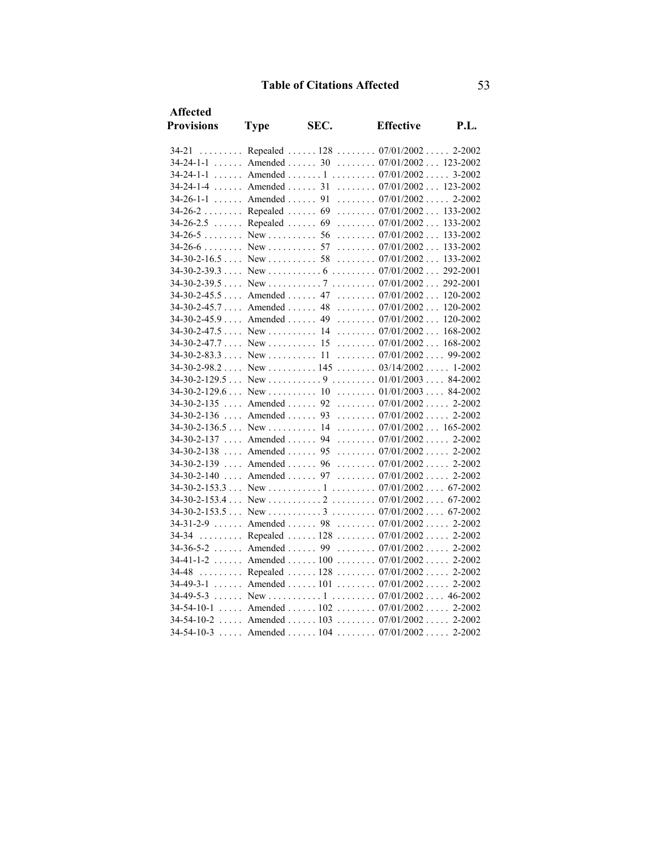| <b>Affected</b>   |             |      |                                                                                |      |
|-------------------|-------------|------|--------------------------------------------------------------------------------|------|
| <b>Provisions</b> | <b>Type</b> | SEC. | <b>Effective</b>                                                               | P.I. |
|                   |             |      | 34-21  Repealed  128  07/01/2002  2-2002                                       |      |
|                   |             |      | 34-24-1-1  Amended  30  07/01/2002  123-2002                                   |      |
|                   |             |      | 34-24-1-1  Amended  1  07/01/2002  3-2002                                      |      |
|                   |             |      | 34-24-1-4  Amended  31  07/01/2002  123-2002                                   |      |
|                   |             |      | $34-26-1-1$ Amended  91  07/01/2002 2-2002                                     |      |
|                   |             |      | 34-26-2  Repealed  69  07/01/2002  133-2002                                    |      |
|                   |             |      | 34-26-2.5 Repealed 69 07/01/2002 133-2002                                      |      |
|                   |             |      | $34-26-5$ New  56  07/01/2002 133-2002                                         |      |
|                   |             |      |                                                                                |      |
|                   |             |      |                                                                                |      |
|                   |             |      |                                                                                |      |
|                   |             |      |                                                                                |      |
|                   |             |      | 34-30-2-45.5  Amended  47  07/01/2002  120-2002                                |      |
|                   |             |      | 34-30-2-45.7  Amended  48  07/01/2002  120-2002                                |      |
|                   |             |      | 34-30-2-45.9  Amended  49  07/01/2002  120-2002                                |      |
|                   |             |      | $34-30-2-47.5$ New  14  07/01/2002 168-2002                                    |      |
|                   |             |      | $34-30-2-47.7$ New  15  07/01/2002 168-2002                                    |      |
|                   |             |      |                                                                                |      |
|                   |             |      | $34-30-2-98.2$ New  145  03/14/2002 1-2002                                     |      |
|                   |             |      |                                                                                |      |
|                   |             |      |                                                                                |      |
|                   |             |      | 34-30-2-135  Amended  92  07/01/2002  2-2002                                   |      |
|                   |             |      | $34-30-2-136$ Amended  93  07/01/2002  2-2002                                  |      |
|                   |             |      | $34-30-2-136.5$ New  14  07/01/2002 165-2002                                   |      |
|                   |             |      | $34-30-2-137$ Amended  94  07/01/2002 2-2002                                   |      |
|                   |             |      | 34-30-2-138  Amended  95  07/01/2002  2-2002                                   |      |
|                   |             |      | 34-30-2-139  Amended  96  07/01/2002  2-2002                                   |      |
|                   |             |      | 34-30-2-140  Amended  97  07/01/2002  2-2002                                   |      |
|                   |             |      |                                                                                |      |
|                   |             |      | $34-30-2-153.4$ New $\dots \dots \dots 2 \dots \dots 07/01/2002 \dots 67-2002$ |      |
|                   |             |      |                                                                                |      |
|                   |             |      | 34-31-2-9  Amended  98  07/01/2002  2-2002                                     |      |
| 34-34             |             |      | Repealed  128  07/01/2002  2-2002                                              |      |
|                   |             |      | 34-36-5-2  Amended  99  07/01/2002  2-2002                                     |      |
|                   |             |      | 34-41-1-2  Amended  100  07/01/2002  2-2002                                    |      |
|                   |             |      | 34-48  Repealed  128  07/01/2002  2-2002                                       |      |
|                   |             |      | 34-49-3-1  Amended  101  07/01/2002  2-2002                                    |      |
|                   |             |      |                                                                                |      |
|                   |             |      | $34-54-10-1$ Amended  102  07/01/2002  2-2002                                  |      |
|                   |             |      | 34-54-10-2  Amended  103  07/01/2002  2-2002                                   |      |
|                   |             |      | 34-54-10-3  Amended  104  07/01/2002  2-2002                                   |      |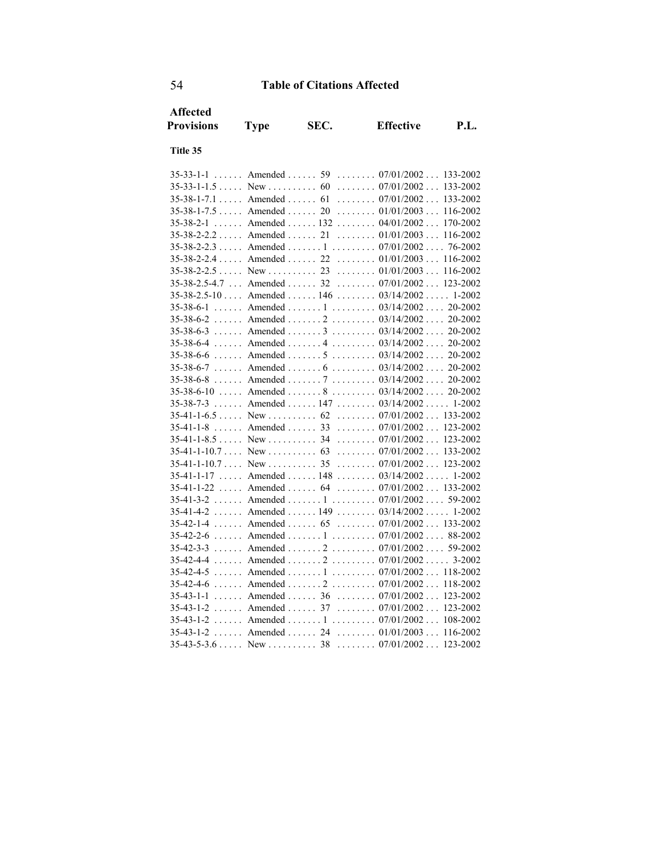| <b>Affected</b>                  |                                 |      |                                                   |             |
|----------------------------------|---------------------------------|------|---------------------------------------------------|-------------|
| <b>Provisions</b>                | <b>Type</b>                     | SEC. | <b>Effective</b>                                  | <b>P.L.</b> |
| Title 35                         |                                 |      |                                                   |             |
|                                  |                                 |      |                                                   |             |
| $35 - 33 - 1 - 1$<br>a a a a a a |                                 |      | Amended  59  07/01/2002  133-2002                 |             |
| $35-33-1-1.5$ New  60            |                                 |      | $\ldots \ldots \ldots 07/01/2002 \ldots 133-2002$ |             |
| $35-38-1-7.1$ Amended  61        |                                 |      | $\ldots \ldots 07/01/2002 \ldots$                 | 133-2002    |
| $35-38-1-7.5$ Amended  20        |                                 |      | $\ldots \ldots \ldots 01/01/2003 \ldots$          | 116-2002    |
| $35 - 38 - 2 - 1$                | $\ldots$ . Amended $\ldots$ 132 |      | $\ldots \ldots 04/01/2002 \ldots 170-2002$        |             |
| $35-38-2-2.2$ Amended  21        |                                 |      | $\ldots \ldots \ldots 01/01/2003 \ldots$          | 116-2002    |
|                                  |                                 |      | 35-38-2-2.3  Amended  1  07/01/2002  76-2002      |             |
| $35-38-2-2.4$ Amended  22        |                                 |      | $\ldots \ldots 01/01/2003 \ldots 116-2002$        |             |
| $35-38-2-2.5$ New  23            |                                 |      | $\ldots \ldots \ldots 01/01/2003 \ldots$          | 116-2002    |
| 35-38-2.5-4.7                    | $\ldots$ Amended $\ldots$ 32    |      | $\ldots \ldots 07/01/2002 \ldots$                 | 123-2002    |
|                                  |                                 |      | $35-38-2.5-10$ Amended  146  03/14/2002  1-2002   |             |
| $35 - 38 - 6 - 1$                | $\ldots$ . Amended $\ldots$ . 1 |      | $\ldots \ldots \ldots 03/14/2002 \ldots 20-2002$  |             |
| 35-38-6-2                        |                                 |      | Amended  2  03/14/2002 20-2002                    |             |
|                                  |                                 |      | $35-38-6-3$ Amended  3  03/14/2002 20-2002        |             |
| 35-38-6-4                        |                                 |      | Amended  4 $03/14/2002$ 20-2002                   |             |
| 35-38-6-6                        | $\ldots$ Amended $\ldots$ .     |      | $\ldots \ldots \ldots 03/14/2002 \ldots 20-2002$  |             |
|                                  |                                 |      | $35-38-6-7$ Amended  6  03/14/2002 20-2002        |             |
| $35 - 38 - 6 - 8$                |                                 |      | Amended  7  03/14/2002  20-2002                   |             |
| 35-38-6-10                       | $\ldots$ Amended $\ldots$ .     |      | $\ldots \ldots \ldots 03/14/2002 \ldots 20-2002$  |             |
| $35 - 38 - 7 - 3$                |                                 |      | Amended  147  03/14/2002  1-2002                  |             |
|                                  |                                 |      |                                                   |             |
| $35 - 41 - 1 - 8$                | $\ldots$ Amended $\ldots$ 33    |      | $\ldots \ldots \ldots 07/01/2002 \ldots 123-2002$ |             |
| $35-41-1-8.5$ New  34            |                                 |      | $\ldots \ldots 07/01/2002 \ldots 123-2002$        |             |
| $35-41-1-10.7$ New  63           |                                 |      | $\ldots \ldots \ldots 07/01/2002 \ldots 133-2002$ |             |
| $35-41-1-10.7$ New  35           |                                 |      | $\ldots \ldots \ldots 07/01/2002 \ldots 123-2002$ |             |
| 35-41-1-17                       | $\ldots$ Amended $\ldots$ 148   |      | $\ldots \ldots 03/14/2002 \ldots 1-2002$          |             |
| 35-41-1-22                       | $\ldots$ Amended $\ldots$ . 64  |      | $\ldots \ldots 07/01/2002 \ldots 133-2002$        |             |
|                                  |                                 |      | $35-41-3-2$ Amended  1  07/01/2002 59-2002        |             |
| 35-41-4-2                        | $\ldots$ . Amended $\ldots$ 149 |      | $\ldots \ldots 03/14/2002 \ldots 1-2002$          |             |
| $35-42-1-4$ Amended  65          |                                 |      | $\ldots \ldots \ldots 07/01/2002 \ldots 133-2002$ |             |
| $35 - 42 - 2 - 6$                |                                 |      | Amended  1  07/01/2002 88-2002                    |             |
| $35 - 42 - 3 - 3$                |                                 |      | Amended  2  07/01/2002 59-2002                    |             |
| 35-42-4-4                        |                                 |      | Amended  2  07/01/2002                            | $3 - 2002$  |
| $35 - 42 - 4 - 5$                |                                 |      | Amended  1  07/01/2002 118-2002                   |             |
|                                  |                                 |      | 35-42-4-6  Amended  2  07/01/2002                 | 118-2002    |
| $35 - 43 - 1 - 1$                | $\ldots$ Amended $\ldots$ 36    |      | $\ldots \ldots \ldots 07/01/2002 \ldots 123-2002$ |             |
| $35 - 43 - 1 - 2$                | $\ldots$ Amended $\ldots$ 37    |      | $\ldots \ldots 07/01/2002 \ldots$                 | 123-2002    |
| $35 - 43 - 1 - 2$                |                                 |      | Amended  1  07/01/2002                            | 108-2002    |
| $35 - 43 - 1 - 2$                | Amended  24                     |      | $\ldots \ldots \ldots 01/01/2003 \ldots 116-2002$ |             |
| $35-43-5-3.6$ New  38            |                                 |      | $\ldots \ldots \ldots 07/01/2002 \ldots 123-2002$ |             |
|                                  |                                 |      |                                                   |             |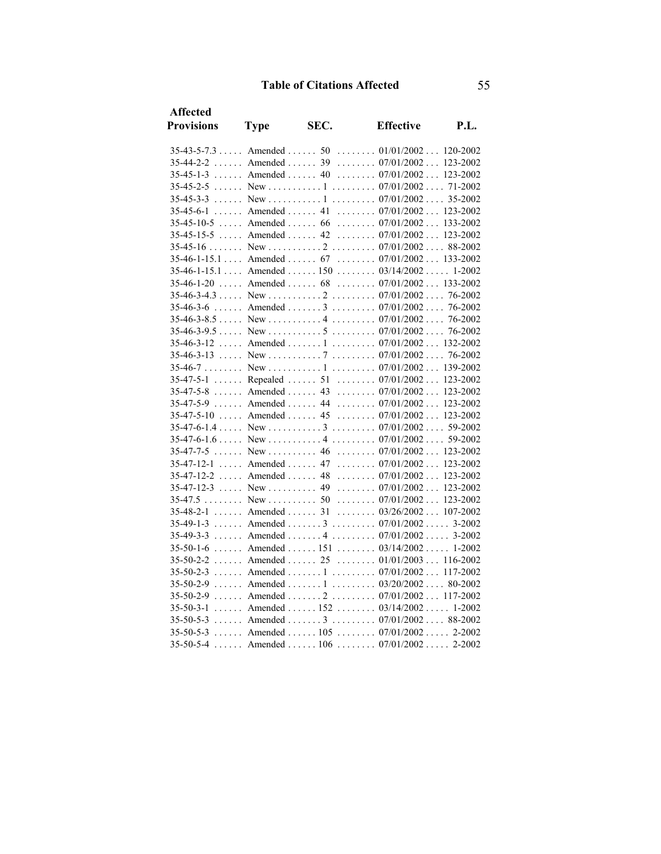| <b>Affected</b>          |                                               |      |                                                   |      |
|--------------------------|-----------------------------------------------|------|---------------------------------------------------|------|
| <b>Provisions</b>        | <b>Type</b>                                   | SEC. | <b>Effective</b>                                  | P.I. |
|                          |                                               |      | $35-43-5-7.3$ Amended  50  01/01/2002  120-2002   |      |
|                          |                                               |      | 35-44-2-2  Amended  39  07/01/2002  123-2002      |      |
|                          |                                               |      | 35-45-1-3  Amended  40  07/01/2002  123-2002      |      |
|                          |                                               |      |                                                   |      |
|                          |                                               |      |                                                   |      |
|                          |                                               |      | 35-45-6-1  Amended  41  07/01/2002  123-2002      |      |
|                          |                                               |      | $35-45-10-5$ Amended  66  07/01/2002  133-2002    |      |
|                          |                                               |      | 35-45-15-5  Amended  42  07/01/2002  123-2002     |      |
|                          |                                               |      |                                                   |      |
|                          |                                               |      | $35-46-1-15.1$ Amended  67  07/01/2002 133-2002   |      |
|                          |                                               |      | $35-46-1-15.1$ Amended  150  03/14/2002  1-2002   |      |
|                          |                                               |      | 35-46-1-20  Amended  68  07/01/2002  133-2002     |      |
|                          |                                               |      |                                                   |      |
| 35-46-3-6                |                                               |      | Amended  3  07/01/2002  76-2002                   |      |
|                          |                                               |      |                                                   |      |
|                          |                                               |      |                                                   |      |
|                          |                                               |      | $35-46-3-12$ Amended  1  07/01/2002 132-2002      |      |
|                          |                                               |      |                                                   |      |
|                          |                                               |      |                                                   |      |
|                          |                                               |      | 35-47-5-1  Repealed  51  07/01/2002  123-2002     |      |
|                          |                                               |      | 35-47-5-8  Amended  43  07/01/2002  123-2002      |      |
|                          |                                               |      | 35-47-5-9  Amended  44  07/01/2002  123-2002      |      |
|                          |                                               |      | 35-47-5-10  Amended  45  07/01/2002  123-2002     |      |
|                          |                                               |      |                                                   |      |
|                          |                                               |      |                                                   |      |
|                          |                                               |      |                                                   |      |
|                          |                                               |      | $35-47-12-1$ Amended  47 $07/01/2002$ 123-2002    |      |
| $35-47-12-2$ Amended  48 |                                               |      | $\ldots \ldots \ldots 07/01/2002 \ldots 123-2002$ |      |
|                          |                                               |      |                                                   |      |
| 35-47.5                  | $\ldots \ldots$ New $\ldots \ldots \ldots 50$ |      | $\ldots \ldots \ldots 07/01/2002 \ldots 123-2002$ |      |
| $35-48-2-1$ Amended  31  |                                               |      | $\ldots \ldots \ldots 03/26/2002 \ldots 107-2002$ |      |
|                          |                                               |      | 35-49-1-3  Amended  3  07/01/2002  3-2002         |      |
|                          |                                               |      | 35-49-3-3  Amended  4  07/01/2002  3-2002         |      |
|                          |                                               |      | 35-50-1-6  Amended  151  03/14/2002  1-2002       |      |
|                          |                                               |      | 35-50-2-2  Amended  25  01/01/2003  116-2002      |      |
|                          |                                               |      | 35-50-2-3  Amended  1  07/01/2002  117-2002       |      |
|                          |                                               |      | 35-50-2-9  Amended  1  03/20/2002 80-2002         |      |
|                          |                                               |      | 35-50-2-9  Amended  2  07/01/2002  117-2002       |      |
|                          |                                               |      | 35-50-3-1  Amended  152  03/14/2002  1-2002       |      |
|                          |                                               |      | 35-50-5-3  Amended  3  07/01/2002  88-2002        |      |
|                          |                                               |      | 35-50-5-3  Amended  105  07/01/2002  2-2002       |      |
|                          |                                               |      | 35-50-5-4  Amended  106  07/01/2002  2-2002       |      |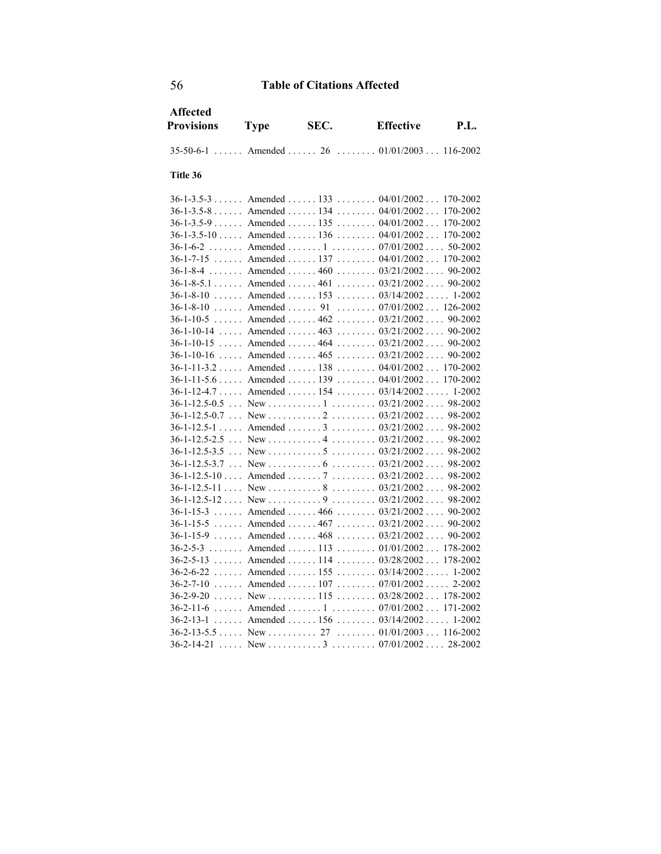| <b>Affected</b><br><b>Provisions</b> | <b>Type</b>                                 | SEC. | <b>Effective</b>                                  | <b>P.L.</b> |
|--------------------------------------|---------------------------------------------|------|---------------------------------------------------|-------------|
|                                      |                                             |      | 35-50-6-1  Amended  26  01/01/2003  116-2002      |             |
|                                      |                                             |      |                                                   |             |
| Title 36                             |                                             |      |                                                   |             |
|                                      |                                             |      | 36-1-3.5-3  Amended  133  04/01/2002  170-2002    |             |
|                                      |                                             |      | $36-1-3.5-8$ Amended  134  04/01/2002             | 170-2002    |
| $36-1-3.5-9$ Amended  135            |                                             |      | $\ldots \ldots 04/01/2002 \ldots 170-2002$        |             |
|                                      |                                             |      | $36-1-3.5-10$ Amended  136  04/01/2002  170-2002  |             |
|                                      |                                             |      | 36-1-6-2  Amended  1  07/01/2002 50-2002          |             |
| $36-1-7-15$ Amended  137             |                                             |      | $\ldots \ldots 04/01/2002 \ldots 170-2002$        |             |
| $36 - 1 - 8 - 4$                     | $\ldots \ldots$ Amended $\ldots \ldots 460$ |      | $\ldots \ldots 03/21/2002 \ldots 90-2002$         |             |
|                                      |                                             |      | 36-1-8-5.1 Amended 461 03/21/2002 90-2002         |             |
|                                      |                                             |      | $36-1-8-10$ Amended  153  03/14/2002 1-2002       |             |
|                                      |                                             |      | $36-1-8-10$ Amended  91  07/01/2002 126-2002      |             |
|                                      |                                             |      | 36-1-10-5  Amended  462  03/21/2002  90-2002      |             |
|                                      |                                             |      | $36-1-10-14$ Amended  463  03/21/2002 90-2002     |             |
| $36 - 1 - 10 - 15$                   |                                             |      | Amended  464 $03/21/2002$ 90-2002                 |             |
|                                      |                                             |      | 36-1-10-16  Amended  465  03/21/2002  90-2002     |             |
|                                      |                                             |      | 36-1-11-3.2  Amended  138  04/01/2002  170-2002   |             |
|                                      |                                             |      | 36-1-11-5.6  Amended  139  04/01/2002  170-2002   |             |
|                                      |                                             |      | $36-1-12-4.7$ Amended  154  03/14/2002  1-2002    |             |
|                                      |                                             |      |                                                   |             |
|                                      |                                             |      |                                                   |             |
|                                      |                                             |      | 36-1-12.5-1  Amended  3  03/21/2002  98-2002      |             |
|                                      |                                             |      |                                                   |             |
|                                      |                                             |      |                                                   |             |
|                                      |                                             |      |                                                   |             |
|                                      |                                             |      | $36-1-12.5-10$ Amended  7  03/21/2002 98-2002     |             |
|                                      |                                             |      |                                                   |             |
|                                      |                                             |      |                                                   |             |
|                                      |                                             |      | $36-1-15-3$ Amended $466$ $03/21/2002$ $90-2002$  |             |
|                                      |                                             |      | 36-1-15-5  Amended  467  03/21/2002  90-2002      |             |
|                                      |                                             |      | 36-1-15-9  Amended  468  03/21/2002  90-2002      |             |
| $36-2-5-3$ Amended  113              |                                             |      | $\ldots \ldots \ldots 01/01/2002 \ldots 178-2002$ |             |
| $36-2-5-13$ Amended  114             |                                             |      | $\ldots \ldots 03/28/2002 \ldots 178-2002$        |             |
|                                      |                                             |      | $36-2-6-22$ Amended  155  03/14/2002 1-2002       |             |
|                                      |                                             |      | $36-2-7-10$ Amended  107  07/01/2002  2-2002      |             |
|                                      |                                             |      | $\ldots \ldots \ldots 03/28/2002 \ldots 178-2002$ |             |
|                                      |                                             |      | 36-2-11-6  Amended  1  07/01/2002  171-2002       |             |
|                                      |                                             |      | 36-2-13-1  Amended  156  03/14/2002  1-2002       |             |
|                                      |                                             |      |                                                   |             |
| $36 - 2 - 14 - 21$                   |                                             |      |                                                   |             |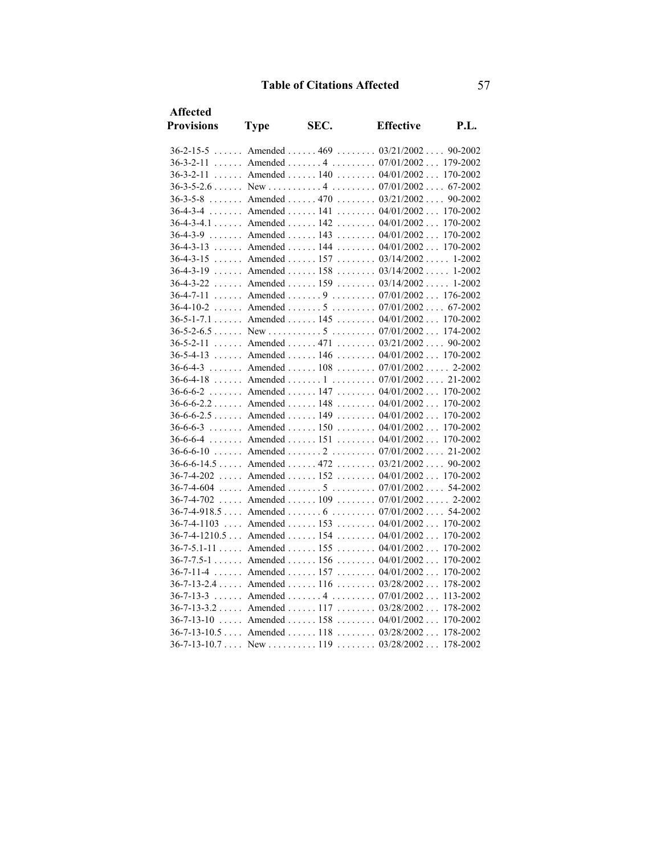| <b>Affected</b>          |                                   |      |                                                  |          |
|--------------------------|-----------------------------------|------|--------------------------------------------------|----------|
| <b>Provisions</b>        | <b>Type</b>                       | SEC. | <b>Effective</b>                                 | P.I.     |
| $36 - 2 - 15 - 5$        |                                   |      | Amended  469  03/21/2002 90-2002                 |          |
|                          |                                   |      | 36-3-2-11  Amended  4  07/01/2002  179-2002      |          |
| $36 - 3 - 2 - 11$        |                                   |      | Amended  140  04/01/2002  170-2002               |          |
|                          |                                   |      |                                                  |          |
| $36 - 3 - 5 - 8$         |                                   |      | Amended  470  03/21/2002                         | 90-2002  |
| $36 - 4 - 3 - 4$         |                                   |      | Amended  141  04/01/2002  170-2002               |          |
|                          |                                   |      | $36-4-3-4.1$ Amended  142  04/01/2002            | 170-2002 |
|                          |                                   |      | $36-4-3-9$ Amended  143  04/01/2002              | 170-2002 |
|                          |                                   |      | 36-4-3-13  Amended  144  04/01/2002  170-2002    |          |
| $36 - 4 - 3 - 15$        |                                   |      | Amended  157 $03/14/2002$ 1-2002                 |          |
| $36 - 4 - 3 - 19$        | $\ldots$ . Amended $\ldots$ . 158 |      | $\ldots \ldots 03/14/2002 \ldots 1-2002$         |          |
|                          |                                   |      | 36-4-3-22  Amended  159  03/14/2002  1-2002      |          |
| $36 - 4 - 7 - 11$        |                                   |      | Amended  9  07/01/2002  176-2002                 |          |
| $36-4-10-2$              |                                   |      | Amended  5  07/01/2002 67-2002                   |          |
|                          |                                   |      | 36-5-1-7.1 Amended 145 04/01/2002 170-2002       |          |
|                          |                                   |      |                                                  |          |
| $36 - 5 - 2 - 11$        | $\ldots$ . Amended $\ldots$ . 471 |      | $\ldots \ldots 03/21/2002 \ldots 90-2002$        |          |
| $36 - 5 - 4 - 13$        |                                   |      | Amended  146  04/01/2002  170-2002               |          |
|                          |                                   |      | $36-6-4-3$ Amended  108  07/01/2002 2-2002       |          |
|                          |                                   |      | 36-6-4-18  Amended  1  07/01/2002  21-2002       |          |
|                          |                                   |      | 36-6-6-2  Amended  147  04/01/2002  170-2002     |          |
|                          |                                   |      | $36-6-6-2.2$ Amended  148  04/01/2002            | 170-2002 |
| $36-6-6-2.5$ Amended 149 |                                   |      | $\ldots \ldots \ldots 04/01/2002 \ldots$         | 170-2002 |
| $36 - 6 - 6 - 3$         |                                   |      | Amended  150  04/01/2002                         | 170-2002 |
| $36 - 6 - 6 - 4$         |                                   |      | Amended  151  04/01/2002 170-2002                |          |
|                          |                                   |      | 36-6-6-10  Amended  2  07/01/2002  21-2002       |          |
|                          |                                   |      | 36-6-6-14.5  Amended  472  03/21/2002  90-2002   |          |
| $36 - 7 - 4 - 202$       |                                   |      | Amended  152 $04/01/2002$ 170-2002               |          |
| 36-7-4-604               |                                   |      | Amended  5 $07/01/2002$ 54-2002                  |          |
| 36-7-4-702               |                                   |      | Amended  109  07/01/2002 2-2002                  |          |
|                          |                                   |      | $36-7-4-918.5$ Amended  6  07/01/2002  54-2002   |          |
| 36-7-4-1103              |                                   |      | Amended  153 $04/01/2002$ 170-2002               |          |
|                          |                                   |      | $36-7-4-1210.5$ Amended  154  04/01/2002         | 170-2002 |
|                          |                                   |      | $36-7-5.1-11$ Amended  155  04/01/2002           | 170-2002 |
|                          |                                   |      | $36-7-7.5-1$ Amended  156  04/01/2002            | 170-2002 |
| $36 - 7 - 11 - 4$        |                                   |      | Amended  157  04/01/2002                         | 170-2002 |
|                          |                                   |      | $36-7-13-2.4$ Amended  116  03/28/2002           | 178-2002 |
| $36 - 7 - 13 - 3$        |                                   |      | Amended  4  07/01/2002                           | 113-2002 |
|                          |                                   |      | $36-7-13-3.2$ Amended  117  03/28/2002           | 178-2002 |
| $36 - 7 - 13 - 10$       | $\ldots$ . Amended $\ldots$ . 158 |      | $\ldots \ldots \ldots 04/01/2002 \ldots$         | 170-2002 |
|                          |                                   |      | 36-7-13-10.5  Amended  118  03/28/2002  178-2002 |          |
|                          |                                   |      |                                                  |          |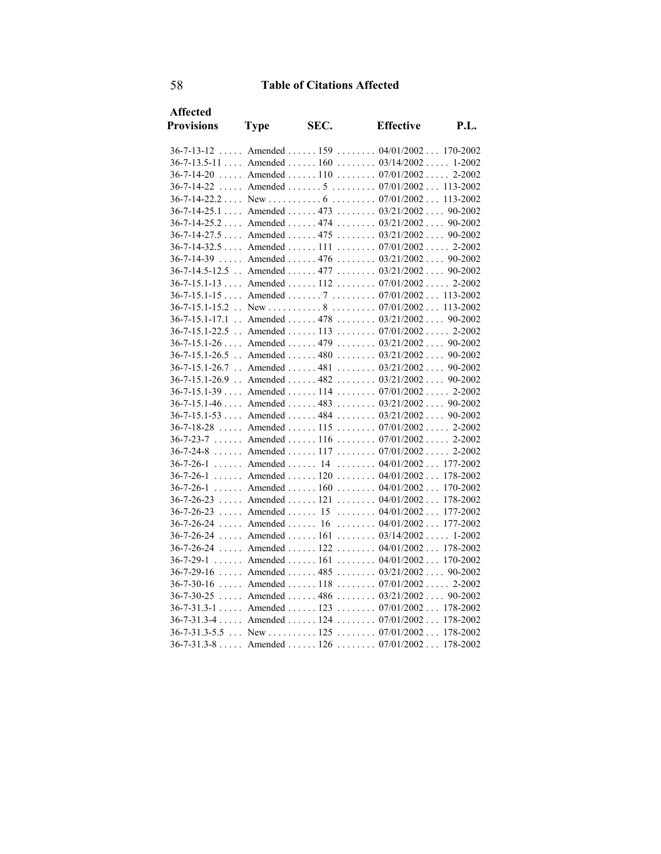| <b>Affected</b>        |                                 |      |                                                 |          |  |
|------------------------|---------------------------------|------|-------------------------------------------------|----------|--|
| <b>Provisions</b>      | <b>Type</b>                     | SEC. | <b>Effective</b>                                | P.I.     |  |
| $36 - 7 - 13 - 12$     |                                 |      | Amended  159  04/01/2002  170-2002              |          |  |
|                        |                                 |      | $36-7-13.5-11$ Amended  160  03/14/2002 1-2002  |          |  |
| $36 - 7 - 14 - 20$     |                                 |      | Amended  110  07/01/2002  2-2002                |          |  |
| $36 - 7 - 14 - 22$     |                                 |      | Amended  5 $07/01/2002$ 113-2002                |          |  |
|                        |                                 |      |                                                 |          |  |
|                        |                                 |      | 36-7-14-25.1  Amended  473  03/21/2002  90-2002 |          |  |
|                        |                                 |      | 36-7-14-25.2  Amended  474  03/21/2002  90-2002 |          |  |
|                        |                                 |      | 36-7-14-27.5  Amended  475  03/21/2002  90-2002 |          |  |
|                        |                                 |      | 36-7-14-32.5  Amended  111  07/01/2002  2-2002  |          |  |
| 36-7-14-39             |                                 |      | Amended  476 $03/21/2002$ 90-2002               |          |  |
| 36-7-14.5-12.5         |                                 |      | Amended  477 $03/21/2002$ 90-2002               |          |  |
|                        |                                 |      | 36-7-15.1-13  Amended  112  07/01/2002 2-2002   |          |  |
|                        |                                 |      | $36-7-15.1-15$ Amended  7  07/01/2002 113-2002  |          |  |
|                        |                                 |      |                                                 |          |  |
|                        |                                 |      | 36-7-15.1-17.1 . Amended 478 03/21/2002 90-2002 |          |  |
| $36 - 7 - 15.1 - 22.5$ |                                 |      | Amended  113 $07/01/2002$ 2-2002                |          |  |
|                        |                                 |      | $36-7-15.1-26$ Amended  479  03/21/2002 90-2002 |          |  |
|                        |                                 |      | 36-7-15.1-26.5 . Amended 480 03/21/2002 90-2002 |          |  |
|                        |                                 |      | 36-7-15.1-26.7 . Amended 481 03/21/2002 90-2002 |          |  |
|                        |                                 |      | 36-7-15.1-26.9 . Amended 482 03/21/2002 90-2002 |          |  |
|                        |                                 |      | 36-7-15.1-39  Amended  114  07/01/2002  2-2002  |          |  |
|                        |                                 |      | 36-7-15.1-46  Amended  483  03/21/2002  90-2002 |          |  |
|                        |                                 |      | 36-7-15.1-53  Amended  484  03/21/2002  90-2002 |          |  |
|                        |                                 |      | 36-7-18-28  Amended  115  07/01/2002 2-2002     |          |  |
|                        |                                 |      | 36-7-23-7  Amended  116  07/01/2002  2-2002     |          |  |
| $36 - 7 - 24 - 8$      |                                 |      | Amended  117 $07/01/2002$ 2-2002                |          |  |
|                        |                                 |      | 36-7-26-1  Amended  14  04/01/2002  177-2002    |          |  |
|                        |                                 |      | $36-7-26-1$ Amended  120  04/01/2002            | 178-2002 |  |
| $36 - 7 - 26 - 1$      |                                 |      | Amended  160  04/01/2002                        | 170-2002 |  |
|                        |                                 |      | $36-7-26-23$ Amended  121  04/01/2002           | 178-2002 |  |
| $36 - 7 - 26 - 23$     | $\ldots$ Amended $\ldots$ 15    |      | $\ldots \ldots 04/01/2002 \ldots 177-2002$      |          |  |
| 36-7-26-24             | $\ldots$ Amended $\ldots$ 16    |      | $\ldots \ldots 04/01/2002 \ldots$               | 177-2002 |  |
|                        |                                 |      | $36-7-26-24$ Amended $161$ $03/14/2002$ 1-2002  |          |  |
| 36-7-26-24             |                                 |      | Amended  122 $04/01/2002$ 178-2002              |          |  |
| $36 - 7 - 29 - 1$      | $\ldots$ . Amended $\ldots$ 161 |      | $\ldots \ldots 04/01/2002 \ldots 170-2002$      |          |  |
| $36 - 7 - 29 - 16$     |                                 |      | Amended  485 $03/21/2002$ 90-2002               |          |  |
| $36 - 7 - 30 - 16$     |                                 |      | Amended  118  07/01/2002  2-2002                |          |  |
| 36-7-30-25             |                                 |      | Amended  486 $03/21/2002$ 90-2002               |          |  |
|                        |                                 |      | 36-7-31.3-1  Amended  123  07/01/2002  178-2002 |          |  |
|                        |                                 |      | 36-7-31.3-4  Amended  124  07/01/2002  178-2002 |          |  |
|                        |                                 |      | $36-7-31.3-5.5$ New  125  07/01/2002  178-2002  |          |  |
|                        |                                 |      | 36-7-31.3-8  Amended  126  07/01/2002  178-2002 |          |  |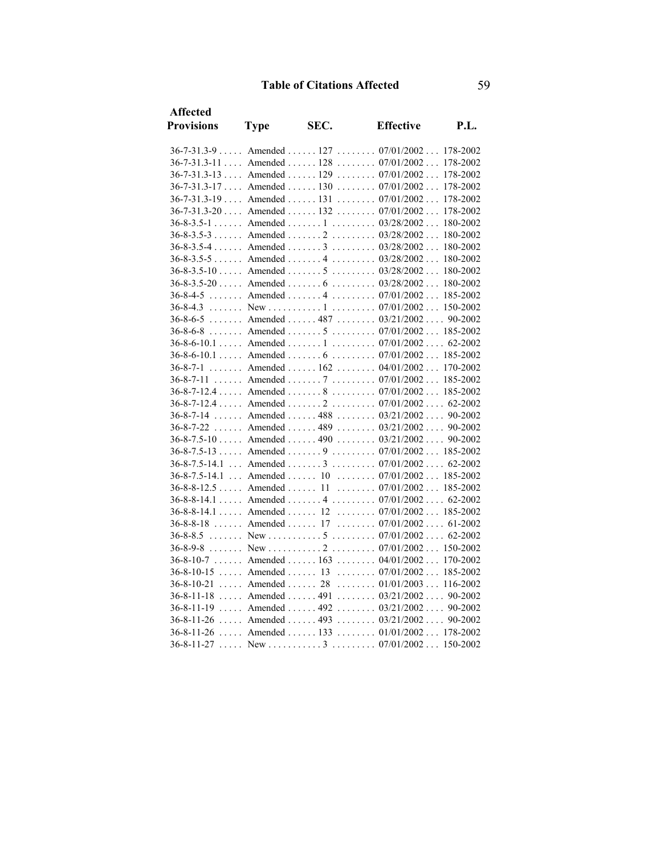| <b>Affected</b>                 |                              |      |                                                   |          |  |
|---------------------------------|------------------------------|------|---------------------------------------------------|----------|--|
| <b>Provisions</b>               | <b>Type</b>                  | SEC. | <b>Effective</b>                                  | P.I.     |  |
|                                 |                              |      | 36-7-31.3-9  Amended  127  07/01/2002  178-2002   |          |  |
|                                 |                              |      | $36-7-31.3-11$ Amended  128  07/01/2002           | 178-2002 |  |
|                                 |                              |      | 36-7-31.3-13  Amended  129  07/01/2002  178-2002  |          |  |
|                                 |                              |      | $36-7-31.3-17$ Amended  130  07/01/2002           | 178-2002 |  |
|                                 |                              |      | $36-7-31.3-19$ Amended  131  07/01/2002           | 178-2002 |  |
|                                 |                              |      | 36-7-31.3-20  Amended  132  07/01/2002  178-2002  |          |  |
|                                 |                              |      | $36-8-3.5-1$ Amended  1  03/28/2002 180-2002      |          |  |
|                                 |                              |      | 36-8-3.5-3  Amended  2  03/28/2002  180-2002      |          |  |
|                                 |                              |      | $36-8-3.5-4$ Amended  3  03/28/2002 180-2002      |          |  |
|                                 |                              |      | $36-8-3.5-5$ Amended $4$ $03/28/2002$ 180-2002    |          |  |
|                                 |                              |      | 36-8-3.5-10  Amended  5  03/28/2002  180-2002     |          |  |
|                                 |                              |      | 36-8-3.5-20  Amended  6  03/28/2002  180-2002     |          |  |
|                                 |                              |      | 36-8-4-5  Amended  4  07/01/2002  185-2002        |          |  |
| $36 - 8 - 4.3$                  |                              |      |                                                   |          |  |
|                                 |                              |      | 36-8-6-5  Amended  487  03/21/2002  90-2002       |          |  |
| $36 - 8 - 6 - 8$                |                              |      | Amended  5  07/01/2002 185-2002                   |          |  |
|                                 |                              |      | $36-8-6-10.1$ Amended  1  07/01/2002 62-2002      |          |  |
|                                 |                              |      | $36-8-6-10.1$ Amended  6  07/01/2002 185-2002     |          |  |
| $36 - 8 - 7 - 1$                |                              |      | Amended  162  04/01/2002  170-2002                |          |  |
|                                 |                              |      | 36-8-7-11  Amended  7  07/01/2002  185-2002       |          |  |
|                                 |                              |      | 36-8-7-12.4  Amended  8  07/01/2002  185-2002     |          |  |
|                                 |                              |      | $36-8-7-12.4$ Amended  2  07/01/2002  62-2002     |          |  |
| $36 - 8 - 7 - 14$               |                              |      | Amended  488 $03/21/2002$ 90-2002                 |          |  |
| $36 - 8 - 7 - 22$               |                              |      | Amended  489 $03/21/2002$ 90-2002                 |          |  |
|                                 |                              |      | $36-8-7.5-10$ Amended  490  03/21/2002 90-2002    |          |  |
|                                 |                              |      | $36-8-7.5-13$ Amended  9  07/01/2002 185-2002     |          |  |
|                                 |                              |      | $36-8-7.5-14.1$ Amended  3  07/01/2002 62-2002    |          |  |
| $36-8-7.5-14.1$ Amended  10     |                              |      | $\ldots \ldots \ldots 07/01/2002 \ldots 185-2002$ |          |  |
| $36 - 8 - 8 - 12.5$ Amended  11 |                              |      | $\ldots \ldots \ldots 07/01/2002 \ldots 185-2002$ |          |  |
|                                 |                              |      | $36-8-8-14.1$ Amended  4  07/01/2002 62-2002      |          |  |
|                                 |                              |      | 36-8-8-14.1  Amended  12  07/01/2002  185-2002    |          |  |
| 36-8-8-18  Amended  17          |                              |      | $\ldots \ldots \ldots 07/01/2002 \ldots 61-2002$  |          |  |
| $36 - 8 - 8.5$                  |                              |      |                                                   |          |  |
| $36 - 8 - 9 - 8$                |                              |      |                                                   |          |  |
|                                 |                              |      | 36-8-10-7  Amended  163  04/01/2002  170-2002     |          |  |
|                                 |                              |      | 36-8-10-15  Amended  13  07/01/2002  185-2002     |          |  |
| $36 - 8 - 10 - 21$              | $\ldots$ Amended $\ldots$ 28 |      | $\ldots \ldots \ldots 01/01/2003 \ldots 116-2002$ |          |  |
| $36 - 8 - 11 - 18$              |                              |      | Amended  491 $03/21/2002$ 90-2002                 |          |  |
|                                 |                              |      | $36-8-11-19$ Amended  492  03/21/2002 90-2002     |          |  |
|                                 |                              |      | 36-8-11-26  Amended  493  03/21/2002  90-2002     |          |  |
|                                 |                              |      | 36-8-11-26  Amended  133  01/01/2002  178-2002    |          |  |
| $36 - 8 - 11 - 27$              |                              |      |                                                   |          |  |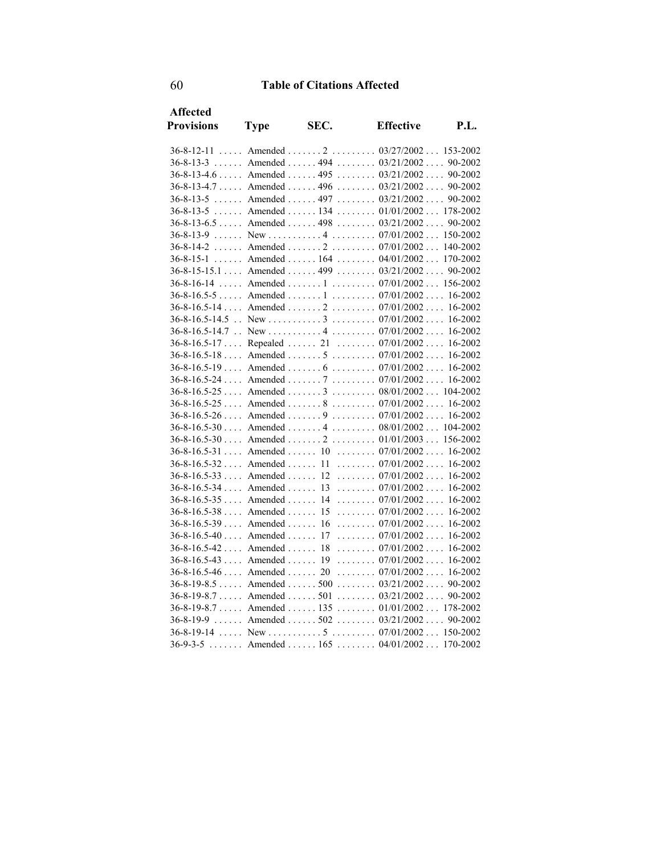| <b>Affected</b>                  |             |      |                                                  |      |  |
|----------------------------------|-------------|------|--------------------------------------------------|------|--|
| <b>Provisions</b>                | <b>Type</b> | SEC. | <b>Effective</b>                                 | P.I. |  |
|                                  |             |      | 36-8-12-11  Amended  2  03/27/2002 153-2002      |      |  |
| $36 - 8 - 13 - 3$                |             |      | Amended  494 $03/21/2002$ 90-2002                |      |  |
|                                  |             |      | 36-8-13-4.6 Amended 495 03/21/2002 90-2002       |      |  |
|                                  |             |      | $36-8-13-4.7$ Amended  496  03/21/2002 90-2002   |      |  |
| $36 - 8 - 13 - 5$                |             |      | Amended  497 $03/21/2002$ 90-2002                |      |  |
| $36 - 8 - 13 - 5$                |             |      | Amended  134  01/01/2002  178-2002               |      |  |
|                                  |             |      | $36-8-13-6.5$ Amended  498  03/21/2002 90-2002   |      |  |
|                                  |             |      |                                                  |      |  |
|                                  |             |      | 36-8-14-2  Amended  2  07/01/2002 140-2002       |      |  |
|                                  |             |      | $36-8-15-1$ Amended  164  04/01/2002  170-2002   |      |  |
|                                  |             |      | $36-8-15-15.1$ Amended  499  03/21/2002 90-2002  |      |  |
| $36 - 8 - 16 - 14$               |             |      | Amended  1  07/01/2002  156-2002                 |      |  |
|                                  |             |      | 36-8-16.5-5  Amended  1  07/01/2002  16-2002     |      |  |
|                                  |             |      | $36-8-16.5-14$ Amended  2  07/01/2002 16-2002    |      |  |
|                                  |             |      |                                                  |      |  |
|                                  |             |      |                                                  |      |  |
|                                  |             |      | 36-8-16.5-17  Repealed  21  07/01/2002  16-2002  |      |  |
|                                  |             |      | $36-8-16.5-18$ Amended 5  07/01/2002 16-2002     |      |  |
|                                  |             |      | $36-8-16.5-19$ Amended  6  07/01/2002 16-2002    |      |  |
|                                  |             |      | $36-8-16.5-24$ Amended  7  07/01/2002 16-2002    |      |  |
|                                  |             |      | $36-8-16.5-25$ Amended  3  08/01/2002 104-2002   |      |  |
|                                  |             |      | $36-8-16.5-25$ Amended  8  07/01/2002 16-2002    |      |  |
|                                  |             |      | $36-8-16.5-26$ Amended  9  07/01/2002 16-2002    |      |  |
|                                  |             |      | 36-8-16.5-30  Amended  4  08/01/2002  104-2002   |      |  |
|                                  |             |      | $36-8-16.5-30$ Amended $2$ $01/01/2003$ 156-2002 |      |  |
|                                  |             |      | 36-8-16.5-31  Amended  10  07/01/2002  16-2002   |      |  |
|                                  |             |      | 36-8-16.5-32  Amended  11  07/01/2002  16-2002   |      |  |
| $36-8-16.5-33$ Amended  12       |             |      | $\ldots \ldots \ldots 07/01/2002 \ldots 16-2002$ |      |  |
| $36-8-16.5-34$ Amended  13       |             |      | $\ldots \ldots \ldots 07/01/2002 \ldots 16-2002$ |      |  |
| $36 - 8 - 16.5 - 35$ Amended  14 |             |      | $\ldots \ldots 07/01/2002 \ldots 16-2002$        |      |  |
| $36 - 8 - 16.5 - 38$ Amended  15 |             |      | $\ldots \ldots 07/01/2002 \ldots 16-2002$        |      |  |
| $36 - 8 - 16.5 - 39$ Amended  16 |             |      | $\ldots \ldots 07/01/2002 \ldots 16-2002$        |      |  |
| $36-8-16.5-40$ Amended  17       |             |      | $\ldots \ldots \ldots 07/01/2002 \ldots 16-2002$ |      |  |
| $36 - 8 - 16.5 - 42$ Amended 18  |             |      | $\ldots \ldots 07/01/2002 \ldots 16-2002$        |      |  |
| $36 - 8 - 16.5 - 43$ Amended  19 |             |      | $\ldots \ldots \ldots 07/01/2002 \ldots 16-2002$ |      |  |
| $36-8-16.5-46$ Amended  20       |             |      | $\ldots \ldots 07/01/2002 \ldots 16-2002$        |      |  |
| $36 - 8 - 19 - 8.5$ Amended  500 |             |      | $\ldots \ldots 03/21/2002 \ldots 90-2002$        |      |  |
|                                  |             |      | 36-8-19-8.7  Amended  501  03/21/2002  90-2002   |      |  |
|                                  |             |      | 36-8-19-8.7  Amended  135  01/01/2002  178-2002  |      |  |
|                                  |             |      | $36-8-19-9$ Amended  502  03/21/2002 90-2002     |      |  |
|                                  |             |      |                                                  |      |  |
|                                  |             |      | $36-9-3-5$ Amended  165  04/01/2002  170-2002    |      |  |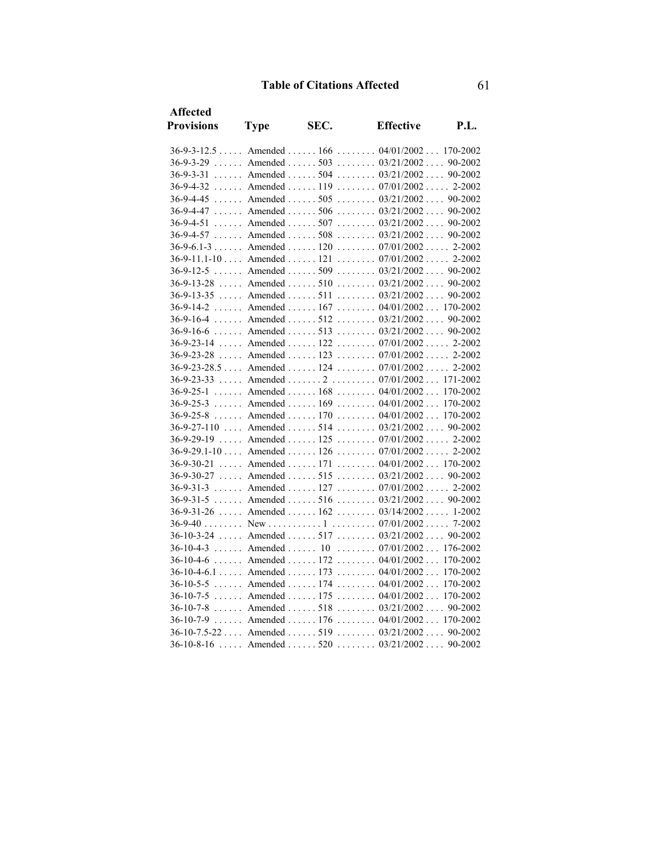| <b>Affected</b>          |                               |      |                                                    |          |
|--------------------------|-------------------------------|------|----------------------------------------------------|----------|
| <b>Provisions</b>        | <b>Type</b>                   | SEC. | <b>Effective</b>                                   | P.I.     |
|                          |                               |      | 36-9-3-12.5  Amended  166  04/01/2002  170-2002    |          |
|                          |                               |      | 36-9-3-29  Amended  503  03/21/2002  90-2002       |          |
|                          |                               |      | 36-9-3-31  Amended  504  03/21/2002  90-2002       |          |
|                          |                               |      | $36-9-4-32$ Amended  119  07/01/2002 2-2002        |          |
|                          |                               |      | $36-9-4-45$ Amended  505  03/21/2002  90-2002      |          |
|                          |                               |      | 36-9-4-47  Amended  506  03/21/2002  90-2002       |          |
| $36-9-4-51$ Amended  507 |                               |      | $\ldots \ldots 03/21/2002 \ldots 90-2002$          |          |
| $36-9-4-57$ Amended  508 |                               |      | $\ldots \ldots 03/21/2002 \ldots 90-2002$          |          |
|                          |                               |      | 36-9-6.1-3 Amended 120 07/01/2002 2-2002           |          |
|                          |                               |      | 36-9-11.1-10  Amended   121   07/01/2002  . 2-2002 |          |
| $36 - 9 - 12 - 5$        |                               |      | Amended  509  03/21/2002  90-2002                  |          |
|                          |                               |      | 36-9-13-28  Amended  510  03/21/2002  90-2002      |          |
| $36 - 9 - 13 - 35$       |                               |      | Amended  511 $03/21/2002$ 90-2002                  |          |
|                          |                               |      | 36-9-14-2  Amended  167  04/01/2002  170-2002      |          |
|                          |                               |      | 36-9-16-4  Amended  512  03/21/2002  90-2002       |          |
|                          |                               |      | 36-9-16-6  Amended  513  03/21/2002  90-2002       |          |
| $36 - 9 - 23 - 14$       |                               |      | Amended  122  07/01/2002  2-2002                   |          |
| 36-9-23-28               |                               |      | Amended  123  07/01/2002  2-2002                   |          |
|                          |                               |      | 36-9-23-28.5  Amended  124  07/01/2002  2-2002     |          |
| $36 - 9 - 23 - 33$       |                               |      | Amended  2  07/01/2002 171-2002                    |          |
|                          |                               |      | $36-9-25-1$ Amended  168  04/01/2002               | 170-2002 |
| $36 - 9 - 25 - 3$        |                               |      | Amended  169  04/01/2002  170-2002                 |          |
| $36 - 9 - 25 - 8$        | $\ldots$ Amended $\ldots$ 170 |      | $\ldots \ldots 04/01/2002 \ldots 170-2002$         |          |
|                          |                               |      | 36-9-27-110  Amended  514  03/21/2002  90-2002     |          |
| 36-9-29-19               |                               |      | Amended  125 $07/01/2002$ 2-2002                   |          |
|                          |                               |      | 36-9-29.1-10  Amended  126  07/01/2002  2-2002     |          |
| 36-9-30-21               |                               |      | Amended  171 $04/01/2002$ 170-2002                 |          |
| 36-9-30-27               |                               |      | Amended  515 $03/21/2002$ 90-2002                  |          |
| $36 - 9 - 31 - 3$        |                               |      | Amended  127 $07/01/2002$ 2-2002                   |          |
|                          |                               |      | 36-9-31-5  Amended  516  03/21/2002  90-2002       |          |
|                          |                               |      | 36-9-31-26  Amended  162  03/14/2002  1-2002       |          |
| $36 - 9 - 40$            |                               |      |                                                    |          |
| $36 - 10 - 3 - 24$       |                               |      | Amended  517 $03/21/2002$ 90-2002                  |          |
|                          |                               |      | 36-10-4-3  Amended  10  07/01/2002  176-2002       |          |
| $36-10-4-6$              |                               |      | Amended  172  04/01/2002  170-2002                 |          |
|                          |                               |      | 36-10-4-6.1  Amended  173  04/01/2002  170-2002    |          |
|                          |                               |      | 36-10-5-5  Amended  174  04/01/2002  170-2002      |          |
|                          |                               |      | 36-10-7-5  Amended  175  04/01/2002  170-2002      |          |
| $36 - 10 - 7 - 8$        |                               |      | Amended  518  03/21/2002 90-2002                   |          |
|                          |                               |      | 36-10-7-9  Amended  176  04/01/2002  170-2002      |          |
|                          |                               |      | 36-10-7.5-22  Amended  519  03/21/2002  90-2002    |          |
|                          |                               |      | 36-10-8-16  Amended  520  03/21/2002  90-2002      |          |